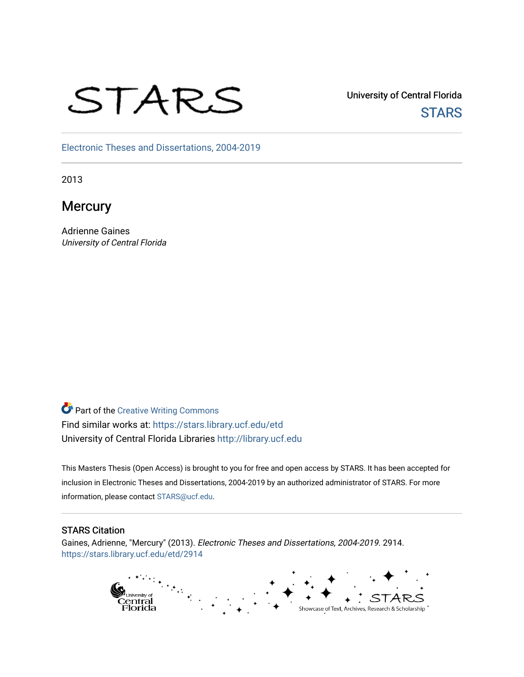# STARS

University of Central Florida **STARS** 

[Electronic Theses and Dissertations, 2004-2019](https://stars.library.ucf.edu/etd) 

2013

**Mercury** 

Adrienne Gaines University of Central Florida

**Part of the Creative Writing Commons** Find similar works at: <https://stars.library.ucf.edu/etd> University of Central Florida Libraries [http://library.ucf.edu](http://library.ucf.edu/) 

This Masters Thesis (Open Access) is brought to you for free and open access by STARS. It has been accepted for inclusion in Electronic Theses and Dissertations, 2004-2019 by an authorized administrator of STARS. For more information, please contact [STARS@ucf.edu.](mailto:STARS@ucf.edu)

# STARS Citation

Gaines, Adrienne, "Mercury" (2013). Electronic Theses and Dissertations, 2004-2019. 2914. [https://stars.library.ucf.edu/etd/2914](https://stars.library.ucf.edu/etd/2914?utm_source=stars.library.ucf.edu%2Fetd%2F2914&utm_medium=PDF&utm_campaign=PDFCoverPages) 

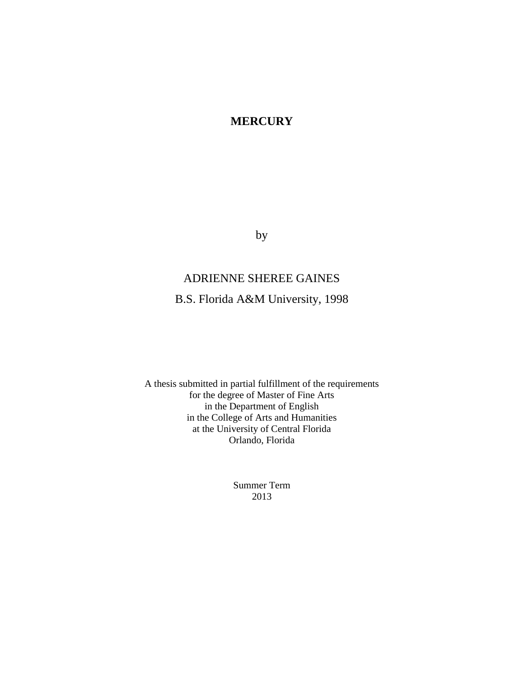# **MERCURY**

by

# ADRIENNE SHEREE GAINES

B.S. Florida A&M University, 1998

A thesis submitted in partial fulfillment of the requirements for the degree of Master of Fine Arts in the Department of English in the College of Arts and Humanities at the University of Central Florida Orlando, Florida

> Summer Term 2013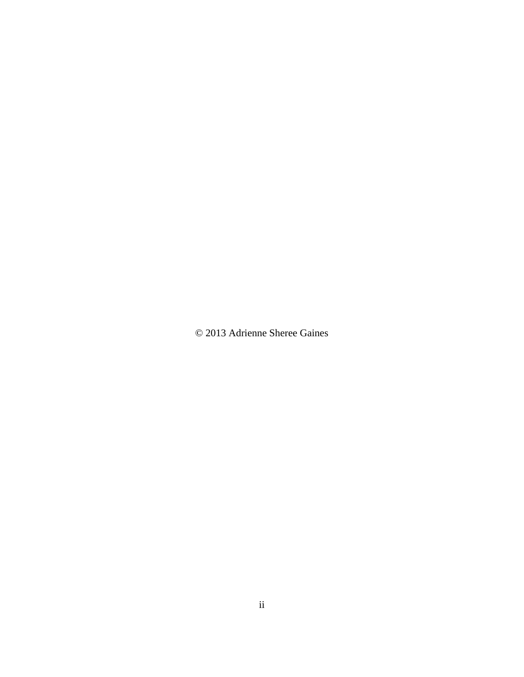© 2013 Adrienne Sheree Gaines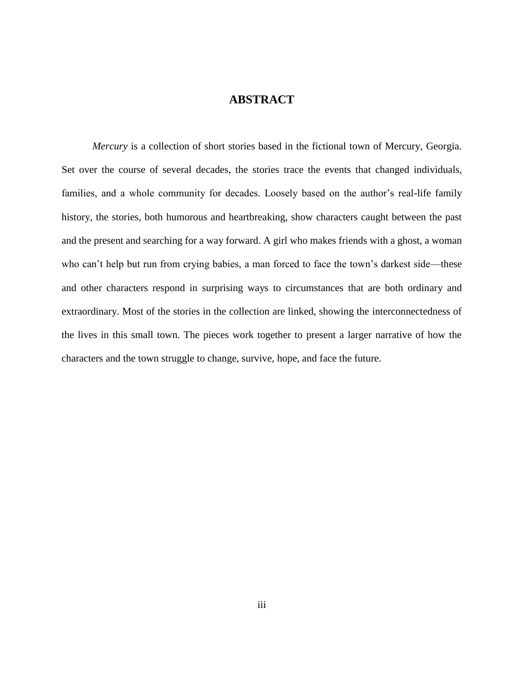# **ABSTRACT**

*Mercury* is a collection of short stories based in the fictional town of Mercury, Georgia. Set over the course of several decades, the stories trace the events that changed individuals, families, and a whole community for decades. Loosely based on the author's real-life family history, the stories, both humorous and heartbreaking, show characters caught between the past and the present and searching for a way forward. A girl who makes friends with a ghost, a woman who can't help but run from crying babies, a man forced to face the town's darkest side—these and other characters respond in surprising ways to circumstances that are both ordinary and extraordinary. Most of the stories in the collection are linked, showing the interconnectedness of the lives in this small town. The pieces work together to present a larger narrative of how the characters and the town struggle to change, survive, hope, and face the future.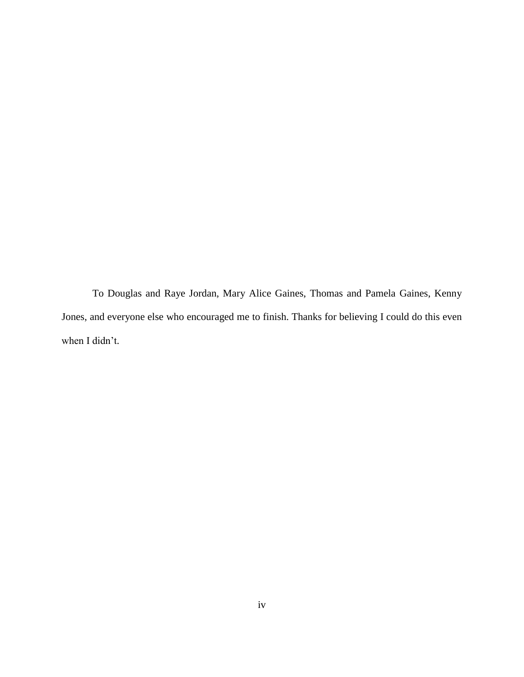To Douglas and Raye Jordan, Mary Alice Gaines, Thomas and Pamela Gaines, Kenny Jones, and everyone else who encouraged me to finish. Thanks for believing I could do this even when I didn't.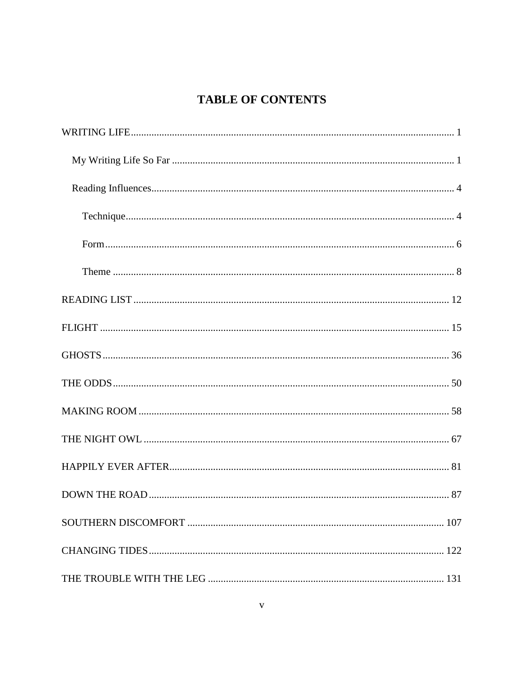# **TABLE OF CONTENTS**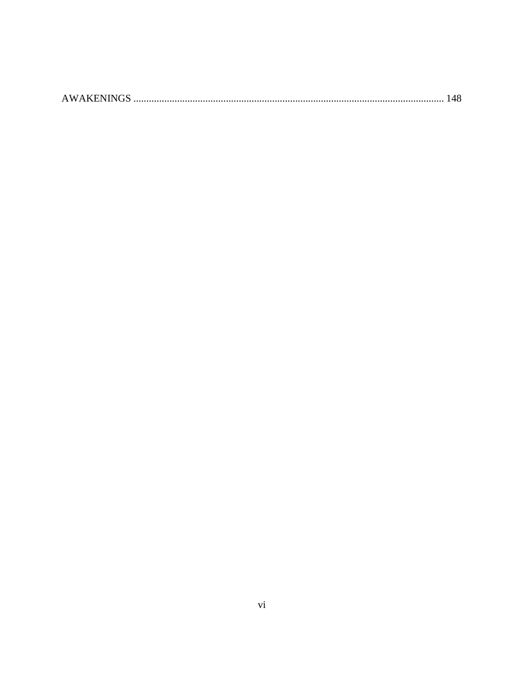|--|--|--|--|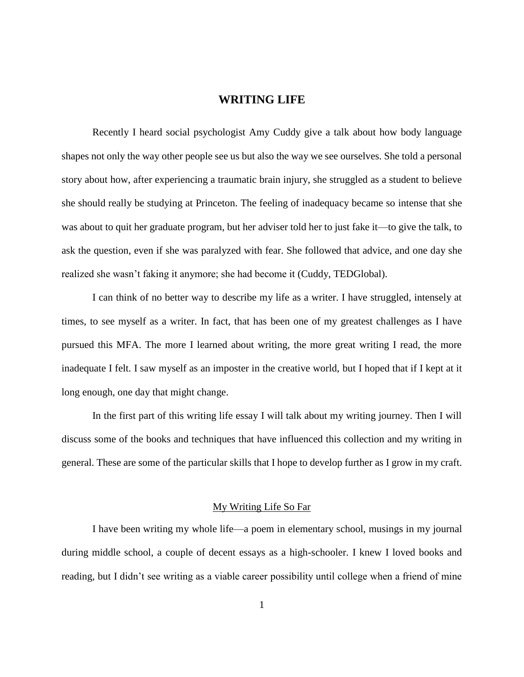# **WRITING LIFE**

<span id="page-7-0"></span>Recently I heard social psychologist Amy Cuddy give a talk about how body language shapes not only the way other people see us but also the way we see ourselves. She told a personal story about how, after experiencing a traumatic brain injury, she struggled as a student to believe she should really be studying at Princeton. The feeling of inadequacy became so intense that she was about to quit her graduate program, but her adviser told her to just fake it—to give the talk, to ask the question, even if she was paralyzed with fear. She followed that advice, and one day she realized she wasn't faking it anymore; she had become it (Cuddy, TEDGlobal).

I can think of no better way to describe my life as a writer. I have struggled, intensely at times, to see myself as a writer. In fact, that has been one of my greatest challenges as I have pursued this MFA. The more I learned about writing, the more great writing I read, the more inadequate I felt. I saw myself as an imposter in the creative world, but I hoped that if I kept at it long enough, one day that might change.

In the first part of this writing life essay I will talk about my writing journey. Then I will discuss some of the books and techniques that have influenced this collection and my writing in general. These are some of the particular skills that I hope to develop further as I grow in my craft.

## My Writing Life So Far

<span id="page-7-1"></span>I have been writing my whole life—a poem in elementary school, musings in my journal during middle school, a couple of decent essays as a high-schooler. I knew I loved books and reading, but I didn't see writing as a viable career possibility until college when a friend of mine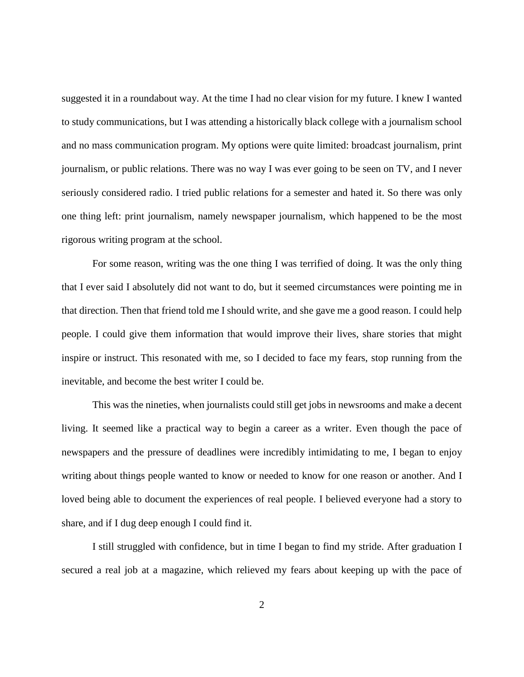suggested it in a roundabout way. At the time I had no clear vision for my future. I knew I wanted to study communications, but I was attending a historically black college with a journalism school and no mass communication program. My options were quite limited: broadcast journalism, print journalism, or public relations. There was no way I was ever going to be seen on TV, and I never seriously considered radio. I tried public relations for a semester and hated it. So there was only one thing left: print journalism, namely newspaper journalism, which happened to be the most rigorous writing program at the school.

For some reason, writing was the one thing I was terrified of doing. It was the only thing that I ever said I absolutely did not want to do, but it seemed circumstances were pointing me in that direction. Then that friend told me I should write, and she gave me a good reason. I could help people. I could give them information that would improve their lives, share stories that might inspire or instruct. This resonated with me, so I decided to face my fears, stop running from the inevitable, and become the best writer I could be.

This was the nineties, when journalists could still get jobs in newsrooms and make a decent living. It seemed like a practical way to begin a career as a writer. Even though the pace of newspapers and the pressure of deadlines were incredibly intimidating to me, I began to enjoy writing about things people wanted to know or needed to know for one reason or another. And I loved being able to document the experiences of real people. I believed everyone had a story to share, and if I dug deep enough I could find it.

I still struggled with confidence, but in time I began to find my stride. After graduation I secured a real job at a magazine, which relieved my fears about keeping up with the pace of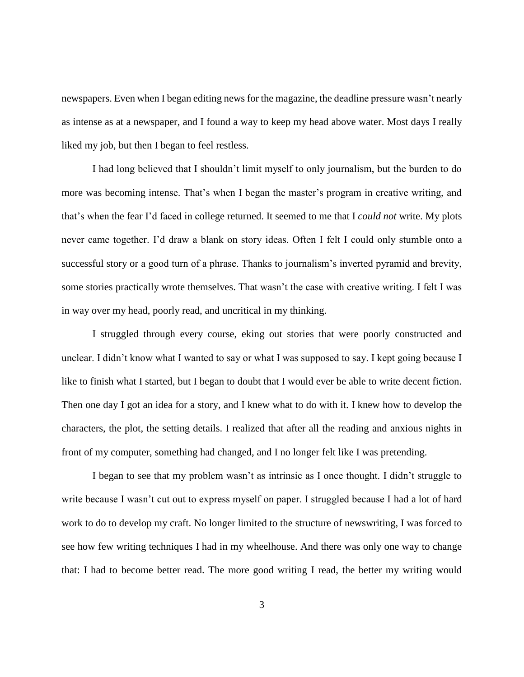newspapers. Even when I began editing news for the magazine, the deadline pressure wasn't nearly as intense as at a newspaper, and I found a way to keep my head above water. Most days I really liked my job, but then I began to feel restless.

I had long believed that I shouldn't limit myself to only journalism, but the burden to do more was becoming intense. That's when I began the master's program in creative writing, and that's when the fear I'd faced in college returned. It seemed to me that I *could not* write. My plots never came together. I'd draw a blank on story ideas. Often I felt I could only stumble onto a successful story or a good turn of a phrase. Thanks to journalism's inverted pyramid and brevity, some stories practically wrote themselves. That wasn't the case with creative writing. I felt I was in way over my head, poorly read, and uncritical in my thinking.

I struggled through every course, eking out stories that were poorly constructed and unclear. I didn't know what I wanted to say or what I was supposed to say. I kept going because I like to finish what I started, but I began to doubt that I would ever be able to write decent fiction. Then one day I got an idea for a story, and I knew what to do with it. I knew how to develop the characters, the plot, the setting details. I realized that after all the reading and anxious nights in front of my computer, something had changed, and I no longer felt like I was pretending.

I began to see that my problem wasn't as intrinsic as I once thought. I didn't struggle to write because I wasn't cut out to express myself on paper. I struggled because I had a lot of hard work to do to develop my craft. No longer limited to the structure of newswriting, I was forced to see how few writing techniques I had in my wheelhouse. And there was only one way to change that: I had to become better read. The more good writing I read, the better my writing would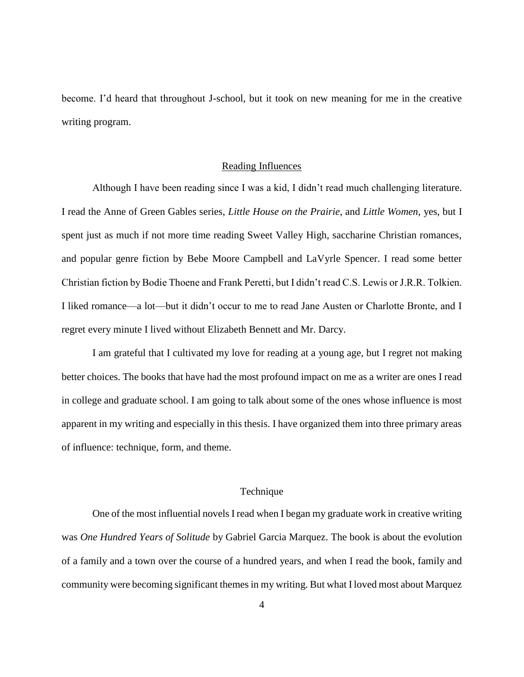become. I'd heard that throughout J-school, but it took on new meaning for me in the creative writing program.

### Reading Influences

<span id="page-10-0"></span>Although I have been reading since I was a kid, I didn't read much challenging literature. I read the Anne of Green Gables series, *Little House on the Prairie*, and *Little Women*, yes, but I spent just as much if not more time reading Sweet Valley High, saccharine Christian romances, and popular genre fiction by Bebe Moore Campbell and LaVyrle Spencer. I read some better Christian fiction by Bodie Thoene and Frank Peretti, but I didn't read C.S. Lewis or J.R.R. Tolkien. I liked romance—a lot—but it didn't occur to me to read Jane Austen or Charlotte Bronte, and I regret every minute I lived without Elizabeth Bennett and Mr. Darcy.

I am grateful that I cultivated my love for reading at a young age, but I regret not making better choices. The books that have had the most profound impact on me as a writer are ones I read in college and graduate school. I am going to talk about some of the ones whose influence is most apparent in my writing and especially in this thesis. I have organized them into three primary areas of influence: technique, form, and theme.

## Technique

<span id="page-10-1"></span>One of the most influential novels I read when I began my graduate work in creative writing was *One Hundred Years of Solitude* by Gabriel Garcia Marquez. The book is about the evolution of a family and a town over the course of a hundred years, and when I read the book, family and community were becoming significant themes in my writing. But what I loved most about Marquez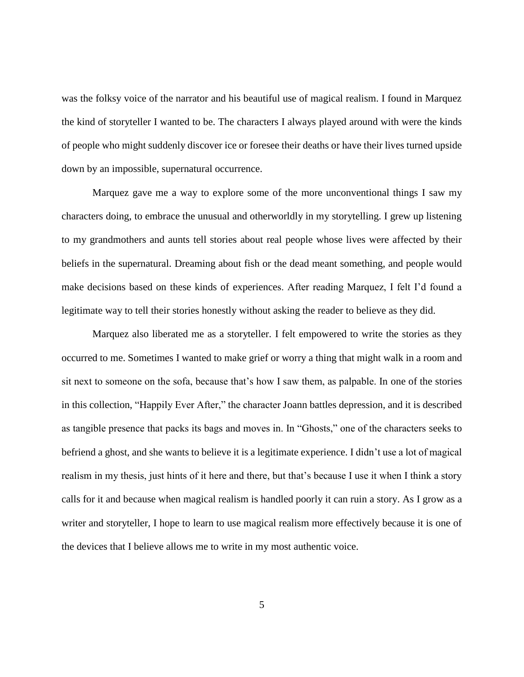was the folksy voice of the narrator and his beautiful use of magical realism. I found in Marquez the kind of storyteller I wanted to be. The characters I always played around with were the kinds of people who might suddenly discover ice or foresee their deaths or have their lives turned upside down by an impossible, supernatural occurrence.

Marquez gave me a way to explore some of the more unconventional things I saw my characters doing, to embrace the unusual and otherworldly in my storytelling. I grew up listening to my grandmothers and aunts tell stories about real people whose lives were affected by their beliefs in the supernatural. Dreaming about fish or the dead meant something, and people would make decisions based on these kinds of experiences. After reading Marquez, I felt I'd found a legitimate way to tell their stories honestly without asking the reader to believe as they did.

Marquez also liberated me as a storyteller. I felt empowered to write the stories as they occurred to me. Sometimes I wanted to make grief or worry a thing that might walk in a room and sit next to someone on the sofa, because that's how I saw them, as palpable. In one of the stories in this collection, "Happily Ever After," the character Joann battles depression, and it is described as tangible presence that packs its bags and moves in. In "Ghosts," one of the characters seeks to befriend a ghost, and she wants to believe it is a legitimate experience. I didn't use a lot of magical realism in my thesis, just hints of it here and there, but that's because I use it when I think a story calls for it and because when magical realism is handled poorly it can ruin a story. As I grow as a writer and storyteller, I hope to learn to use magical realism more effectively because it is one of the devices that I believe allows me to write in my most authentic voice.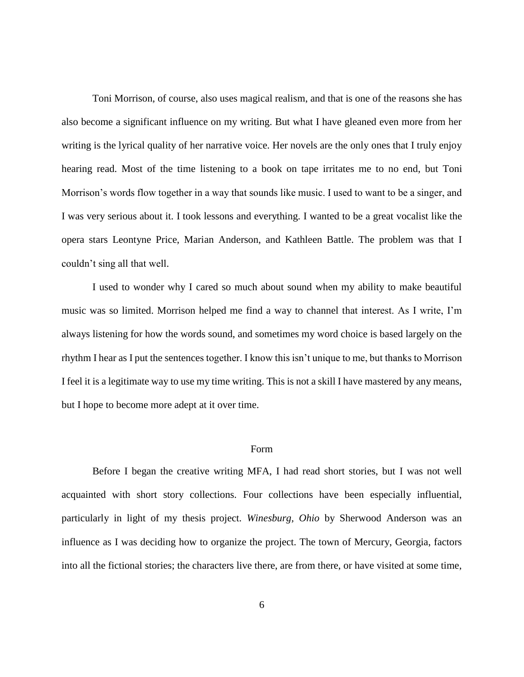Toni Morrison, of course, also uses magical realism, and that is one of the reasons she has also become a significant influence on my writing. But what I have gleaned even more from her writing is the lyrical quality of her narrative voice. Her novels are the only ones that I truly enjoy hearing read. Most of the time listening to a book on tape irritates me to no end, but Toni Morrison's words flow together in a way that sounds like music. I used to want to be a singer, and I was very serious about it. I took lessons and everything. I wanted to be a great vocalist like the opera stars Leontyne Price, Marian Anderson, and Kathleen Battle. The problem was that I couldn't sing all that well.

I used to wonder why I cared so much about sound when my ability to make beautiful music was so limited. Morrison helped me find a way to channel that interest. As I write, I'm always listening for how the words sound, and sometimes my word choice is based largely on the rhythm I hear as I put the sentences together. I know this isn't unique to me, but thanks to Morrison I feel it is a legitimate way to use my time writing. This is not a skill I have mastered by any means, but I hope to become more adept at it over time.

#### Form

<span id="page-12-0"></span>Before I began the creative writing MFA, I had read short stories, but I was not well acquainted with short story collections. Four collections have been especially influential, particularly in light of my thesis project. *Winesburg, Ohio* by Sherwood Anderson was an influence as I was deciding how to organize the project. The town of Mercury, Georgia, factors into all the fictional stories; the characters live there, are from there, or have visited at some time,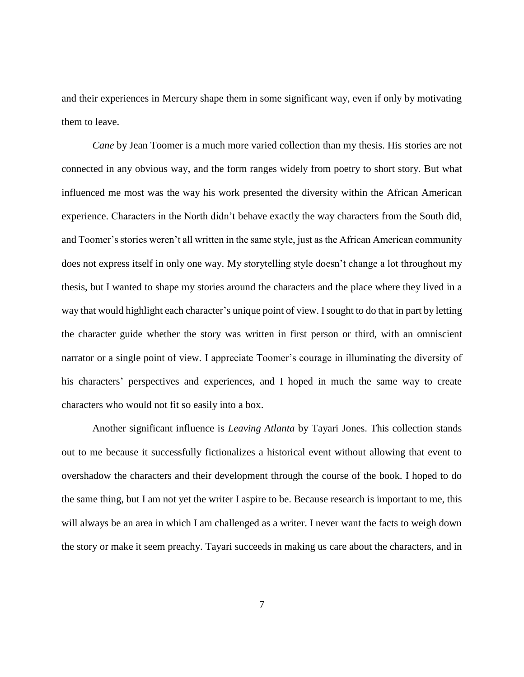and their experiences in Mercury shape them in some significant way, even if only by motivating them to leave.

*Cane* by Jean Toomer is a much more varied collection than my thesis. His stories are not connected in any obvious way, and the form ranges widely from poetry to short story. But what influenced me most was the way his work presented the diversity within the African American experience. Characters in the North didn't behave exactly the way characters from the South did, and Toomer's stories weren't all written in the same style, just as the African American community does not express itself in only one way. My storytelling style doesn't change a lot throughout my thesis, but I wanted to shape my stories around the characters and the place where they lived in a way that would highlight each character's unique point of view. I sought to do that in part by letting the character guide whether the story was written in first person or third, with an omniscient narrator or a single point of view. I appreciate Toomer's courage in illuminating the diversity of his characters' perspectives and experiences, and I hoped in much the same way to create characters who would not fit so easily into a box.

Another significant influence is *Leaving Atlanta* by Tayari Jones. This collection stands out to me because it successfully fictionalizes a historical event without allowing that event to overshadow the characters and their development through the course of the book. I hoped to do the same thing, but I am not yet the writer I aspire to be. Because research is important to me, this will always be an area in which I am challenged as a writer. I never want the facts to weigh down the story or make it seem preachy. Tayari succeeds in making us care about the characters, and in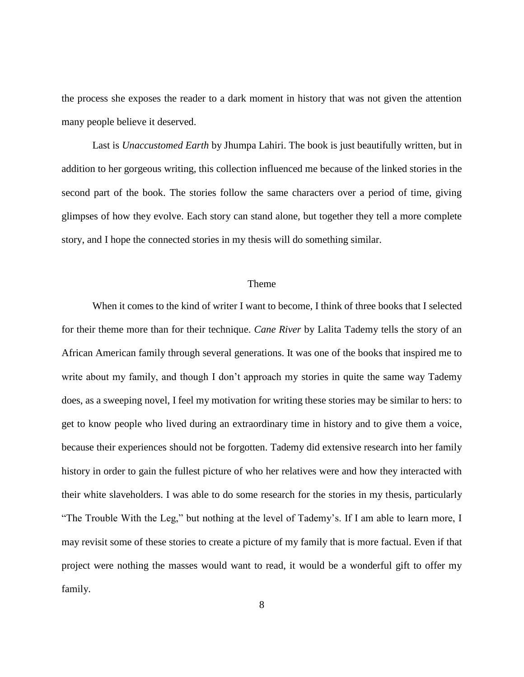the process she exposes the reader to a dark moment in history that was not given the attention many people believe it deserved.

Last is *Unaccustomed Earth* by Jhumpa Lahiri. The book is just beautifully written, but in addition to her gorgeous writing, this collection influenced me because of the linked stories in the second part of the book. The stories follow the same characters over a period of time, giving glimpses of how they evolve. Each story can stand alone, but together they tell a more complete story, and I hope the connected stories in my thesis will do something similar.

# Theme

<span id="page-14-0"></span>When it comes to the kind of writer I want to become, I think of three books that I selected for their theme more than for their technique. *Cane River* by Lalita Tademy tells the story of an African American family through several generations. It was one of the books that inspired me to write about my family, and though I don't approach my stories in quite the same way Tademy does, as a sweeping novel, I feel my motivation for writing these stories may be similar to hers: to get to know people who lived during an extraordinary time in history and to give them a voice, because their experiences should not be forgotten. Tademy did extensive research into her family history in order to gain the fullest picture of who her relatives were and how they interacted with their white slaveholders. I was able to do some research for the stories in my thesis, particularly "The Trouble With the Leg," but nothing at the level of Tademy's. If I am able to learn more, I may revisit some of these stories to create a picture of my family that is more factual. Even if that project were nothing the masses would want to read, it would be a wonderful gift to offer my family.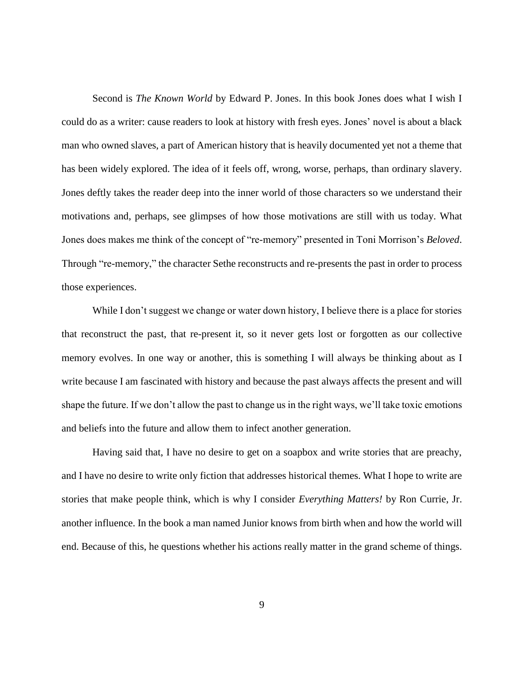Second is *The Known World* by Edward P. Jones. In this book Jones does what I wish I could do as a writer: cause readers to look at history with fresh eyes. Jones' novel is about a black man who owned slaves, a part of American history that is heavily documented yet not a theme that has been widely explored. The idea of it feels off, wrong, worse, perhaps, than ordinary slavery. Jones deftly takes the reader deep into the inner world of those characters so we understand their motivations and, perhaps, see glimpses of how those motivations are still with us today. What Jones does makes me think of the concept of "re-memory" presented in Toni Morrison's *Beloved*. Through "re-memory," the character Sethe reconstructs and re-presents the past in order to process those experiences.

While I don't suggest we change or water down history, I believe there is a place for stories that reconstruct the past, that re-present it, so it never gets lost or forgotten as our collective memory evolves. In one way or another, this is something I will always be thinking about as I write because I am fascinated with history and because the past always affects the present and will shape the future. If we don't allow the past to change us in the right ways, we'll take toxic emotions and beliefs into the future and allow them to infect another generation.

Having said that, I have no desire to get on a soapbox and write stories that are preachy, and I have no desire to write only fiction that addresses historical themes. What I hope to write are stories that make people think, which is why I consider *Everything Matters!* by Ron Currie, Jr. another influence. In the book a man named Junior knows from birth when and how the world will end. Because of this, he questions whether his actions really matter in the grand scheme of things.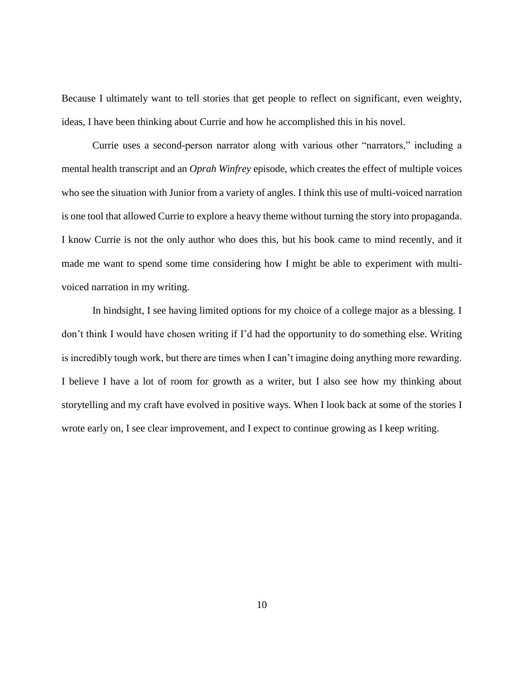Because I ultimately want to tell stories that get people to reflect on significant, even weighty, ideas, I have been thinking about Currie and how he accomplished this in his novel.

Currie uses a second-person narrator along with various other "narrators," including a mental health transcript and an *Oprah Winfrey* episode, which creates the effect of multiple voices who see the situation with Junior from a variety of angles. I think this use of multi-voiced narration is one tool that allowed Currie to explore a heavy theme without turning the story into propaganda. I know Currie is not the only author who does this, but his book came to mind recently, and it made me want to spend some time considering how I might be able to experiment with multivoiced narration in my writing.

In hindsight, I see having limited options for my choice of a college major as a blessing. I don't think I would have chosen writing if I'd had the opportunity to do something else. Writing is incredibly tough work, but there are times when I can't imagine doing anything more rewarding. I believe I have a lot of room for growth as a writer, but I also see how my thinking about storytelling and my craft have evolved in positive ways. When I look back at some of the stories I wrote early on, I see clear improvement, and I expect to continue growing as I keep writing.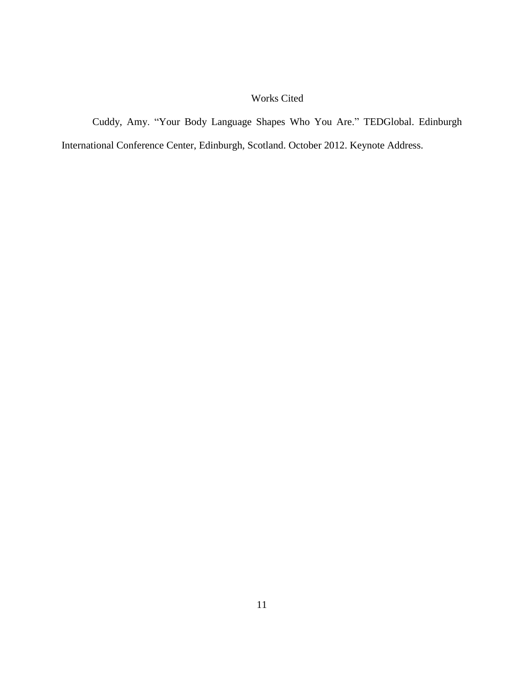# Works Cited

Cuddy, Amy. "Your Body Language Shapes Who You Are." TEDGlobal. Edinburgh International Conference Center, Edinburgh, Scotland. October 2012. Keynote Address.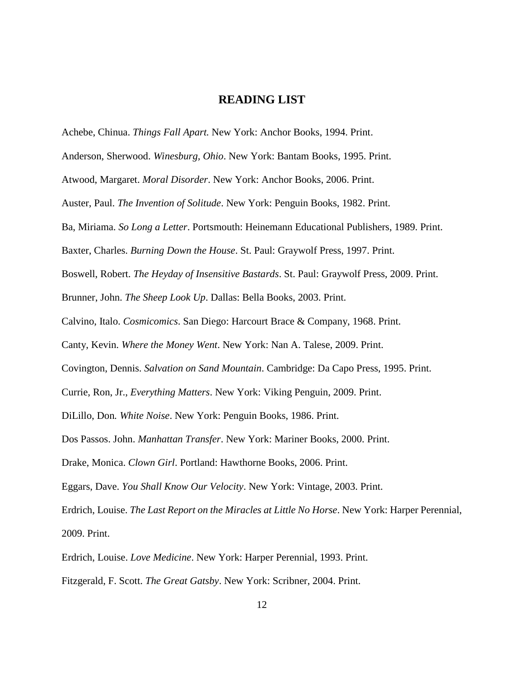# **READING LIST**

<span id="page-18-0"></span>Achebe, Chinua. *Things Fall Apart.* New York: Anchor Books, 1994. Print.

Anderson, Sherwood. *Winesburg, Ohio*. New York: Bantam Books, 1995. Print.

Atwood, Margaret. *Moral Disorder*. New York: Anchor Books, 2006. Print.

Auster, Paul. *The Invention of Solitude*. New York: Penguin Books, 1982. Print.

Ba, Miriama. *So Long a Letter*. Portsmouth: Heinemann Educational Publishers, 1989. Print.

Baxter, Charles. *Burning Down the House*. St. Paul: Graywolf Press, 1997. Print.

Boswell, Robert. *The Heyday of Insensitive Bastards*. St. Paul: Graywolf Press, 2009. Print.

Brunner, John. *The Sheep Look Up*. Dallas: Bella Books, 2003. Print.

Calvino, Italo. *Cosmicomics*. San Diego: Harcourt Brace & Company, 1968. Print.

Canty, Kevin. *Where the Money Went*. New York: Nan A. Talese, 2009. Print.

Covington, Dennis. *Salvation on Sand Mountain*. Cambridge: Da Capo Press, 1995. Print.

Currie, Ron, Jr., *Everything Matters*. New York: Viking Penguin, 2009. Print.

DiLillo, Don*. White Noise*. New York: Penguin Books, 1986. Print.

Dos Passos. John. *Manhattan Transfer*. New York: Mariner Books, 2000. Print.

Drake, Monica. *Clown Girl*. Portland: Hawthorne Books, 2006. Print.

Eggars, Dave. *You Shall Know Our Velocity*. New York: Vintage, 2003. Print.

Erdrich, Louise. *The Last Report on the Miracles at Little No Horse*. New York: Harper Perennial, 2009. Print.

Erdrich, Louise. *Love Medicine*. New York: Harper Perennial, 1993. Print.

Fitzgerald, F. Scott. *The Great Gatsby*. New York: Scribner, 2004. Print.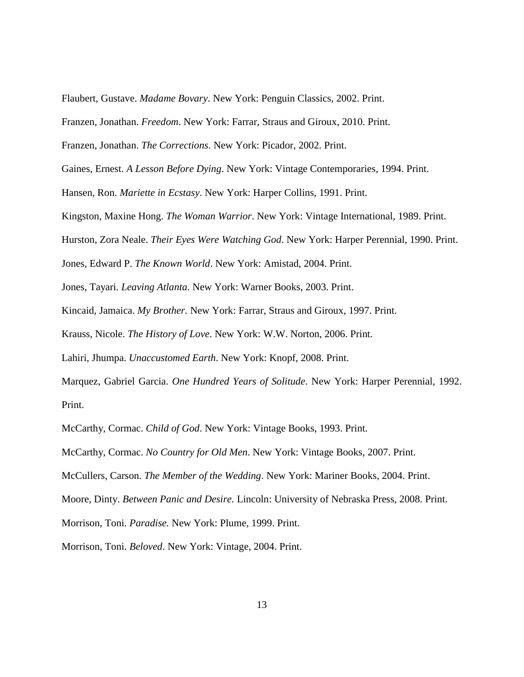Flaubert, Gustave. *Madame Bovary*. New York: Penguin Classics, 2002. Print.

Franzen, Jonathan. *Freedom*. New York: Farrar, Straus and Giroux, 2010. Print.

Franzen, Jonathan. *The Corrections*. New York: Picador, 2002. Print.

Gaines, Ernest. *A Lesson Before Dying*. New York: Vintage Contemporaries, 1994. Print.

Hansen, Ron. *Mariette in Ecstasy*. New York: Harper Collins, 1991. Print.

Kingston, Maxine Hong. *The Woman Warrior*. New York: Vintage International, 1989. Print.

Hurston, Zora Neale. *Their Eyes Were Watching God*. New York: Harper Perennial, 1990. Print.

Jones, Edward P. *The Known World*. New York: Amistad, 2004. Print.

Jones, Tayari*. Leaving Atlanta.* New York: Warner Books, 2003. Print.

Kincaid, Jamaica. *My Brother.* New York: Farrar, Straus and Giroux, 1997. Print.

Krauss, Nicole. *The History of Love*. New York: W.W. Norton, 2006. Print.

Lahiri, Jhumpa. *Unaccustomed Earth*. New York: Knopf, 2008. Print.

Marquez, Gabriel Garcia. *One Hundred Years of Solitude*. New York: Harper Perennial, 1992. Print.

McCarthy, Cormac. *Child of God*. New York: Vintage Books, 1993. Print.

McCarthy, Cormac. *No Country for Old Men*. New York: Vintage Books, 2007. Print.

McCullers, Carson. *The Member of the Wedding*. New York: Mariner Books, 2004. Print.

Moore, Dinty. *Between Panic and Desire.* Lincoln: University of Nebraska Press, 2008. Print.

Morrison, Toni. *Paradise.* New York: Plume, 1999. Print.

Morrison, Toni. *Beloved*. New York: Vintage, 2004. Print.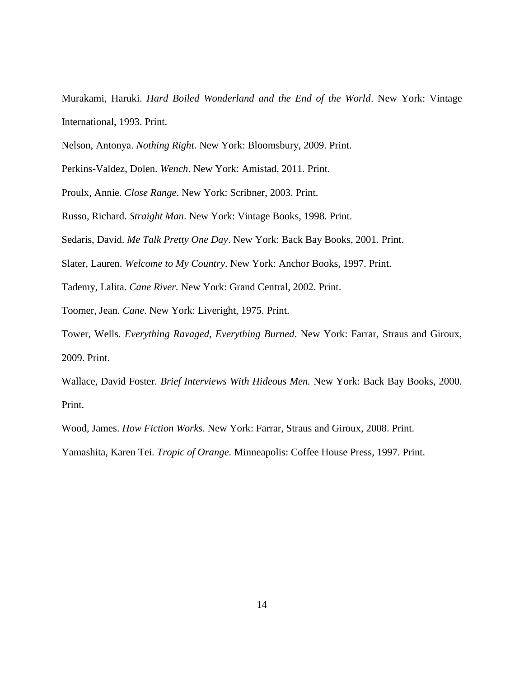Murakami, Haruki. *Hard Boiled Wonderland and the End of the World*. New York: Vintage International, 1993. Print.

Nelson, Antonya. *Nothing Right*. New York: Bloomsbury, 2009. Print.

Perkins-Valdez, Dolen. *Wench*. New York: Amistad, 2011. Print.

Proulx, Annie. *Close Range*. New York: Scribner, 2003. Print.

Russo, Richard. *Straight Man*. New York: Vintage Books, 1998. Print.

Sedaris, David. *Me Talk Pretty One Day*. New York: Back Bay Books, 2001. Print.

Slater, Lauren. *Welcome to My Country*. New York: Anchor Books, 1997. Print.

Tademy, Lalita. *Cane River.* New York: Grand Central, 2002. Print.

Toomer, Jean. *Cane*. New York: Liveright, 1975. Print.

Tower, Wells. *Everything Ravaged, Everything Burned*. New York: Farrar, Straus and Giroux, 2009. Print.

Wallace, David Foster. *Brief Interviews With Hideous Men.* New York: Back Bay Books, 2000. Print.

Wood, James. *How Fiction Works*. New York: Farrar, Straus and Giroux, 2008. Print.

Yamashita, Karen Tei. *Tropic of Orange.* Minneapolis: Coffee House Press, 1997. Print.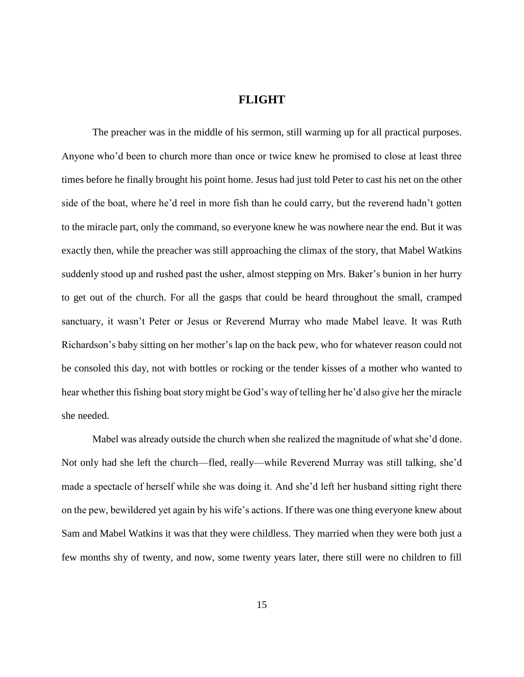# **FLIGHT**

<span id="page-21-0"></span>The preacher was in the middle of his sermon, still warming up for all practical purposes. Anyone who'd been to church more than once or twice knew he promised to close at least three times before he finally brought his point home. Jesus had just told Peter to cast his net on the other side of the boat, where he'd reel in more fish than he could carry, but the reverend hadn't gotten to the miracle part, only the command, so everyone knew he was nowhere near the end. But it was exactly then, while the preacher was still approaching the climax of the story, that Mabel Watkins suddenly stood up and rushed past the usher, almost stepping on Mrs. Baker's bunion in her hurry to get out of the church. For all the gasps that could be heard throughout the small, cramped sanctuary, it wasn't Peter or Jesus or Reverend Murray who made Mabel leave. It was Ruth Richardson's baby sitting on her mother's lap on the back pew, who for whatever reason could not be consoled this day, not with bottles or rocking or the tender kisses of a mother who wanted to hear whether this fishing boat story might be God's way of telling her he'd also give her the miracle she needed.

Mabel was already outside the church when she realized the magnitude of what she'd done. Not only had she left the church—fled, really—while Reverend Murray was still talking, she'd made a spectacle of herself while she was doing it. And she'd left her husband sitting right there on the pew, bewildered yet again by his wife's actions. If there was one thing everyone knew about Sam and Mabel Watkins it was that they were childless. They married when they were both just a few months shy of twenty, and now, some twenty years later, there still were no children to fill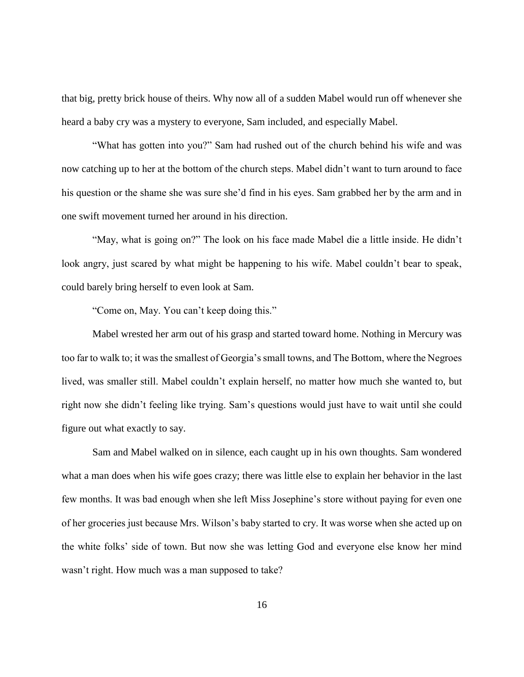that big, pretty brick house of theirs. Why now all of a sudden Mabel would run off whenever she heard a baby cry was a mystery to everyone, Sam included, and especially Mabel.

"What has gotten into you?" Sam had rushed out of the church behind his wife and was now catching up to her at the bottom of the church steps. Mabel didn't want to turn around to face his question or the shame she was sure she'd find in his eyes. Sam grabbed her by the arm and in one swift movement turned her around in his direction.

"May, what is going on?" The look on his face made Mabel die a little inside. He didn't look angry, just scared by what might be happening to his wife. Mabel couldn't bear to speak, could barely bring herself to even look at Sam.

"Come on, May. You can't keep doing this."

Mabel wrested her arm out of his grasp and started toward home. Nothing in Mercury was too far to walk to; it was the smallest of Georgia's small towns, and The Bottom, where the Negroes lived, was smaller still. Mabel couldn't explain herself, no matter how much she wanted to, but right now she didn't feeling like trying. Sam's questions would just have to wait until she could figure out what exactly to say.

Sam and Mabel walked on in silence, each caught up in his own thoughts. Sam wondered what a man does when his wife goes crazy; there was little else to explain her behavior in the last few months. It was bad enough when she left Miss Josephine's store without paying for even one of her groceries just because Mrs. Wilson's baby started to cry. It was worse when she acted up on the white folks' side of town. But now she was letting God and everyone else know her mind wasn't right. How much was a man supposed to take?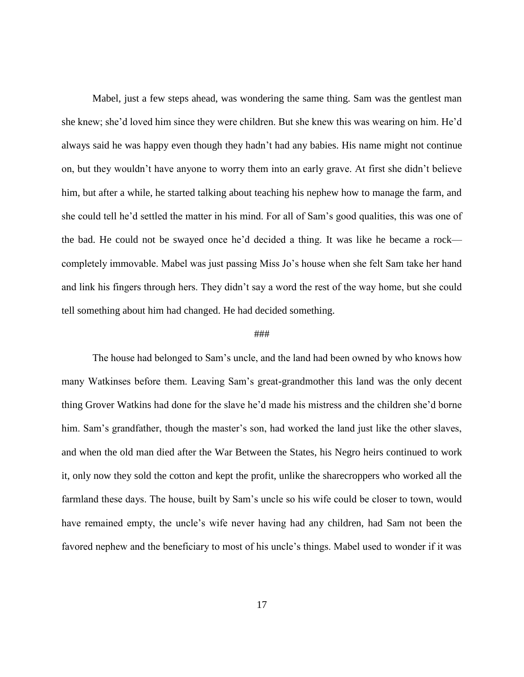Mabel, just a few steps ahead, was wondering the same thing. Sam was the gentlest man she knew; she'd loved him since they were children. But she knew this was wearing on him. He'd always said he was happy even though they hadn't had any babies. His name might not continue on, but they wouldn't have anyone to worry them into an early grave. At first she didn't believe him, but after a while, he started talking about teaching his nephew how to manage the farm, and she could tell he'd settled the matter in his mind. For all of Sam's good qualities, this was one of the bad. He could not be swayed once he'd decided a thing. It was like he became a rock completely immovable. Mabel was just passing Miss Jo's house when she felt Sam take her hand and link his fingers through hers. They didn't say a word the rest of the way home, but she could tell something about him had changed. He had decided something.

#### ###

The house had belonged to Sam's uncle, and the land had been owned by who knows how many Watkinses before them. Leaving Sam's great-grandmother this land was the only decent thing Grover Watkins had done for the slave he'd made his mistress and the children she'd borne him. Sam's grandfather, though the master's son, had worked the land just like the other slaves, and when the old man died after the War Between the States, his Negro heirs continued to work it, only now they sold the cotton and kept the profit, unlike the sharecroppers who worked all the farmland these days. The house, built by Sam's uncle so his wife could be closer to town, would have remained empty, the uncle's wife never having had any children, had Sam not been the favored nephew and the beneficiary to most of his uncle's things. Mabel used to wonder if it was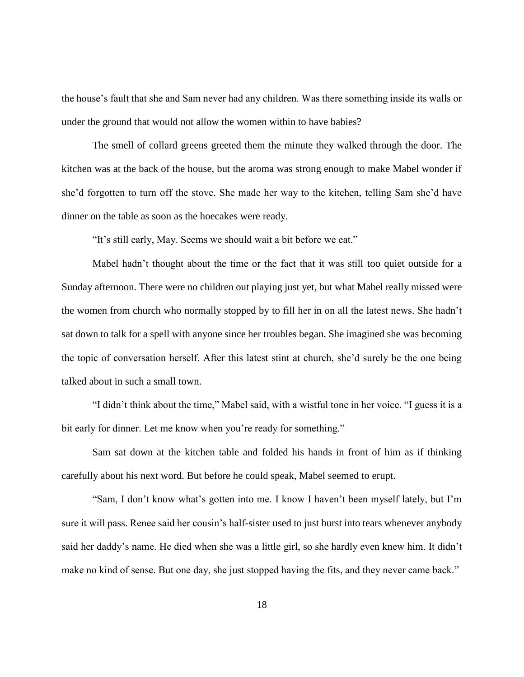the house's fault that she and Sam never had any children. Was there something inside its walls or under the ground that would not allow the women within to have babies?

The smell of collard greens greeted them the minute they walked through the door. The kitchen was at the back of the house, but the aroma was strong enough to make Mabel wonder if she'd forgotten to turn off the stove. She made her way to the kitchen, telling Sam she'd have dinner on the table as soon as the hoecakes were ready.

"It's still early, May. Seems we should wait a bit before we eat."

Mabel hadn't thought about the time or the fact that it was still too quiet outside for a Sunday afternoon. There were no children out playing just yet, but what Mabel really missed were the women from church who normally stopped by to fill her in on all the latest news. She hadn't sat down to talk for a spell with anyone since her troubles began. She imagined she was becoming the topic of conversation herself. After this latest stint at church, she'd surely be the one being talked about in such a small town.

"I didn't think about the time," Mabel said, with a wistful tone in her voice. "I guess it is a bit early for dinner. Let me know when you're ready for something."

Sam sat down at the kitchen table and folded his hands in front of him as if thinking carefully about his next word. But before he could speak, Mabel seemed to erupt.

"Sam, I don't know what's gotten into me. I know I haven't been myself lately, but I'm sure it will pass. Renee said her cousin's half-sister used to just burst into tears whenever anybody said her daddy's name. He died when she was a little girl, so she hardly even knew him. It didn't make no kind of sense. But one day, she just stopped having the fits, and they never came back."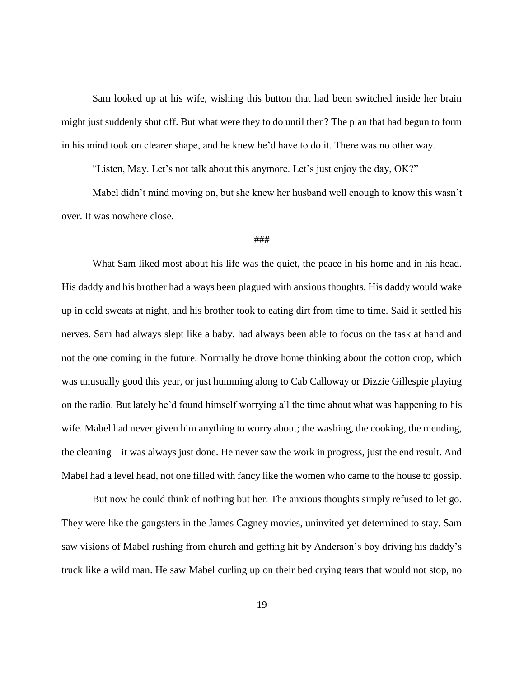Sam looked up at his wife, wishing this button that had been switched inside her brain might just suddenly shut off. But what were they to do until then? The plan that had begun to form in his mind took on clearer shape, and he knew he'd have to do it. There was no other way.

"Listen, May. Let's not talk about this anymore. Let's just enjoy the day, OK?"

Mabel didn't mind moving on, but she knew her husband well enough to know this wasn't over. It was nowhere close.

#### ###

What Sam liked most about his life was the quiet, the peace in his home and in his head. His daddy and his brother had always been plagued with anxious thoughts. His daddy would wake up in cold sweats at night, and his brother took to eating dirt from time to time. Said it settled his nerves. Sam had always slept like a baby, had always been able to focus on the task at hand and not the one coming in the future. Normally he drove home thinking about the cotton crop, which was unusually good this year, or just humming along to Cab Calloway or Dizzie Gillespie playing on the radio. But lately he'd found himself worrying all the time about what was happening to his wife. Mabel had never given him anything to worry about; the washing, the cooking, the mending, the cleaning—it was always just done. He never saw the work in progress, just the end result. And Mabel had a level head, not one filled with fancy like the women who came to the house to gossip.

But now he could think of nothing but her. The anxious thoughts simply refused to let go. They were like the gangsters in the James Cagney movies, uninvited yet determined to stay. Sam saw visions of Mabel rushing from church and getting hit by Anderson's boy driving his daddy's truck like a wild man. He saw Mabel curling up on their bed crying tears that would not stop, no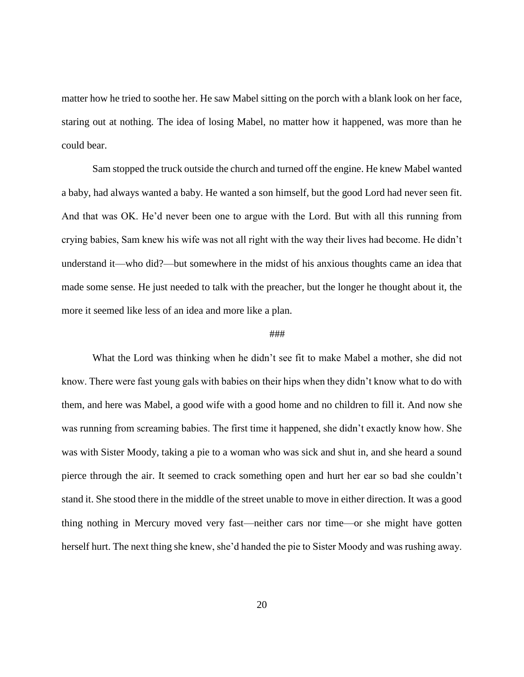matter how he tried to soothe her. He saw Mabel sitting on the porch with a blank look on her face, staring out at nothing. The idea of losing Mabel, no matter how it happened, was more than he could bear.

Sam stopped the truck outside the church and turned off the engine. He knew Mabel wanted a baby, had always wanted a baby. He wanted a son himself, but the good Lord had never seen fit. And that was OK. He'd never been one to argue with the Lord. But with all this running from crying babies, Sam knew his wife was not all right with the way their lives had become. He didn't understand it—who did?—but somewhere in the midst of his anxious thoughts came an idea that made some sense. He just needed to talk with the preacher, but the longer he thought about it, the more it seemed like less of an idea and more like a plan.

#### ###

What the Lord was thinking when he didn't see fit to make Mabel a mother, she did not know. There were fast young gals with babies on their hips when they didn't know what to do with them, and here was Mabel, a good wife with a good home and no children to fill it. And now she was running from screaming babies. The first time it happened, she didn't exactly know how. She was with Sister Moody, taking a pie to a woman who was sick and shut in, and she heard a sound pierce through the air. It seemed to crack something open and hurt her ear so bad she couldn't stand it. She stood there in the middle of the street unable to move in either direction. It was a good thing nothing in Mercury moved very fast—neither cars nor time—or she might have gotten herself hurt. The next thing she knew, she'd handed the pie to Sister Moody and was rushing away.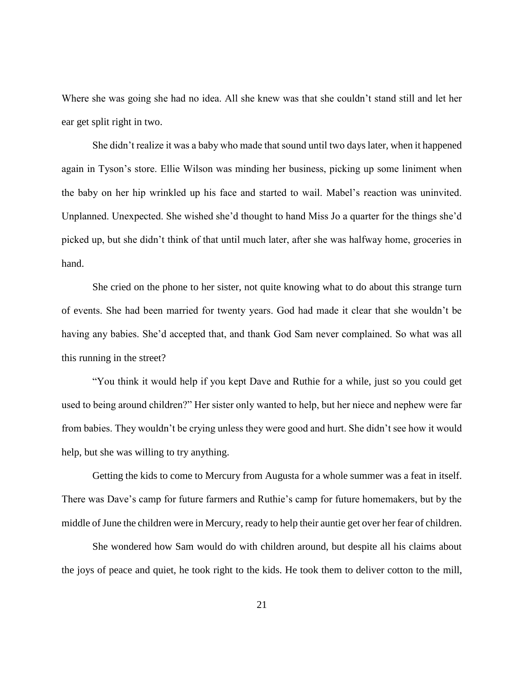Where she was going she had no idea. All she knew was that she couldn't stand still and let her ear get split right in two.

She didn't realize it was a baby who made that sound until two days later, when it happened again in Tyson's store. Ellie Wilson was minding her business, picking up some liniment when the baby on her hip wrinkled up his face and started to wail. Mabel's reaction was uninvited. Unplanned. Unexpected. She wished she'd thought to hand Miss Jo a quarter for the things she'd picked up, but she didn't think of that until much later, after she was halfway home, groceries in hand.

She cried on the phone to her sister, not quite knowing what to do about this strange turn of events. She had been married for twenty years. God had made it clear that she wouldn't be having any babies. She'd accepted that, and thank God Sam never complained. So what was all this running in the street?

"You think it would help if you kept Dave and Ruthie for a while, just so you could get used to being around children?" Her sister only wanted to help, but her niece and nephew were far from babies. They wouldn't be crying unless they were good and hurt. She didn't see how it would help, but she was willing to try anything.

Getting the kids to come to Mercury from Augusta for a whole summer was a feat in itself. There was Dave's camp for future farmers and Ruthie's camp for future homemakers, but by the middle of June the children were in Mercury, ready to help their auntie get over her fear of children.

She wondered how Sam would do with children around, but despite all his claims about the joys of peace and quiet, he took right to the kids. He took them to deliver cotton to the mill,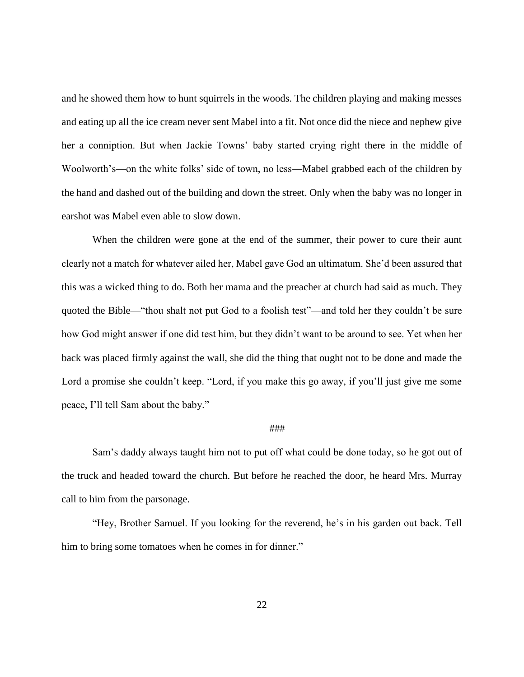and he showed them how to hunt squirrels in the woods. The children playing and making messes and eating up all the ice cream never sent Mabel into a fit. Not once did the niece and nephew give her a conniption. But when Jackie Towns' baby started crying right there in the middle of Woolworth's—on the white folks' side of town, no less—Mabel grabbed each of the children by the hand and dashed out of the building and down the street. Only when the baby was no longer in earshot was Mabel even able to slow down.

When the children were gone at the end of the summer, their power to cure their aunt clearly not a match for whatever ailed her, Mabel gave God an ultimatum. She'd been assured that this was a wicked thing to do. Both her mama and the preacher at church had said as much. They quoted the Bible—"thou shalt not put God to a foolish test"—and told her they couldn't be sure how God might answer if one did test him, but they didn't want to be around to see. Yet when her back was placed firmly against the wall, she did the thing that ought not to be done and made the Lord a promise she couldn't keep. "Lord, if you make this go away, if you'll just give me some peace, I'll tell Sam about the baby."

#### ###

Sam's daddy always taught him not to put off what could be done today, so he got out of the truck and headed toward the church. But before he reached the door, he heard Mrs. Murray call to him from the parsonage.

"Hey, Brother Samuel. If you looking for the reverend, he's in his garden out back. Tell him to bring some tomatoes when he comes in for dinner."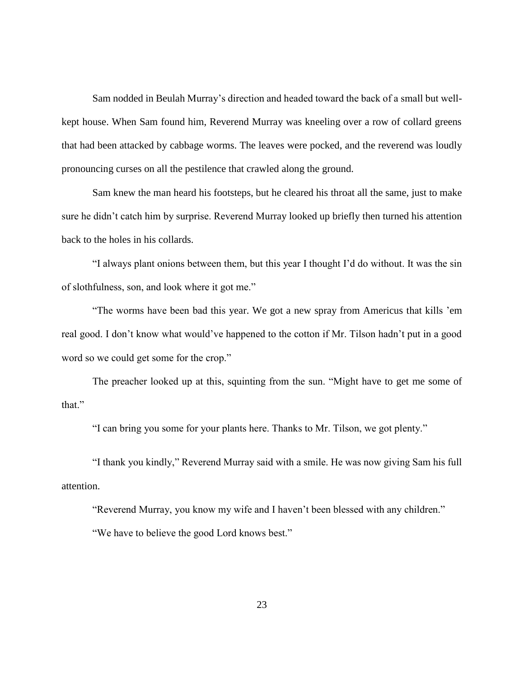Sam nodded in Beulah Murray's direction and headed toward the back of a small but wellkept house. When Sam found him, Reverend Murray was kneeling over a row of collard greens that had been attacked by cabbage worms. The leaves were pocked, and the reverend was loudly pronouncing curses on all the pestilence that crawled along the ground.

Sam knew the man heard his footsteps, but he cleared his throat all the same, just to make sure he didn't catch him by surprise. Reverend Murray looked up briefly then turned his attention back to the holes in his collards.

"I always plant onions between them, but this year I thought I'd do without. It was the sin of slothfulness, son, and look where it got me."

"The worms have been bad this year. We got a new spray from Americus that kills 'em real good. I don't know what would've happened to the cotton if Mr. Tilson hadn't put in a good word so we could get some for the crop."

The preacher looked up at this, squinting from the sun. "Might have to get me some of that."

"I can bring you some for your plants here. Thanks to Mr. Tilson, we got plenty."

"I thank you kindly," Reverend Murray said with a smile. He was now giving Sam his full attention.

"Reverend Murray, you know my wife and I haven't been blessed with any children."

"We have to believe the good Lord knows best."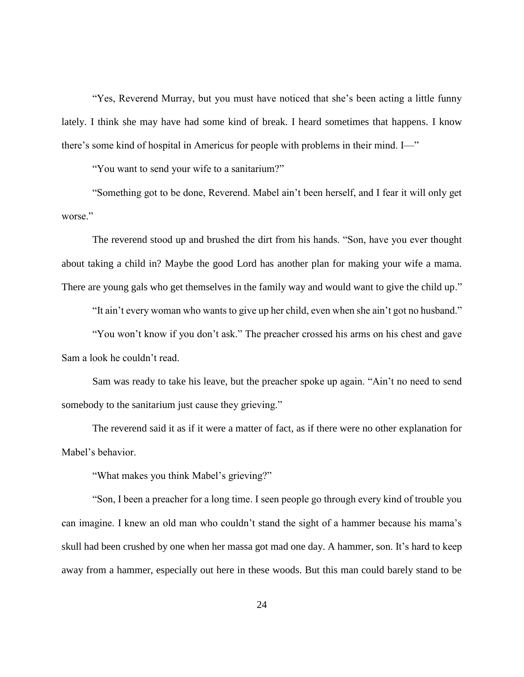"Yes, Reverend Murray, but you must have noticed that she's been acting a little funny lately. I think she may have had some kind of break. I heard sometimes that happens. I know there's some kind of hospital in Americus for people with problems in their mind. I—"

"You want to send your wife to a sanitarium?"

"Something got to be done, Reverend. Mabel ain't been herself, and I fear it will only get worse."

The reverend stood up and brushed the dirt from his hands. "Son, have you ever thought about taking a child in? Maybe the good Lord has another plan for making your wife a mama. There are young gals who get themselves in the family way and would want to give the child up."

"It ain't every woman who wants to give up her child, even when she ain't got no husband."

"You won't know if you don't ask." The preacher crossed his arms on his chest and gave Sam a look he couldn't read.

Sam was ready to take his leave, but the preacher spoke up again. "Ain't no need to send somebody to the sanitarium just cause they grieving."

The reverend said it as if it were a matter of fact, as if there were no other explanation for Mabel's behavior.

"What makes you think Mabel's grieving?"

"Son, I been a preacher for a long time. I seen people go through every kind of trouble you can imagine. I knew an old man who couldn't stand the sight of a hammer because his mama's skull had been crushed by one when her massa got mad one day. A hammer, son. It's hard to keep away from a hammer, especially out here in these woods. But this man could barely stand to be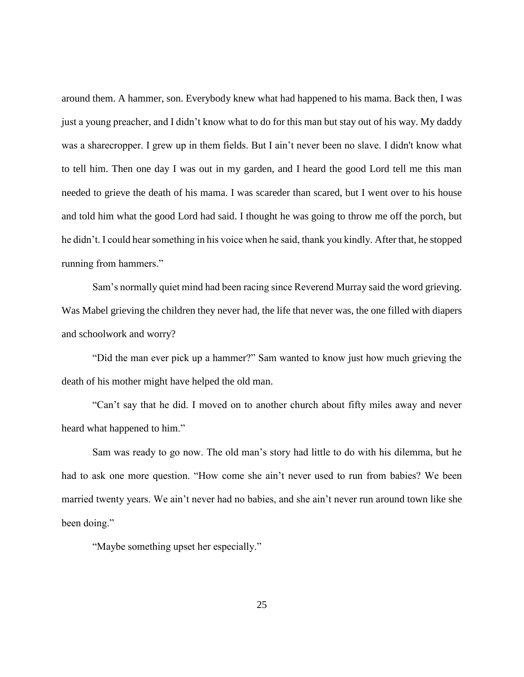around them. A hammer, son. Everybody knew what had happened to his mama. Back then, I was just a young preacher, and I didn't know what to do for this man but stay out of his way. My daddy was a sharecropper. I grew up in them fields. But I ain't never been no slave. I didn't know what to tell him. Then one day I was out in my garden, and I heard the good Lord tell me this man needed to grieve the death of his mama. I was scareder than scared, but I went over to his house and told him what the good Lord had said. I thought he was going to throw me off the porch, but he didn't. I could hear something in his voice when he said, thank you kindly. After that, he stopped running from hammers."

Sam's normally quiet mind had been racing since Reverend Murray said the word grieving. Was Mabel grieving the children they never had, the life that never was, the one filled with diapers and schoolwork and worry?

"Did the man ever pick up a hammer?" Sam wanted to know just how much grieving the death of his mother might have helped the old man.

"Can't say that he did. I moved on to another church about fifty miles away and never heard what happened to him."

Sam was ready to go now. The old man's story had little to do with his dilemma, but he had to ask one more question. "How come she ain't never used to run from babies? We been married twenty years. We ain't never had no babies, and she ain't never run around town like she been doing."

"Maybe something upset her especially."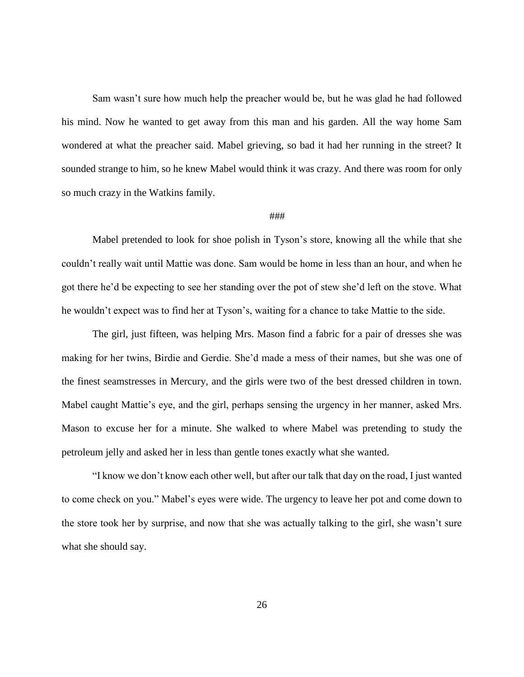Sam wasn't sure how much help the preacher would be, but he was glad he had followed his mind. Now he wanted to get away from this man and his garden. All the way home Sam wondered at what the preacher said. Mabel grieving, so bad it had her running in the street? It sounded strange to him, so he knew Mabel would think it was crazy. And there was room for only so much crazy in the Watkins family.

#### ###

Mabel pretended to look for shoe polish in Tyson's store, knowing all the while that she couldn't really wait until Mattie was done. Sam would be home in less than an hour, and when he got there he'd be expecting to see her standing over the pot of stew she'd left on the stove. What he wouldn't expect was to find her at Tyson's, waiting for a chance to take Mattie to the side.

The girl, just fifteen, was helping Mrs. Mason find a fabric for a pair of dresses she was making for her twins, Birdie and Gerdie. She'd made a mess of their names, but she was one of the finest seamstresses in Mercury, and the girls were two of the best dressed children in town. Mabel caught Mattie's eye, and the girl, perhaps sensing the urgency in her manner, asked Mrs. Mason to excuse her for a minute. She walked to where Mabel was pretending to study the petroleum jelly and asked her in less than gentle tones exactly what she wanted.

"I know we don't know each other well, but after our talk that day on the road, I just wanted to come check on you." Mabel's eyes were wide. The urgency to leave her pot and come down to the store took her by surprise, and now that she was actually talking to the girl, she wasn't sure what she should say.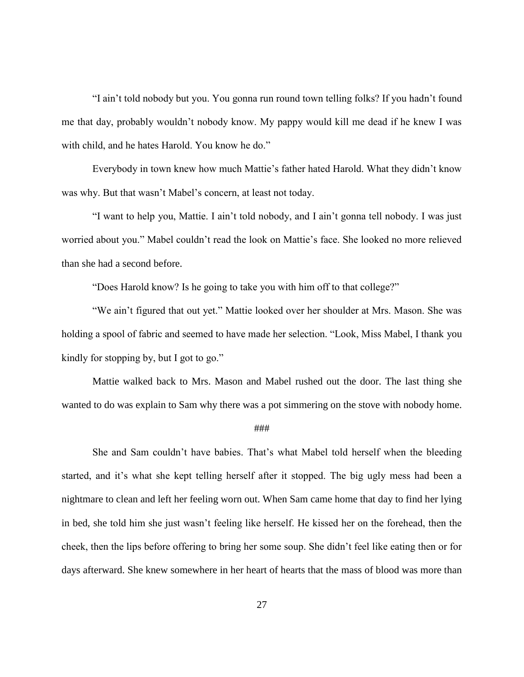"I ain't told nobody but you. You gonna run round town telling folks? If you hadn't found me that day, probably wouldn't nobody know. My pappy would kill me dead if he knew I was with child, and he hates Harold. You know he do."

Everybody in town knew how much Mattie's father hated Harold. What they didn't know was why. But that wasn't Mabel's concern, at least not today.

"I want to help you, Mattie. I ain't told nobody, and I ain't gonna tell nobody. I was just worried about you." Mabel couldn't read the look on Mattie's face. She looked no more relieved than she had a second before.

"Does Harold know? Is he going to take you with him off to that college?"

"We ain't figured that out yet." Mattie looked over her shoulder at Mrs. Mason. She was holding a spool of fabric and seemed to have made her selection. "Look, Miss Mabel, I thank you kindly for stopping by, but I got to go."

Mattie walked back to Mrs. Mason and Mabel rushed out the door. The last thing she wanted to do was explain to Sam why there was a pot simmering on the stove with nobody home.

#### ###

She and Sam couldn't have babies. That's what Mabel told herself when the bleeding started, and it's what she kept telling herself after it stopped. The big ugly mess had been a nightmare to clean and left her feeling worn out. When Sam came home that day to find her lying in bed, she told him she just wasn't feeling like herself. He kissed her on the forehead, then the cheek, then the lips before offering to bring her some soup. She didn't feel like eating then or for days afterward. She knew somewhere in her heart of hearts that the mass of blood was more than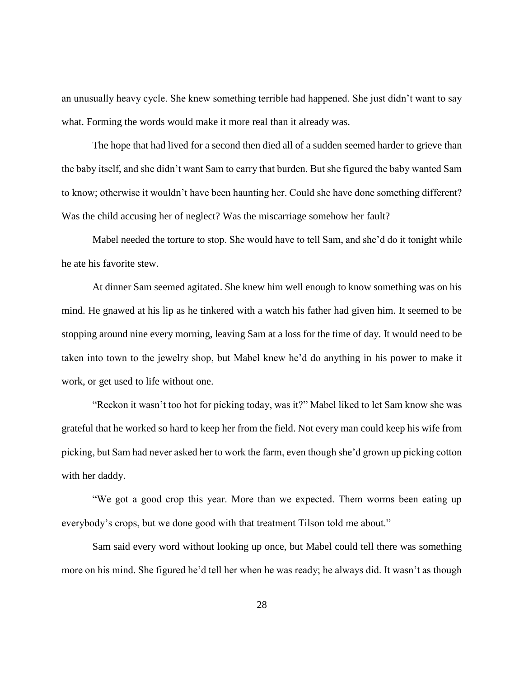an unusually heavy cycle. She knew something terrible had happened. She just didn't want to say what. Forming the words would make it more real than it already was.

The hope that had lived for a second then died all of a sudden seemed harder to grieve than the baby itself, and she didn't want Sam to carry that burden. But she figured the baby wanted Sam to know; otherwise it wouldn't have been haunting her. Could she have done something different? Was the child accusing her of neglect? Was the miscarriage somehow her fault?

Mabel needed the torture to stop. She would have to tell Sam, and she'd do it tonight while he ate his favorite stew.

At dinner Sam seemed agitated. She knew him well enough to know something was on his mind. He gnawed at his lip as he tinkered with a watch his father had given him. It seemed to be stopping around nine every morning, leaving Sam at a loss for the time of day. It would need to be taken into town to the jewelry shop, but Mabel knew he'd do anything in his power to make it work, or get used to life without one.

"Reckon it wasn't too hot for picking today, was it?" Mabel liked to let Sam know she was grateful that he worked so hard to keep her from the field. Not every man could keep his wife from picking, but Sam had never asked her to work the farm, even though she'd grown up picking cotton with her daddy.

"We got a good crop this year. More than we expected. Them worms been eating up everybody's crops, but we done good with that treatment Tilson told me about."

Sam said every word without looking up once, but Mabel could tell there was something more on his mind. She figured he'd tell her when he was ready; he always did. It wasn't as though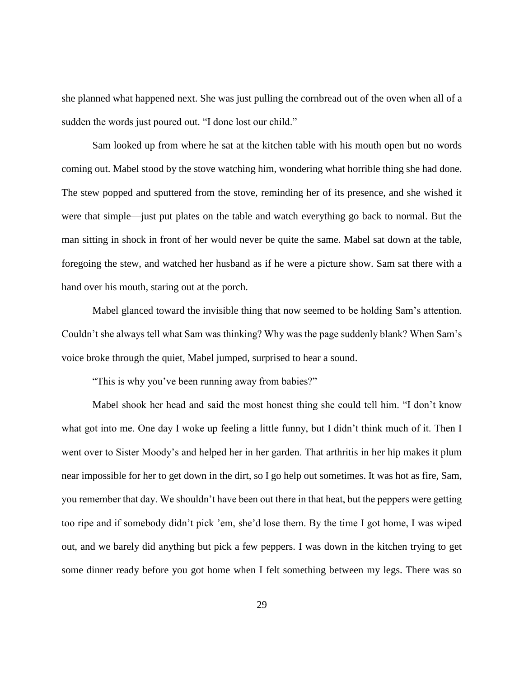she planned what happened next. She was just pulling the cornbread out of the oven when all of a sudden the words just poured out. "I done lost our child."

Sam looked up from where he sat at the kitchen table with his mouth open but no words coming out. Mabel stood by the stove watching him, wondering what horrible thing she had done. The stew popped and sputtered from the stove, reminding her of its presence, and she wished it were that simple—just put plates on the table and watch everything go back to normal. But the man sitting in shock in front of her would never be quite the same. Mabel sat down at the table, foregoing the stew, and watched her husband as if he were a picture show. Sam sat there with a hand over his mouth, staring out at the porch.

Mabel glanced toward the invisible thing that now seemed to be holding Sam's attention. Couldn't she always tell what Sam was thinking? Why was the page suddenly blank? When Sam's voice broke through the quiet, Mabel jumped, surprised to hear a sound.

"This is why you've been running away from babies?"

Mabel shook her head and said the most honest thing she could tell him. "I don't know what got into me. One day I woke up feeling a little funny, but I didn't think much of it. Then I went over to Sister Moody's and helped her in her garden. That arthritis in her hip makes it plum near impossible for her to get down in the dirt, so I go help out sometimes. It was hot as fire, Sam, you remember that day. We shouldn't have been out there in that heat, but the peppers were getting too ripe and if somebody didn't pick 'em, she'd lose them. By the time I got home, I was wiped out, and we barely did anything but pick a few peppers. I was down in the kitchen trying to get some dinner ready before you got home when I felt something between my legs. There was so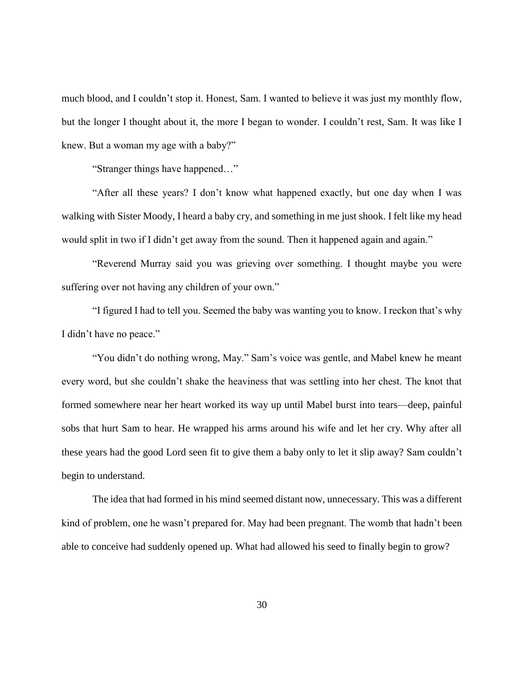much blood, and I couldn't stop it. Honest, Sam. I wanted to believe it was just my monthly flow, but the longer I thought about it, the more I began to wonder. I couldn't rest, Sam. It was like I knew. But a woman my age with a baby?"

"Stranger things have happened…"

"After all these years? I don't know what happened exactly, but one day when I was walking with Sister Moody, I heard a baby cry, and something in me just shook. I felt like my head would split in two if I didn't get away from the sound. Then it happened again and again."

"Reverend Murray said you was grieving over something. I thought maybe you were suffering over not having any children of your own."

"I figured I had to tell you. Seemed the baby was wanting you to know. I reckon that's why I didn't have no peace."

"You didn't do nothing wrong, May." Sam's voice was gentle, and Mabel knew he meant every word, but she couldn't shake the heaviness that was settling into her chest. The knot that formed somewhere near her heart worked its way up until Mabel burst into tears—deep, painful sobs that hurt Sam to hear. He wrapped his arms around his wife and let her cry. Why after all these years had the good Lord seen fit to give them a baby only to let it slip away? Sam couldn't begin to understand.

The idea that had formed in his mind seemed distant now, unnecessary. This was a different kind of problem, one he wasn't prepared for. May had been pregnant. The womb that hadn't been able to conceive had suddenly opened up. What had allowed his seed to finally begin to grow?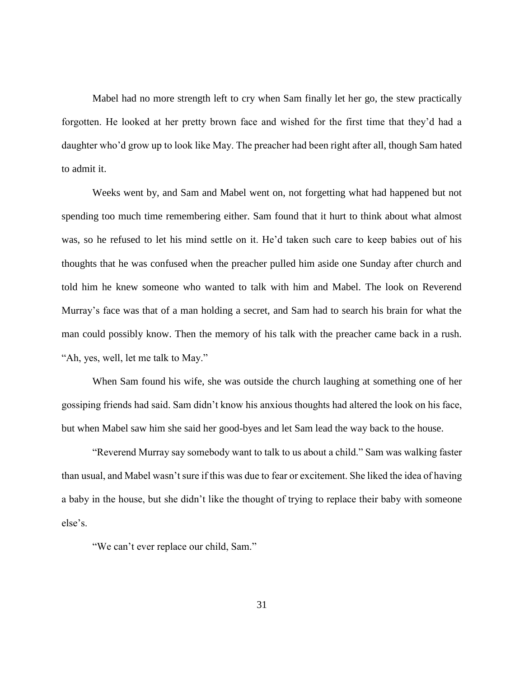Mabel had no more strength left to cry when Sam finally let her go, the stew practically forgotten. He looked at her pretty brown face and wished for the first time that they'd had a daughter who'd grow up to look like May. The preacher had been right after all, though Sam hated to admit it.

Weeks went by, and Sam and Mabel went on, not forgetting what had happened but not spending too much time remembering either. Sam found that it hurt to think about what almost was, so he refused to let his mind settle on it. He'd taken such care to keep babies out of his thoughts that he was confused when the preacher pulled him aside one Sunday after church and told him he knew someone who wanted to talk with him and Mabel. The look on Reverend Murray's face was that of a man holding a secret, and Sam had to search his brain for what the man could possibly know. Then the memory of his talk with the preacher came back in a rush. "Ah, yes, well, let me talk to May."

When Sam found his wife, she was outside the church laughing at something one of her gossiping friends had said. Sam didn't know his anxious thoughts had altered the look on his face, but when Mabel saw him she said her good-byes and let Sam lead the way back to the house.

"Reverend Murray say somebody want to talk to us about a child." Sam was walking faster than usual, and Mabel wasn't sure if this was due to fear or excitement. She liked the idea of having a baby in the house, but she didn't like the thought of trying to replace their baby with someone else's.

"We can't ever replace our child, Sam."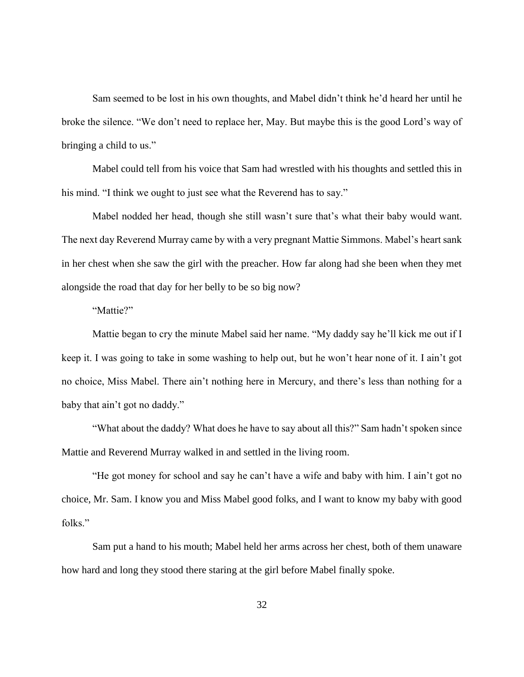Sam seemed to be lost in his own thoughts, and Mabel didn't think he'd heard her until he broke the silence. "We don't need to replace her, May. But maybe this is the good Lord's way of bringing a child to us."

Mabel could tell from his voice that Sam had wrestled with his thoughts and settled this in his mind. "I think we ought to just see what the Reverend has to say."

Mabel nodded her head, though she still wasn't sure that's what their baby would want. The next day Reverend Murray came by with a very pregnant Mattie Simmons. Mabel's heart sank in her chest when she saw the girl with the preacher. How far along had she been when they met alongside the road that day for her belly to be so big now?

"Mattie?"

Mattie began to cry the minute Mabel said her name. "My daddy say he'll kick me out if I keep it. I was going to take in some washing to help out, but he won't hear none of it. I ain't got no choice, Miss Mabel. There ain't nothing here in Mercury, and there's less than nothing for a baby that ain't got no daddy."

"What about the daddy? What does he have to say about all this?" Sam hadn't spoken since Mattie and Reverend Murray walked in and settled in the living room.

"He got money for school and say he can't have a wife and baby with him. I ain't got no choice, Mr. Sam. I know you and Miss Mabel good folks, and I want to know my baby with good folks."

Sam put a hand to his mouth; Mabel held her arms across her chest, both of them unaware how hard and long they stood there staring at the girl before Mabel finally spoke.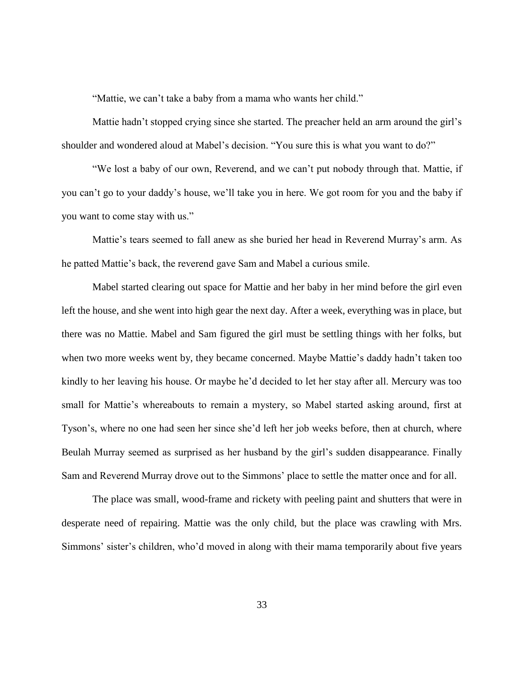"Mattie, we can't take a baby from a mama who wants her child."

Mattie hadn't stopped crying since she started. The preacher held an arm around the girl's shoulder and wondered aloud at Mabel's decision. "You sure this is what you want to do?"

"We lost a baby of our own, Reverend, and we can't put nobody through that. Mattie, if you can't go to your daddy's house, we'll take you in here. We got room for you and the baby if you want to come stay with us."

Mattie's tears seemed to fall anew as she buried her head in Reverend Murray's arm. As he patted Mattie's back, the reverend gave Sam and Mabel a curious smile.

Mabel started clearing out space for Mattie and her baby in her mind before the girl even left the house, and she went into high gear the next day. After a week, everything was in place, but there was no Mattie. Mabel and Sam figured the girl must be settling things with her folks, but when two more weeks went by, they became concerned. Maybe Mattie's daddy hadn't taken too kindly to her leaving his house. Or maybe he'd decided to let her stay after all. Mercury was too small for Mattie's whereabouts to remain a mystery, so Mabel started asking around, first at Tyson's, where no one had seen her since she'd left her job weeks before, then at church, where Beulah Murray seemed as surprised as her husband by the girl's sudden disappearance. Finally Sam and Reverend Murray drove out to the Simmons' place to settle the matter once and for all.

The place was small, wood-frame and rickety with peeling paint and shutters that were in desperate need of repairing. Mattie was the only child, but the place was crawling with Mrs. Simmons' sister's children, who'd moved in along with their mama temporarily about five years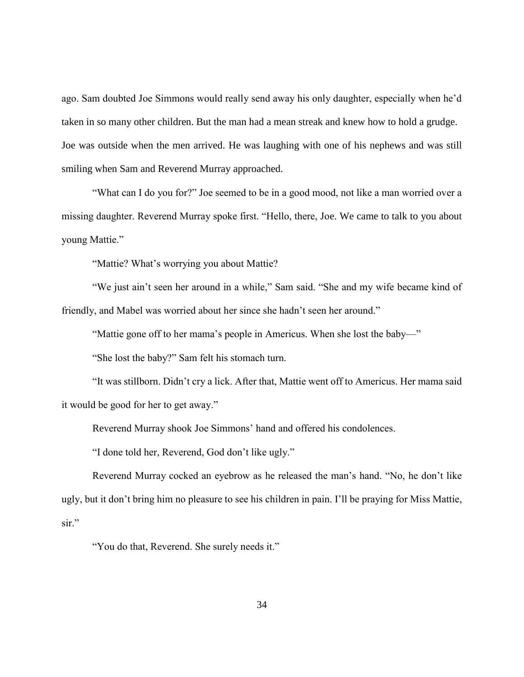ago. Sam doubted Joe Simmons would really send away his only daughter, especially when he'd taken in so many other children. But the man had a mean streak and knew how to hold a grudge. Joe was outside when the men arrived. He was laughing with one of his nephews and was still smiling when Sam and Reverend Murray approached.

"What can I do you for?" Joe seemed to be in a good mood, not like a man worried over a missing daughter. Reverend Murray spoke first. "Hello, there, Joe. We came to talk to you about young Mattie."

"Mattie? What's worrying you about Mattie?

"We just ain't seen her around in a while," Sam said. "She and my wife became kind of friendly, and Mabel was worried about her since she hadn't seen her around."

"Mattie gone off to her mama's people in Americus. When she lost the baby—"

"She lost the baby?" Sam felt his stomach turn.

"It was stillborn. Didn't cry a lick. After that, Mattie went off to Americus. Her mama said it would be good for her to get away."

Reverend Murray shook Joe Simmons' hand and offered his condolences.

"I done told her, Reverend, God don't like ugly."

Reverend Murray cocked an eyebrow as he released the man's hand. "No, he don't like ugly, but it don't bring him no pleasure to see his children in pain. I'll be praying for Miss Mattie, sir."

"You do that, Reverend. She surely needs it."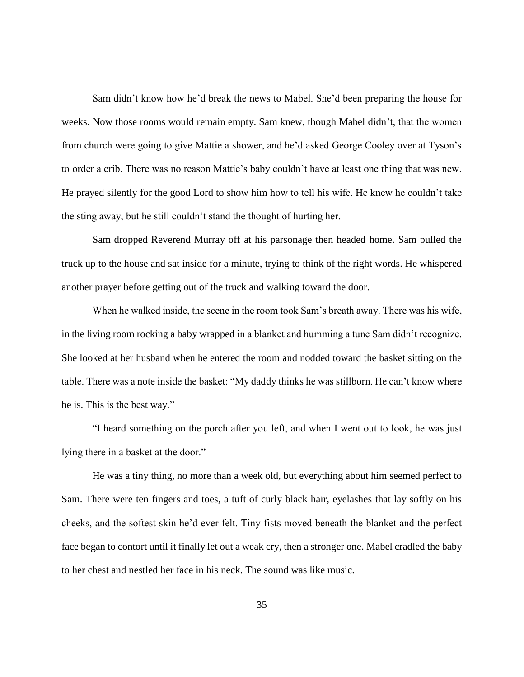Sam didn't know how he'd break the news to Mabel. She'd been preparing the house for weeks. Now those rooms would remain empty. Sam knew, though Mabel didn't, that the women from church were going to give Mattie a shower, and he'd asked George Cooley over at Tyson's to order a crib. There was no reason Mattie's baby couldn't have at least one thing that was new. He prayed silently for the good Lord to show him how to tell his wife. He knew he couldn't take the sting away, but he still couldn't stand the thought of hurting her.

Sam dropped Reverend Murray off at his parsonage then headed home. Sam pulled the truck up to the house and sat inside for a minute, trying to think of the right words. He whispered another prayer before getting out of the truck and walking toward the door.

When he walked inside, the scene in the room took Sam's breath away. There was his wife, in the living room rocking a baby wrapped in a blanket and humming a tune Sam didn't recognize. She looked at her husband when he entered the room and nodded toward the basket sitting on the table. There was a note inside the basket: "My daddy thinks he was stillborn. He can't know where he is. This is the best way."

"I heard something on the porch after you left, and when I went out to look, he was just lying there in a basket at the door."

He was a tiny thing, no more than a week old, but everything about him seemed perfect to Sam. There were ten fingers and toes, a tuft of curly black hair, eyelashes that lay softly on his cheeks, and the softest skin he'd ever felt. Tiny fists moved beneath the blanket and the perfect face began to contort until it finally let out a weak cry, then a stronger one. Mabel cradled the baby to her chest and nestled her face in his neck. The sound was like music.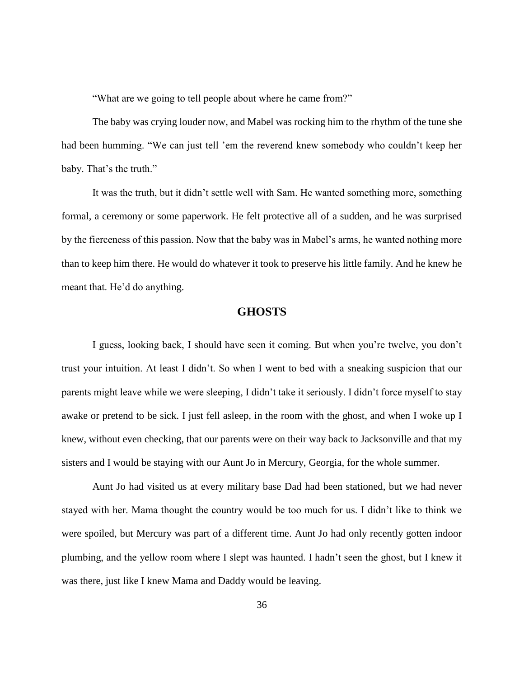"What are we going to tell people about where he came from?"

The baby was crying louder now, and Mabel was rocking him to the rhythm of the tune she had been humming. "We can just tell 'em the reverend knew somebody who couldn't keep her baby. That's the truth."

It was the truth, but it didn't settle well with Sam. He wanted something more, something formal, a ceremony or some paperwork. He felt protective all of a sudden, and he was surprised by the fierceness of this passion. Now that the baby was in Mabel's arms, he wanted nothing more than to keep him there. He would do whatever it took to preserve his little family. And he knew he meant that. He'd do anything.

# **GHOSTS**

I guess, looking back, I should have seen it coming. But when you're twelve, you don't trust your intuition. At least I didn't. So when I went to bed with a sneaking suspicion that our parents might leave while we were sleeping, I didn't take it seriously. I didn't force myself to stay awake or pretend to be sick. I just fell asleep, in the room with the ghost, and when I woke up I knew, without even checking, that our parents were on their way back to Jacksonville and that my sisters and I would be staying with our Aunt Jo in Mercury, Georgia, for the whole summer.

Aunt Jo had visited us at every military base Dad had been stationed, but we had never stayed with her. Mama thought the country would be too much for us. I didn't like to think we were spoiled, but Mercury was part of a different time. Aunt Jo had only recently gotten indoor plumbing, and the yellow room where I slept was haunted. I hadn't seen the ghost, but I knew it was there, just like I knew Mama and Daddy would be leaving.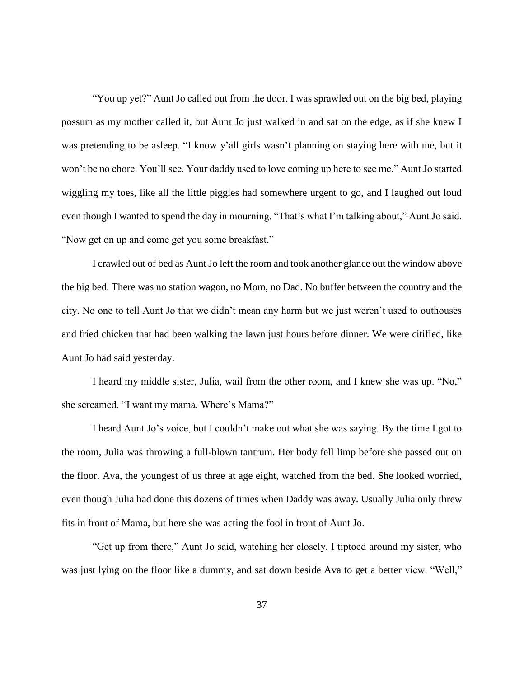"You up yet?" Aunt Jo called out from the door. I was sprawled out on the big bed, playing possum as my mother called it, but Aunt Jo just walked in and sat on the edge, as if she knew I was pretending to be asleep. "I know y'all girls wasn't planning on staying here with me, but it won't be no chore. You'll see. Your daddy used to love coming up here to see me." Aunt Jo started wiggling my toes, like all the little piggies had somewhere urgent to go, and I laughed out loud even though I wanted to spend the day in mourning. "That's what I'm talking about," Aunt Jo said. "Now get on up and come get you some breakfast."

I crawled out of bed as Aunt Jo left the room and took another glance out the window above the big bed. There was no station wagon, no Mom, no Dad. No buffer between the country and the city. No one to tell Aunt Jo that we didn't mean any harm but we just weren't used to outhouses and fried chicken that had been walking the lawn just hours before dinner. We were citified, like Aunt Jo had said yesterday.

I heard my middle sister, Julia, wail from the other room, and I knew she was up. "No," she screamed. "I want my mama. Where's Mama?"

I heard Aunt Jo's voice, but I couldn't make out what she was saying. By the time I got to the room, Julia was throwing a full-blown tantrum. Her body fell limp before she passed out on the floor. Ava, the youngest of us three at age eight, watched from the bed. She looked worried, even though Julia had done this dozens of times when Daddy was away. Usually Julia only threw fits in front of Mama, but here she was acting the fool in front of Aunt Jo.

"Get up from there," Aunt Jo said, watching her closely. I tiptoed around my sister, who was just lying on the floor like a dummy, and sat down beside Ava to get a better view. "Well,"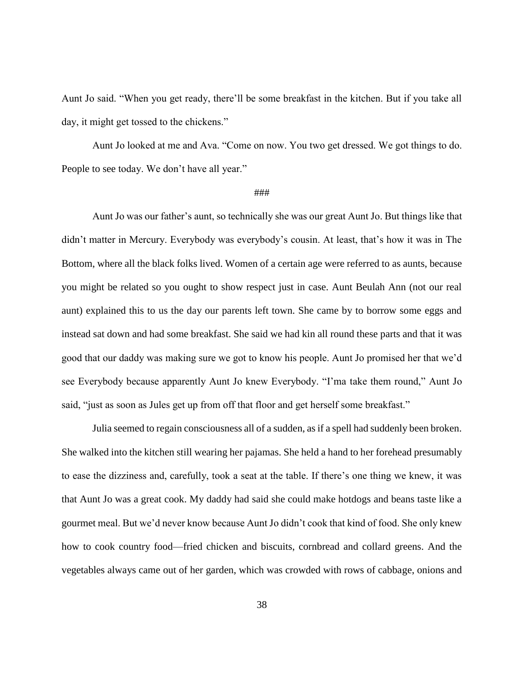Aunt Jo said. "When you get ready, there'll be some breakfast in the kitchen. But if you take all day, it might get tossed to the chickens."

Aunt Jo looked at me and Ava. "Come on now. You two get dressed. We got things to do. People to see today. We don't have all year."

## ###

Aunt Jo was our father's aunt, so technically she was our great Aunt Jo. But things like that didn't matter in Mercury. Everybody was everybody's cousin. At least, that's how it was in The Bottom, where all the black folks lived. Women of a certain age were referred to as aunts, because you might be related so you ought to show respect just in case. Aunt Beulah Ann (not our real aunt) explained this to us the day our parents left town. She came by to borrow some eggs and instead sat down and had some breakfast. She said we had kin all round these parts and that it was good that our daddy was making sure we got to know his people. Aunt Jo promised her that we'd see Everybody because apparently Aunt Jo knew Everybody. "I'ma take them round," Aunt Jo said, "just as soon as Jules get up from off that floor and get herself some breakfast."

Julia seemed to regain consciousness all of a sudden, as if a spell had suddenly been broken. She walked into the kitchen still wearing her pajamas. She held a hand to her forehead presumably to ease the dizziness and, carefully, took a seat at the table. If there's one thing we knew, it was that Aunt Jo was a great cook. My daddy had said she could make hotdogs and beans taste like a gourmet meal. But we'd never know because Aunt Jo didn't cook that kind of food. She only knew how to cook country food—fried chicken and biscuits, cornbread and collard greens. And the vegetables always came out of her garden, which was crowded with rows of cabbage, onions and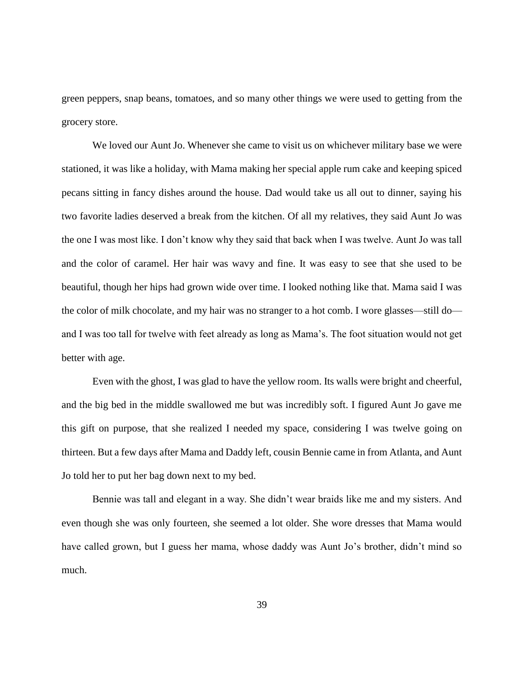green peppers, snap beans, tomatoes, and so many other things we were used to getting from the grocery store.

We loved our Aunt Jo. Whenever she came to visit us on whichever military base we were stationed, it was like a holiday, with Mama making her special apple rum cake and keeping spiced pecans sitting in fancy dishes around the house. Dad would take us all out to dinner, saying his two favorite ladies deserved a break from the kitchen. Of all my relatives, they said Aunt Jo was the one I was most like. I don't know why they said that back when I was twelve. Aunt Jo was tall and the color of caramel. Her hair was wavy and fine. It was easy to see that she used to be beautiful, though her hips had grown wide over time. I looked nothing like that. Mama said I was the color of milk chocolate, and my hair was no stranger to a hot comb. I wore glasses—still do and I was too tall for twelve with feet already as long as Mama's. The foot situation would not get better with age.

Even with the ghost, I was glad to have the yellow room. Its walls were bright and cheerful, and the big bed in the middle swallowed me but was incredibly soft. I figured Aunt Jo gave me this gift on purpose, that she realized I needed my space, considering I was twelve going on thirteen. But a few days after Mama and Daddy left, cousin Bennie came in from Atlanta, and Aunt Jo told her to put her bag down next to my bed.

Bennie was tall and elegant in a way. She didn't wear braids like me and my sisters. And even though she was only fourteen, she seemed a lot older. She wore dresses that Mama would have called grown, but I guess her mama, whose daddy was Aunt Jo's brother, didn't mind so much.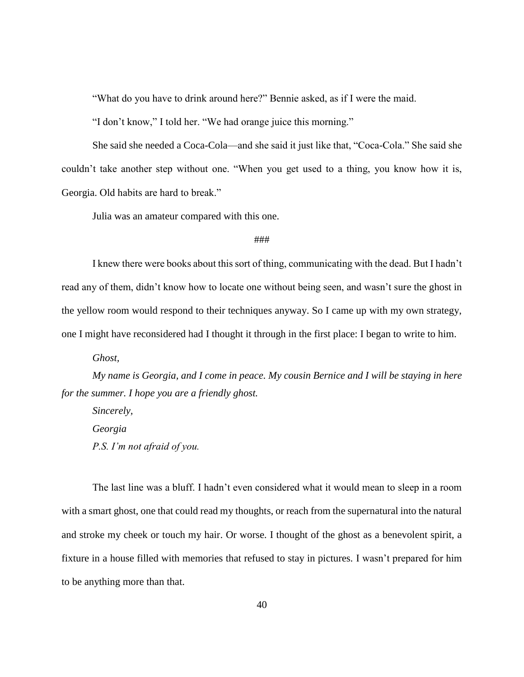"What do you have to drink around here?" Bennie asked, as if I were the maid.

"I don't know," I told her. "We had orange juice this morning."

She said she needed a Coca-Cola—and she said it just like that, "Coca-Cola." She said she couldn't take another step without one. "When you get used to a thing, you know how it is, Georgia. Old habits are hard to break."

Julia was an amateur compared with this one.

## ###

I knew there were books about this sort of thing, communicating with the dead. But I hadn't read any of them, didn't know how to locate one without being seen, and wasn't sure the ghost in the yellow room would respond to their techniques anyway. So I came up with my own strategy, one I might have reconsidered had I thought it through in the first place: I began to write to him.

*Ghost,*

*My name is Georgia, and I come in peace. My cousin Bernice and I will be staying in here for the summer. I hope you are a friendly ghost.*

*Sincerely, Georgia P.S. I'm not afraid of you.*

The last line was a bluff. I hadn't even considered what it would mean to sleep in a room with a smart ghost, one that could read my thoughts, or reach from the supernatural into the natural and stroke my cheek or touch my hair. Or worse. I thought of the ghost as a benevolent spirit, a fixture in a house filled with memories that refused to stay in pictures. I wasn't prepared for him to be anything more than that.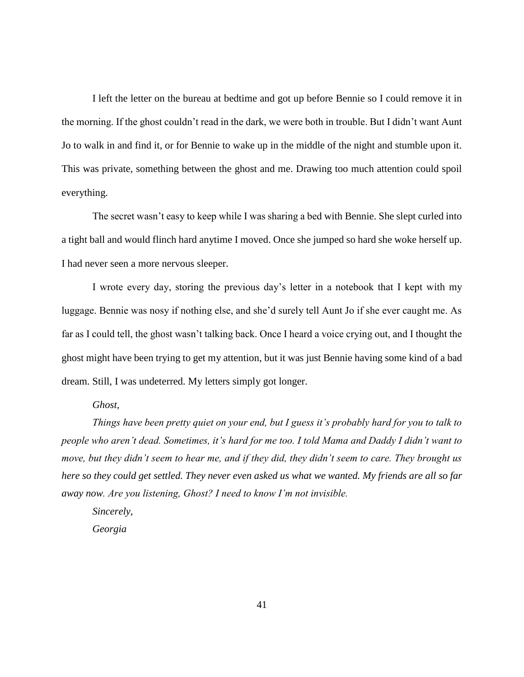I left the letter on the bureau at bedtime and got up before Bennie so I could remove it in the morning. If the ghost couldn't read in the dark, we were both in trouble. But I didn't want Aunt Jo to walk in and find it, or for Bennie to wake up in the middle of the night and stumble upon it. This was private, something between the ghost and me. Drawing too much attention could spoil everything.

The secret wasn't easy to keep while I was sharing a bed with Bennie. She slept curled into a tight ball and would flinch hard anytime I moved. Once she jumped so hard she woke herself up. I had never seen a more nervous sleeper.

I wrote every day, storing the previous day's letter in a notebook that I kept with my luggage. Bennie was nosy if nothing else, and she'd surely tell Aunt Jo if she ever caught me. As far as I could tell, the ghost wasn't talking back. Once I heard a voice crying out, and I thought the ghost might have been trying to get my attention, but it was just Bennie having some kind of a bad dream. Still, I was undeterred. My letters simply got longer.

## *Ghost,*

*Things have been pretty quiet on your end, but I guess it's probably hard for you to talk to people who aren't dead. Sometimes, it's hard for me too. I told Mama and Daddy I didn't want to move, but they didn't seem to hear me, and if they did, they didn't seem to care. They brought us here so they could get settled. They never even asked us what we wanted. My friends are all so far away now. Are you listening, Ghost? I need to know I'm not invisible.* 

*Sincerely, Georgia*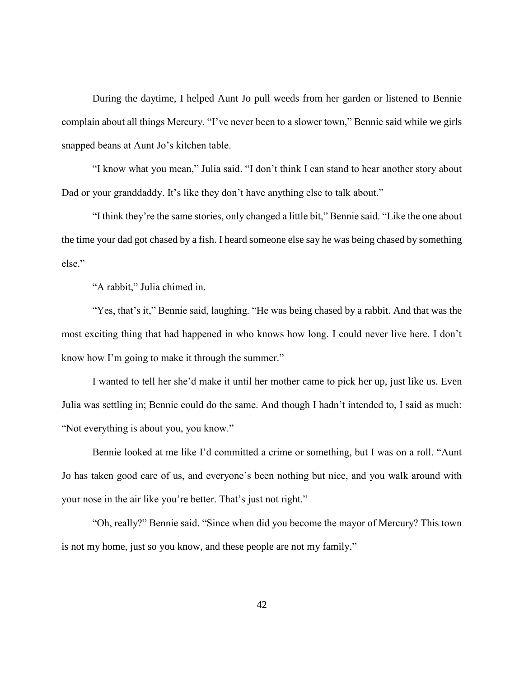During the daytime, I helped Aunt Jo pull weeds from her garden or listened to Bennie complain about all things Mercury. "I've never been to a slower town," Bennie said while we girls snapped beans at Aunt Jo's kitchen table.

"I know what you mean," Julia said. "I don't think I can stand to hear another story about Dad or your granddaddy. It's like they don't have anything else to talk about."

"I think they're the same stories, only changed a little bit," Bennie said. "Like the one about the time your dad got chased by a fish. I heard someone else say he was being chased by something else."

"A rabbit," Julia chimed in.

"Yes, that's it," Bennie said, laughing. "He was being chased by a rabbit. And that was the most exciting thing that had happened in who knows how long. I could never live here. I don't know how I'm going to make it through the summer."

I wanted to tell her she'd make it until her mother came to pick her up, just like us. Even Julia was settling in; Bennie could do the same. And though I hadn't intended to, I said as much: "Not everything is about you, you know."

Bennie looked at me like I'd committed a crime or something, but I was on a roll. "Aunt Jo has taken good care of us, and everyone's been nothing but nice, and you walk around with your nose in the air like you're better. That's just not right."

"Oh, really?" Bennie said. "Since when did you become the mayor of Mercury? This town is not my home, just so you know, and these people are not my family."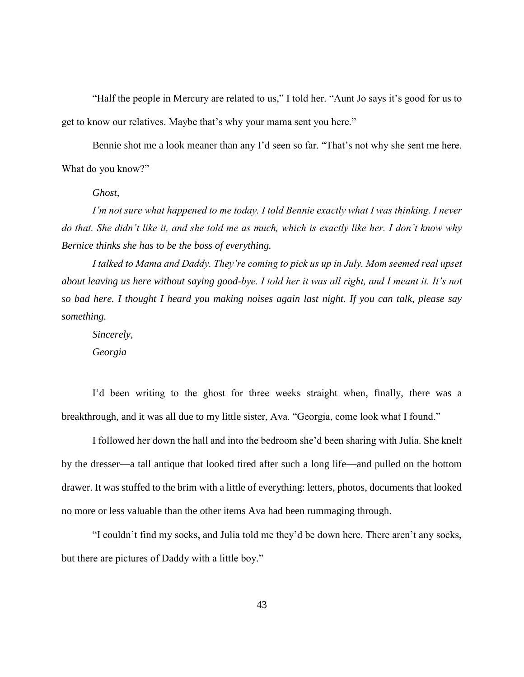"Half the people in Mercury are related to us," I told her. "Aunt Jo says it's good for us to get to know our relatives. Maybe that's why your mama sent you here."

Bennie shot me a look meaner than any I'd seen so far. "That's not why she sent me here. What do you know?"

*Ghost,*

*I'm not sure what happened to me today. I told Bennie exactly what I was thinking. I never do that. She didn't like it, and she told me as much, which is exactly like her. I don't know why Bernice thinks she has to be the boss of everything.* 

*I talked to Mama and Daddy. They're coming to pick us up in July. Mom seemed real upset about leaving us here without saying good-bye. I told her it was all right, and I meant it. It's not so bad here. I thought I heard you making noises again last night. If you can talk, please say something.*

*Sincerely,*

*Georgia*

I'd been writing to the ghost for three weeks straight when, finally, there was a breakthrough, and it was all due to my little sister, Ava. "Georgia, come look what I found."

I followed her down the hall and into the bedroom she'd been sharing with Julia. She knelt by the dresser—a tall antique that looked tired after such a long life—and pulled on the bottom drawer. It was stuffed to the brim with a little of everything: letters, photos, documents that looked no more or less valuable than the other items Ava had been rummaging through.

"I couldn't find my socks, and Julia told me they'd be down here. There aren't any socks, but there are pictures of Daddy with a little boy."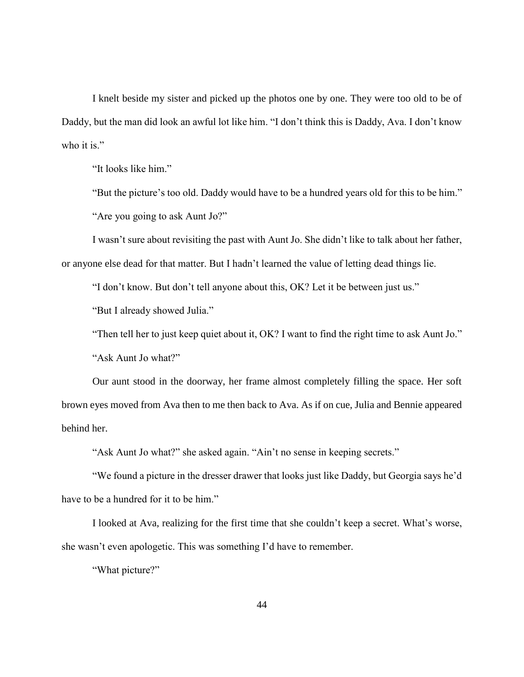I knelt beside my sister and picked up the photos one by one. They were too old to be of Daddy, but the man did look an awful lot like him. "I don't think this is Daddy, Ava. I don't know who it is."

"It looks like him."

"But the picture's too old. Daddy would have to be a hundred years old for this to be him." "Are you going to ask Aunt Jo?"

I wasn't sure about revisiting the past with Aunt Jo. She didn't like to talk about her father, or anyone else dead for that matter. But I hadn't learned the value of letting dead things lie.

"I don't know. But don't tell anyone about this, OK? Let it be between just us."

"But I already showed Julia."

"Then tell her to just keep quiet about it, OK? I want to find the right time to ask Aunt Jo."

"Ask Aunt Jo what?"

Our aunt stood in the doorway, her frame almost completely filling the space. Her soft brown eyes moved from Ava then to me then back to Ava. As if on cue, Julia and Bennie appeared behind her.

"Ask Aunt Jo what?" she asked again. "Ain't no sense in keeping secrets."

"We found a picture in the dresser drawer that looks just like Daddy, but Georgia says he'd have to be a hundred for it to be him."

I looked at Ava, realizing for the first time that she couldn't keep a secret. What's worse, she wasn't even apologetic. This was something I'd have to remember.

"What picture?"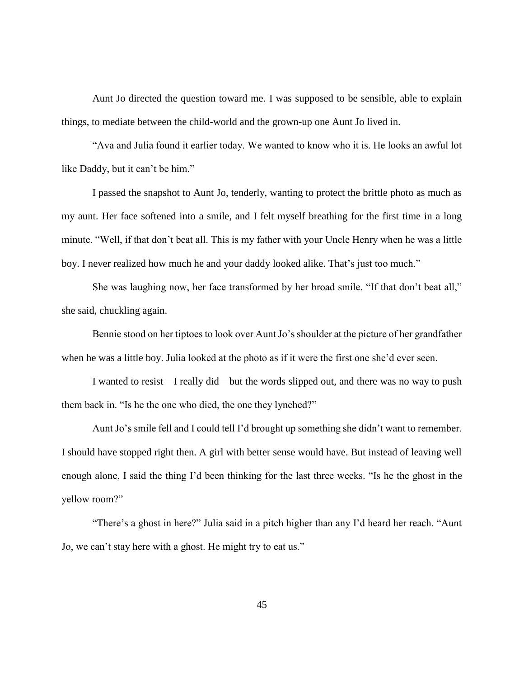Aunt Jo directed the question toward me. I was supposed to be sensible, able to explain things, to mediate between the child-world and the grown-up one Aunt Jo lived in.

"Ava and Julia found it earlier today. We wanted to know who it is. He looks an awful lot like Daddy, but it can't be him."

I passed the snapshot to Aunt Jo, tenderly, wanting to protect the brittle photo as much as my aunt. Her face softened into a smile, and I felt myself breathing for the first time in a long minute. "Well, if that don't beat all. This is my father with your Uncle Henry when he was a little boy. I never realized how much he and your daddy looked alike. That's just too much."

She was laughing now, her face transformed by her broad smile. "If that don't beat all," she said, chuckling again.

Bennie stood on her tiptoes to look over Aunt Jo's shoulder at the picture of her grandfather when he was a little boy. Julia looked at the photo as if it were the first one she'd ever seen.

I wanted to resist—I really did—but the words slipped out, and there was no way to push them back in. "Is he the one who died, the one they lynched?"

Aunt Jo's smile fell and I could tell I'd brought up something she didn't want to remember. I should have stopped right then. A girl with better sense would have. But instead of leaving well enough alone, I said the thing I'd been thinking for the last three weeks. "Is he the ghost in the yellow room?"

"There's a ghost in here?" Julia said in a pitch higher than any I'd heard her reach. "Aunt Jo, we can't stay here with a ghost. He might try to eat us."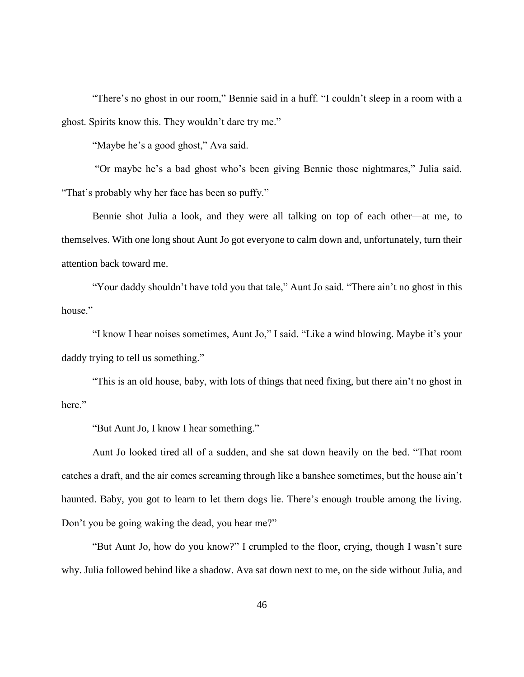"There's no ghost in our room," Bennie said in a huff. "I couldn't sleep in a room with a ghost. Spirits know this. They wouldn't dare try me."

"Maybe he's a good ghost," Ava said.

"Or maybe he's a bad ghost who's been giving Bennie those nightmares," Julia said. "That's probably why her face has been so puffy."

Bennie shot Julia a look, and they were all talking on top of each other—at me, to themselves. With one long shout Aunt Jo got everyone to calm down and, unfortunately, turn their attention back toward me.

"Your daddy shouldn't have told you that tale," Aunt Jo said. "There ain't no ghost in this house."

"I know I hear noises sometimes, Aunt Jo," I said. "Like a wind blowing. Maybe it's your daddy trying to tell us something."

"This is an old house, baby, with lots of things that need fixing, but there ain't no ghost in here."

"But Aunt Jo, I know I hear something."

Aunt Jo looked tired all of a sudden, and she sat down heavily on the bed. "That room catches a draft, and the air comes screaming through like a banshee sometimes, but the house ain't haunted. Baby, you got to learn to let them dogs lie. There's enough trouble among the living. Don't you be going waking the dead, you hear me?"

"But Aunt Jo, how do you know?" I crumpled to the floor, crying, though I wasn't sure why. Julia followed behind like a shadow. Ava sat down next to me, on the side without Julia, and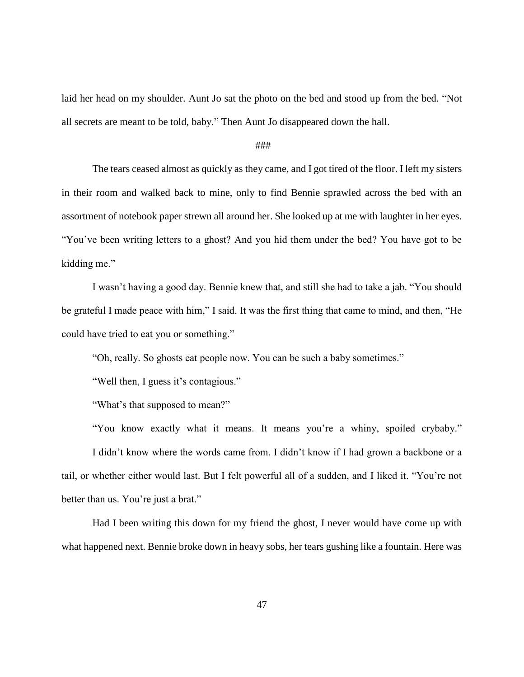laid her head on my shoulder. Aunt Jo sat the photo on the bed and stood up from the bed. "Not all secrets are meant to be told, baby." Then Aunt Jo disappeared down the hall.

## ###

The tears ceased almost as quickly as they came, and I got tired of the floor. I left my sisters in their room and walked back to mine, only to find Bennie sprawled across the bed with an assortment of notebook paper strewn all around her. She looked up at me with laughter in her eyes. "You've been writing letters to a ghost? And you hid them under the bed? You have got to be kidding me."

I wasn't having a good day. Bennie knew that, and still she had to take a jab. "You should be grateful I made peace with him," I said. It was the first thing that came to mind, and then, "He could have tried to eat you or something."

"Oh, really. So ghosts eat people now. You can be such a baby sometimes."

"Well then, I guess it's contagious."

"What's that supposed to mean?"

"You know exactly what it means. It means you're a whiny, spoiled crybaby." I didn't know where the words came from. I didn't know if I had grown a backbone or a tail, or whether either would last. But I felt powerful all of a sudden, and I liked it. "You're not better than us. You're just a brat."

Had I been writing this down for my friend the ghost, I never would have come up with what happened next. Bennie broke down in heavy sobs, her tears gushing like a fountain. Here was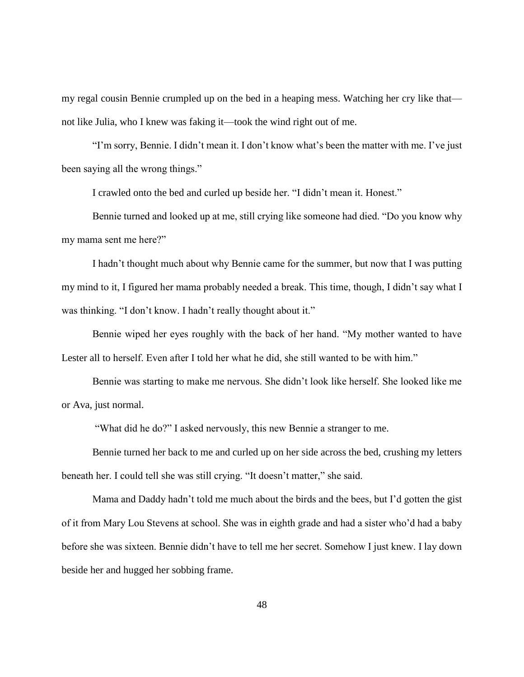my regal cousin Bennie crumpled up on the bed in a heaping mess. Watching her cry like that not like Julia, who I knew was faking it—took the wind right out of me.

"I'm sorry, Bennie. I didn't mean it. I don't know what's been the matter with me. I've just been saying all the wrong things."

I crawled onto the bed and curled up beside her. "I didn't mean it. Honest."

Bennie turned and looked up at me, still crying like someone had died. "Do you know why my mama sent me here?"

I hadn't thought much about why Bennie came for the summer, but now that I was putting my mind to it, I figured her mama probably needed a break. This time, though, I didn't say what I was thinking. "I don't know. I hadn't really thought about it."

Bennie wiped her eyes roughly with the back of her hand. "My mother wanted to have Lester all to herself. Even after I told her what he did, she still wanted to be with him."

Bennie was starting to make me nervous. She didn't look like herself. She looked like me or Ava, just normal.

"What did he do?" I asked nervously, this new Bennie a stranger to me.

Bennie turned her back to me and curled up on her side across the bed, crushing my letters beneath her. I could tell she was still crying. "It doesn't matter," she said.

Mama and Daddy hadn't told me much about the birds and the bees, but I'd gotten the gist of it from Mary Lou Stevens at school. She was in eighth grade and had a sister who'd had a baby before she was sixteen. Bennie didn't have to tell me her secret. Somehow I just knew. I lay down beside her and hugged her sobbing frame.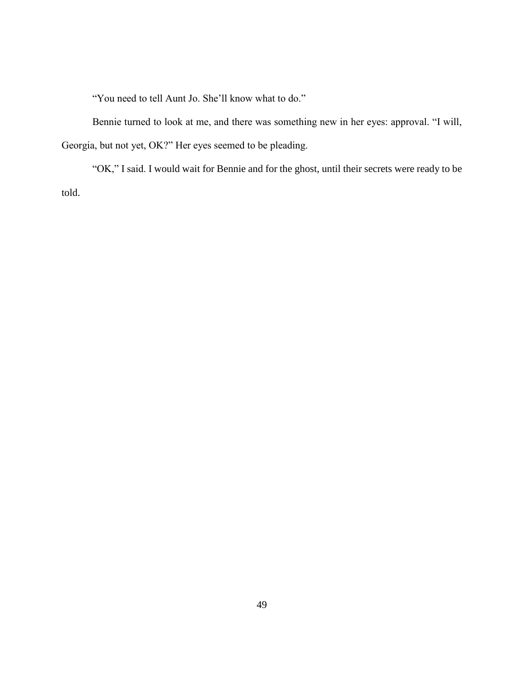"You need to tell Aunt Jo. She'll know what to do."

Bennie turned to look at me, and there was something new in her eyes: approval. "I will, Georgia, but not yet, OK?" Her eyes seemed to be pleading.

"OK," I said. I would wait for Bennie and for the ghost, until their secrets were ready to be told.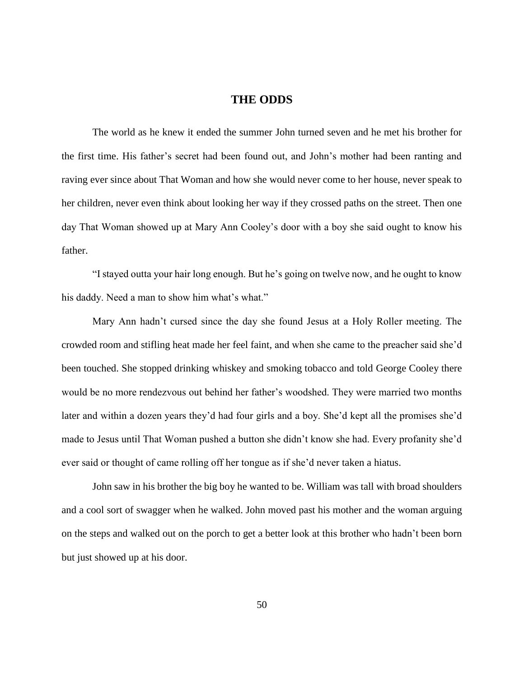# **THE ODDS**

The world as he knew it ended the summer John turned seven and he met his brother for the first time. His father's secret had been found out, and John's mother had been ranting and raving ever since about That Woman and how she would never come to her house, never speak to her children, never even think about looking her way if they crossed paths on the street. Then one day That Woman showed up at Mary Ann Cooley's door with a boy she said ought to know his father.

"I stayed outta your hair long enough. But he's going on twelve now, and he ought to know his daddy. Need a man to show him what's what."

Mary Ann hadn't cursed since the day she found Jesus at a Holy Roller meeting. The crowded room and stifling heat made her feel faint, and when she came to the preacher said she'd been touched. She stopped drinking whiskey and smoking tobacco and told George Cooley there would be no more rendezvous out behind her father's woodshed. They were married two months later and within a dozen years they'd had four girls and a boy. She'd kept all the promises she'd made to Jesus until That Woman pushed a button she didn't know she had. Every profanity she'd ever said or thought of came rolling off her tongue as if she'd never taken a hiatus.

John saw in his brother the big boy he wanted to be. William was tall with broad shoulders and a cool sort of swagger when he walked. John moved past his mother and the woman arguing on the steps and walked out on the porch to get a better look at this brother who hadn't been born but just showed up at his door.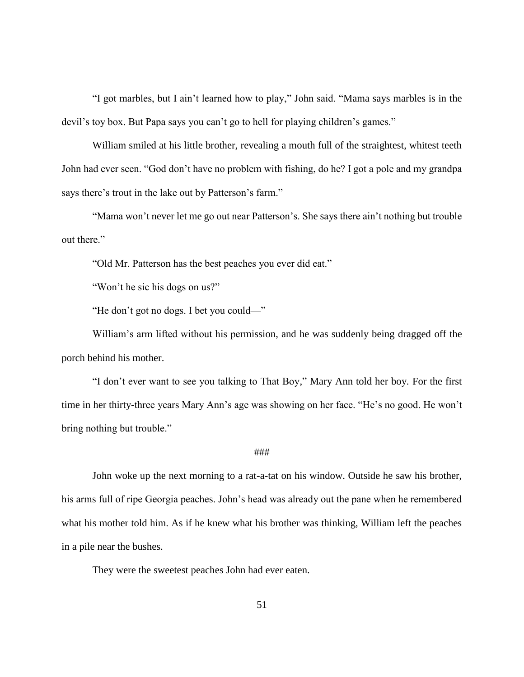"I got marbles, but I ain't learned how to play," John said. "Mama says marbles is in the devil's toy box. But Papa says you can't go to hell for playing children's games."

William smiled at his little brother, revealing a mouth full of the straightest, whitest teeth John had ever seen. "God don't have no problem with fishing, do he? I got a pole and my grandpa says there's trout in the lake out by Patterson's farm."

"Mama won't never let me go out near Patterson's. She says there ain't nothing but trouble out there."

"Old Mr. Patterson has the best peaches you ever did eat."

"Won't he sic his dogs on us?"

"He don't got no dogs. I bet you could—"

William's arm lifted without his permission, and he was suddenly being dragged off the porch behind his mother.

"I don't ever want to see you talking to That Boy," Mary Ann told her boy. For the first time in her thirty-three years Mary Ann's age was showing on her face. "He's no good. He won't bring nothing but trouble."

#### ###

John woke up the next morning to a rat-a-tat on his window. Outside he saw his brother, his arms full of ripe Georgia peaches. John's head was already out the pane when he remembered what his mother told him. As if he knew what his brother was thinking, William left the peaches in a pile near the bushes.

They were the sweetest peaches John had ever eaten.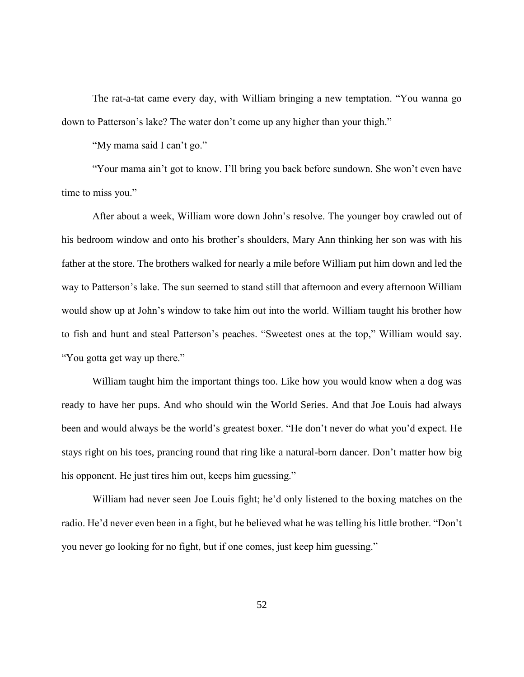The rat-a-tat came every day, with William bringing a new temptation. "You wanna go down to Patterson's lake? The water don't come up any higher than your thigh."

"My mama said I can't go."

"Your mama ain't got to know. I'll bring you back before sundown. She won't even have time to miss you."

After about a week, William wore down John's resolve. The younger boy crawled out of his bedroom window and onto his brother's shoulders, Mary Ann thinking her son was with his father at the store. The brothers walked for nearly a mile before William put him down and led the way to Patterson's lake. The sun seemed to stand still that afternoon and every afternoon William would show up at John's window to take him out into the world. William taught his brother how to fish and hunt and steal Patterson's peaches. "Sweetest ones at the top," William would say. "You gotta get way up there."

William taught him the important things too. Like how you would know when a dog was ready to have her pups. And who should win the World Series. And that Joe Louis had always been and would always be the world's greatest boxer. "He don't never do what you'd expect. He stays right on his toes, prancing round that ring like a natural-born dancer. Don't matter how big his opponent. He just tires him out, keeps him guessing."

William had never seen Joe Louis fight; he'd only listened to the boxing matches on the radio. He'd never even been in a fight, but he believed what he was telling his little brother. "Don't you never go looking for no fight, but if one comes, just keep him guessing."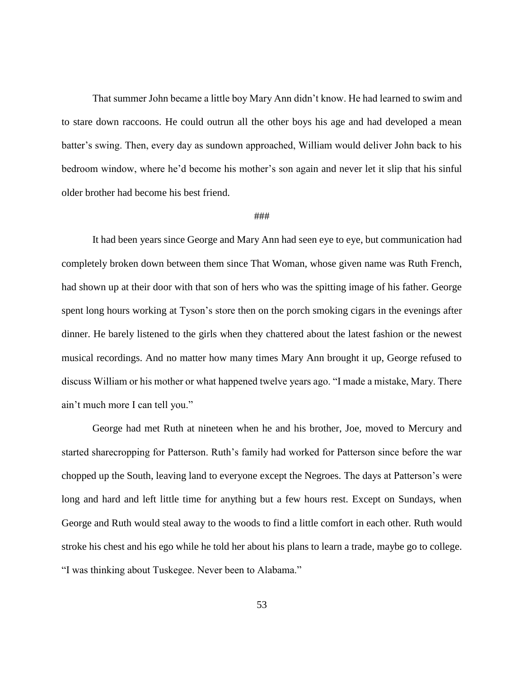That summer John became a little boy Mary Ann didn't know. He had learned to swim and to stare down raccoons. He could outrun all the other boys his age and had developed a mean batter's swing. Then, every day as sundown approached, William would deliver John back to his bedroom window, where he'd become his mother's son again and never let it slip that his sinful older brother had become his best friend.

## ###

It had been years since George and Mary Ann had seen eye to eye, but communication had completely broken down between them since That Woman, whose given name was Ruth French, had shown up at their door with that son of hers who was the spitting image of his father. George spent long hours working at Tyson's store then on the porch smoking cigars in the evenings after dinner. He barely listened to the girls when they chattered about the latest fashion or the newest musical recordings. And no matter how many times Mary Ann brought it up, George refused to discuss William or his mother or what happened twelve years ago. "I made a mistake, Mary. There ain't much more I can tell you."

George had met Ruth at nineteen when he and his brother, Joe, moved to Mercury and started sharecropping for Patterson. Ruth's family had worked for Patterson since before the war chopped up the South, leaving land to everyone except the Negroes. The days at Patterson's were long and hard and left little time for anything but a few hours rest. Except on Sundays, when George and Ruth would steal away to the woods to find a little comfort in each other. Ruth would stroke his chest and his ego while he told her about his plans to learn a trade, maybe go to college. "I was thinking about Tuskegee. Never been to Alabama."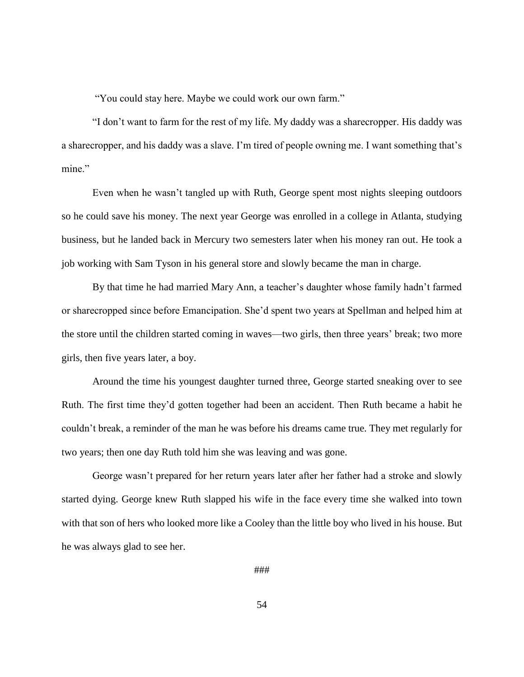"You could stay here. Maybe we could work our own farm."

"I don't want to farm for the rest of my life. My daddy was a sharecropper. His daddy was a sharecropper, and his daddy was a slave. I'm tired of people owning me. I want something that's mine."

Even when he wasn't tangled up with Ruth, George spent most nights sleeping outdoors so he could save his money. The next year George was enrolled in a college in Atlanta, studying business, but he landed back in Mercury two semesters later when his money ran out. He took a job working with Sam Tyson in his general store and slowly became the man in charge.

By that time he had married Mary Ann, a teacher's daughter whose family hadn't farmed or sharecropped since before Emancipation. She'd spent two years at Spellman and helped him at the store until the children started coming in waves—two girls, then three years' break; two more girls, then five years later, a boy.

Around the time his youngest daughter turned three, George started sneaking over to see Ruth. The first time they'd gotten together had been an accident. Then Ruth became a habit he couldn't break, a reminder of the man he was before his dreams came true. They met regularly for two years; then one day Ruth told him she was leaving and was gone.

George wasn't prepared for her return years later after her father had a stroke and slowly started dying. George knew Ruth slapped his wife in the face every time she walked into town with that son of hers who looked more like a Cooley than the little boy who lived in his house. But he was always glad to see her.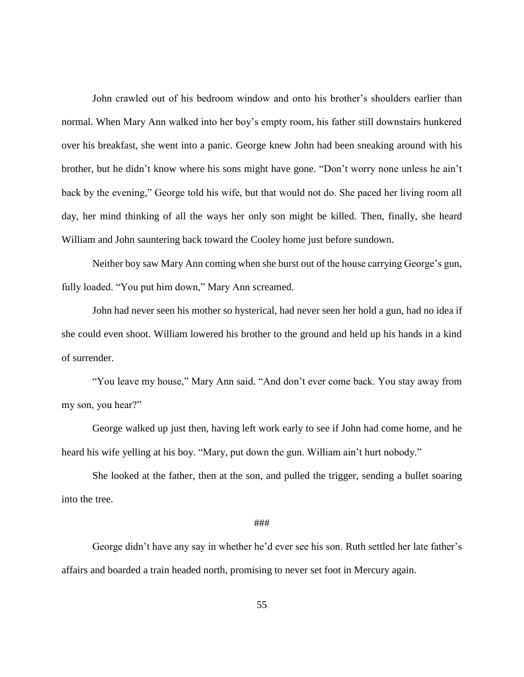John crawled out of his bedroom window and onto his brother's shoulders earlier than normal. When Mary Ann walked into her boy's empty room, his father still downstairs hunkered over his breakfast, she went into a panic. George knew John had been sneaking around with his brother, but he didn't know where his sons might have gone. "Don't worry none unless he ain't back by the evening," George told his wife, but that would not do. She paced her living room all day, her mind thinking of all the ways her only son might be killed. Then, finally, she heard William and John sauntering back toward the Cooley home just before sundown.

Neither boy saw Mary Ann coming when she burst out of the house carrying George's gun, fully loaded. "You put him down," Mary Ann screamed.

John had never seen his mother so hysterical, had never seen her hold a gun, had no idea if she could even shoot. William lowered his brother to the ground and held up his hands in a kind of surrender.

"You leave my house," Mary Ann said. "And don't ever come back. You stay away from my son, you hear?"

George walked up just then, having left work early to see if John had come home, and he heard his wife yelling at his boy. "Mary, put down the gun. William ain't hurt nobody."

She looked at the father, then at the son, and pulled the trigger, sending a bullet soaring into the tree.

### ###

George didn't have any say in whether he'd ever see his son. Ruth settled her late father's affairs and boarded a train headed north, promising to never set foot in Mercury again.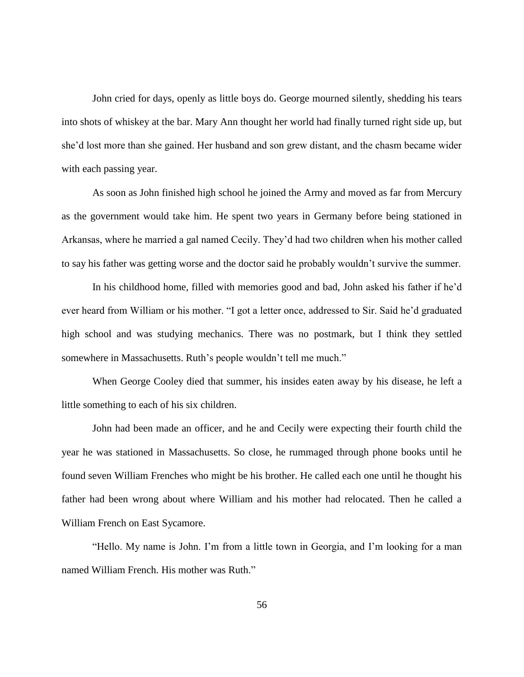John cried for days, openly as little boys do. George mourned silently, shedding his tears into shots of whiskey at the bar. Mary Ann thought her world had finally turned right side up, but she'd lost more than she gained. Her husband and son grew distant, and the chasm became wider with each passing year.

As soon as John finished high school he joined the Army and moved as far from Mercury as the government would take him. He spent two years in Germany before being stationed in Arkansas, where he married a gal named Cecily. They'd had two children when his mother called to say his father was getting worse and the doctor said he probably wouldn't survive the summer.

In his childhood home, filled with memories good and bad, John asked his father if he'd ever heard from William or his mother. "I got a letter once, addressed to Sir. Said he'd graduated high school and was studying mechanics. There was no postmark, but I think they settled somewhere in Massachusetts. Ruth's people wouldn't tell me much."

When George Cooley died that summer, his insides eaten away by his disease, he left a little something to each of his six children.

John had been made an officer, and he and Cecily were expecting their fourth child the year he was stationed in Massachusetts. So close, he rummaged through phone books until he found seven William Frenches who might be his brother. He called each one until he thought his father had been wrong about where William and his mother had relocated. Then he called a William French on East Sycamore.

"Hello. My name is John. I'm from a little town in Georgia, and I'm looking for a man named William French. His mother was Ruth."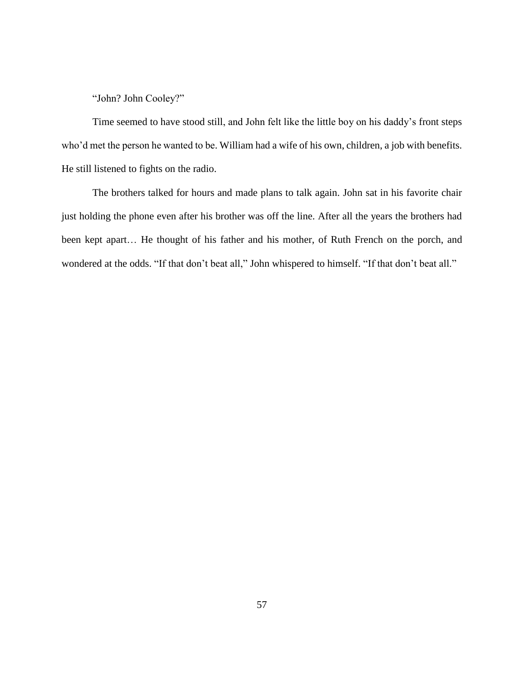"John? John Cooley?"

Time seemed to have stood still, and John felt like the little boy on his daddy's front steps who'd met the person he wanted to be. William had a wife of his own, children, a job with benefits. He still listened to fights on the radio.

The brothers talked for hours and made plans to talk again. John sat in his favorite chair just holding the phone even after his brother was off the line. After all the years the brothers had been kept apart… He thought of his father and his mother, of Ruth French on the porch, and wondered at the odds. "If that don't beat all," John whispered to himself. "If that don't beat all."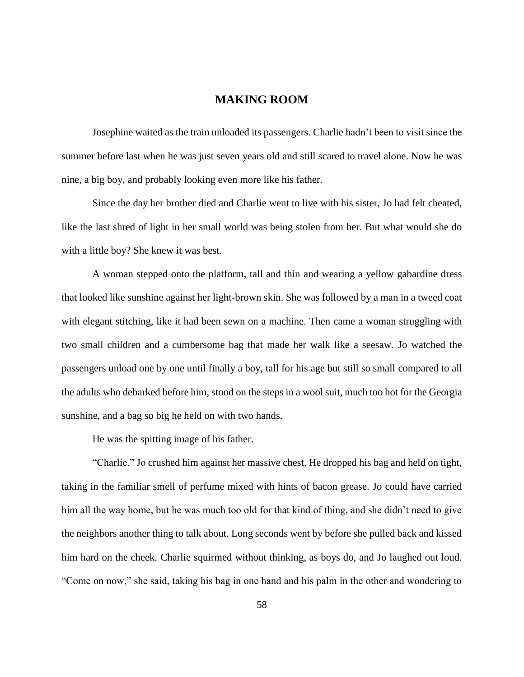# **MAKING ROOM**

Josephine waited as the train unloaded its passengers. Charlie hadn't been to visit since the summer before last when he was just seven years old and still scared to travel alone. Now he was nine, a big boy, and probably looking even more like his father.

Since the day her brother died and Charlie went to live with his sister, Jo had felt cheated, like the last shred of light in her small world was being stolen from her. But what would she do with a little boy? She knew it was best.

A woman stepped onto the platform, tall and thin and wearing a yellow gabardine dress that looked like sunshine against her light-brown skin. She was followed by a man in a tweed coat with elegant stitching, like it had been sewn on a machine. Then came a woman struggling with two small children and a cumbersome bag that made her walk like a seesaw. Jo watched the passengers unload one by one until finally a boy, tall for his age but still so small compared to all the adults who debarked before him, stood on the steps in a wool suit, much too hot for the Georgia sunshine, and a bag so big he held on with two hands.

He was the spitting image of his father.

"Charlie." Jo crushed him against her massive chest. He dropped his bag and held on tight, taking in the familiar smell of perfume mixed with hints of bacon grease. Jo could have carried him all the way home, but he was much too old for that kind of thing, and she didn't need to give the neighbors another thing to talk about. Long seconds went by before she pulled back and kissed him hard on the cheek. Charlie squirmed without thinking, as boys do, and Jo laughed out loud. "Come on now," she said, taking his bag in one hand and his palm in the other and wondering to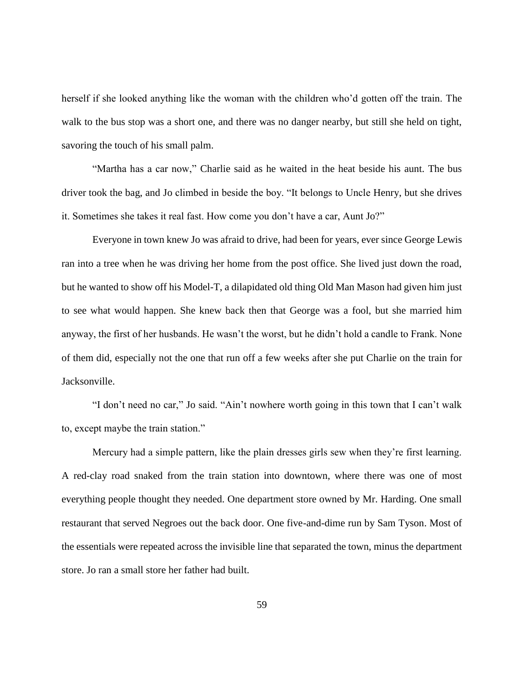herself if she looked anything like the woman with the children who'd gotten off the train. The walk to the bus stop was a short one, and there was no danger nearby, but still she held on tight, savoring the touch of his small palm.

"Martha has a car now," Charlie said as he waited in the heat beside his aunt. The bus driver took the bag, and Jo climbed in beside the boy. "It belongs to Uncle Henry, but she drives it. Sometimes she takes it real fast. How come you don't have a car, Aunt Jo?"

Everyone in town knew Jo was afraid to drive, had been for years, ever since George Lewis ran into a tree when he was driving her home from the post office. She lived just down the road, but he wanted to show off his Model-T, a dilapidated old thing Old Man Mason had given him just to see what would happen. She knew back then that George was a fool, but she married him anyway, the first of her husbands. He wasn't the worst, but he didn't hold a candle to Frank. None of them did, especially not the one that run off a few weeks after she put Charlie on the train for Jacksonville.

"I don't need no car," Jo said. "Ain't nowhere worth going in this town that I can't walk to, except maybe the train station."

Mercury had a simple pattern, like the plain dresses girls sew when they're first learning. A red-clay road snaked from the train station into downtown, where there was one of most everything people thought they needed. One department store owned by Mr. Harding. One small restaurant that served Negroes out the back door. One five-and-dime run by Sam Tyson. Most of the essentials were repeated across the invisible line that separated the town, minus the department store. Jo ran a small store her father had built.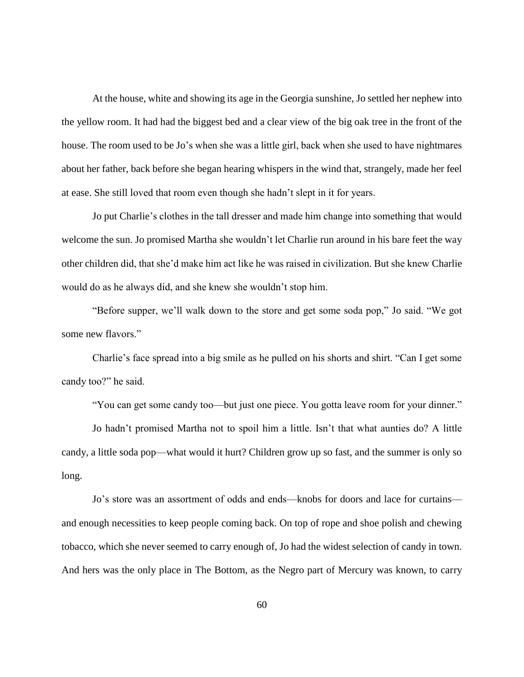At the house, white and showing its age in the Georgia sunshine, Jo settled her nephew into the yellow room. It had had the biggest bed and a clear view of the big oak tree in the front of the house. The room used to be Jo's when she was a little girl, back when she used to have nightmares about her father, back before she began hearing whispers in the wind that, strangely, made her feel at ease. She still loved that room even though she hadn't slept in it for years.

Jo put Charlie's clothes in the tall dresser and made him change into something that would welcome the sun. Jo promised Martha she wouldn't let Charlie run around in his bare feet the way other children did, that she'd make him act like he was raised in civilization. But she knew Charlie would do as he always did, and she knew she wouldn't stop him.

"Before supper, we'll walk down to the store and get some soda pop," Jo said. "We got some new flavors."

Charlie's face spread into a big smile as he pulled on his shorts and shirt. "Can I get some candy too?" he said.

"You can get some candy too—but just one piece. You gotta leave room for your dinner."

Jo hadn't promised Martha not to spoil him a little. Isn't that what aunties do? A little candy, a little soda pop—what would it hurt? Children grow up so fast, and the summer is only so long.

Jo's store was an assortment of odds and ends—knobs for doors and lace for curtains and enough necessities to keep people coming back. On top of rope and shoe polish and chewing tobacco, which she never seemed to carry enough of, Jo had the widest selection of candy in town. And hers was the only place in The Bottom, as the Negro part of Mercury was known, to carry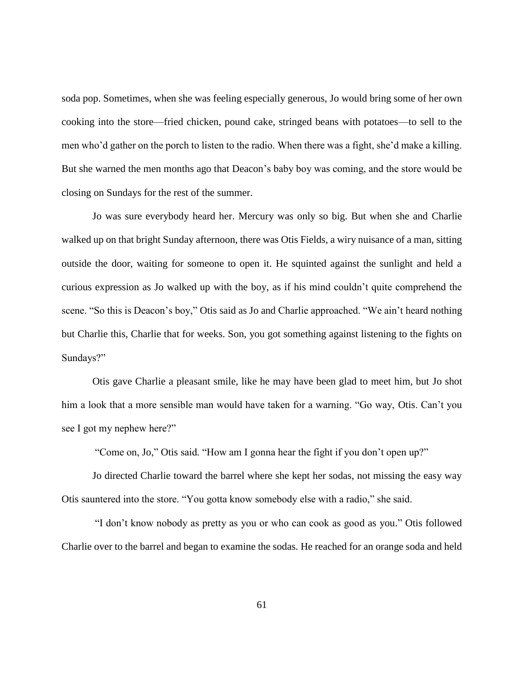soda pop. Sometimes, when she was feeling especially generous, Jo would bring some of her own cooking into the store—fried chicken, pound cake, stringed beans with potatoes—to sell to the men who'd gather on the porch to listen to the radio. When there was a fight, she'd make a killing. But she warned the men months ago that Deacon's baby boy was coming, and the store would be closing on Sundays for the rest of the summer.

Jo was sure everybody heard her. Mercury was only so big. But when she and Charlie walked up on that bright Sunday afternoon, there was Otis Fields, a wiry nuisance of a man, sitting outside the door, waiting for someone to open it. He squinted against the sunlight and held a curious expression as Jo walked up with the boy, as if his mind couldn't quite comprehend the scene. "So this is Deacon's boy," Otis said as Jo and Charlie approached. "We ain't heard nothing but Charlie this, Charlie that for weeks. Son, you got something against listening to the fights on Sundays?"

Otis gave Charlie a pleasant smile, like he may have been glad to meet him, but Jo shot him a look that a more sensible man would have taken for a warning. "Go way, Otis. Can't you see I got my nephew here?"

"Come on, Jo," Otis said. "How am I gonna hear the fight if you don't open up?"

Jo directed Charlie toward the barrel where she kept her sodas, not missing the easy way Otis sauntered into the store. "You gotta know somebody else with a radio," she said.

"I don't know nobody as pretty as you or who can cook as good as you." Otis followed Charlie over to the barrel and began to examine the sodas. He reached for an orange soda and held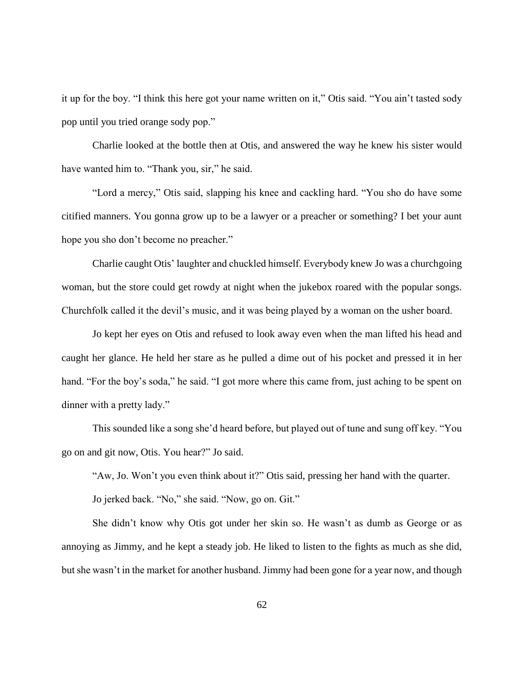it up for the boy. "I think this here got your name written on it," Otis said. "You ain't tasted sody pop until you tried orange sody pop."

Charlie looked at the bottle then at Otis, and answered the way he knew his sister would have wanted him to. "Thank you, sir," he said.

"Lord a mercy," Otis said, slapping his knee and cackling hard. "You sho do have some citified manners. You gonna grow up to be a lawyer or a preacher or something? I bet your aunt hope you sho don't become no preacher."

Charlie caught Otis' laughter and chuckled himself. Everybody knew Jo was a churchgoing woman, but the store could get rowdy at night when the jukebox roared with the popular songs. Churchfolk called it the devil's music, and it was being played by a woman on the usher board.

Jo kept her eyes on Otis and refused to look away even when the man lifted his head and caught her glance. He held her stare as he pulled a dime out of his pocket and pressed it in her hand. "For the boy's soda," he said. "I got more where this came from, just aching to be spent on dinner with a pretty lady."

This sounded like a song she'd heard before, but played out of tune and sung off key. "You go on and git now, Otis. You hear?" Jo said.

"Aw, Jo. Won't you even think about it?" Otis said, pressing her hand with the quarter.

Jo jerked back. "No," she said. "Now, go on. Git."

She didn't know why Otis got under her skin so. He wasn't as dumb as George or as annoying as Jimmy, and he kept a steady job. He liked to listen to the fights as much as she did, but she wasn't in the market for another husband. Jimmy had been gone for a year now, and though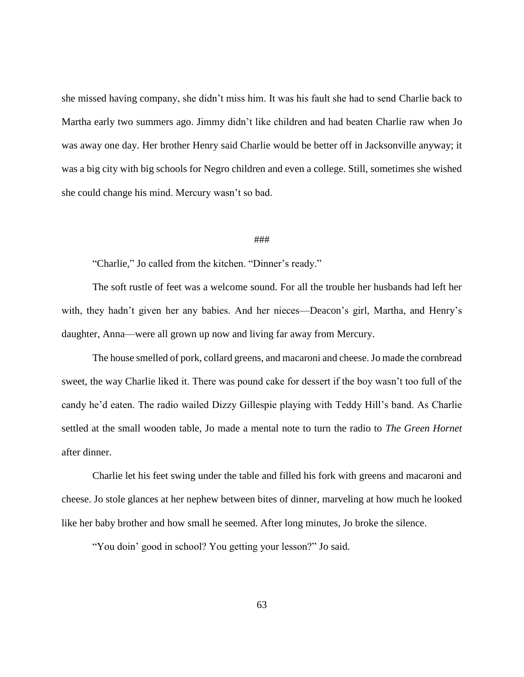she missed having company, she didn't miss him. It was his fault she had to send Charlie back to Martha early two summers ago. Jimmy didn't like children and had beaten Charlie raw when Jo was away one day. Her brother Henry said Charlie would be better off in Jacksonville anyway; it was a big city with big schools for Negro children and even a college. Still, sometimes she wished she could change his mind. Mercury wasn't so bad.

### ###

"Charlie," Jo called from the kitchen. "Dinner's ready."

The soft rustle of feet was a welcome sound. For all the trouble her husbands had left her with, they hadn't given her any babies. And her nieces—Deacon's girl, Martha, and Henry's daughter, Anna—were all grown up now and living far away from Mercury.

The house smelled of pork, collard greens, and macaroni and cheese. Jo made the cornbread sweet, the way Charlie liked it. There was pound cake for dessert if the boy wasn't too full of the candy he'd eaten. The radio wailed Dizzy Gillespie playing with Teddy Hill's band. As Charlie settled at the small wooden table, Jo made a mental note to turn the radio to *The Green Hornet* after dinner.

Charlie let his feet swing under the table and filled his fork with greens and macaroni and cheese. Jo stole glances at her nephew between bites of dinner, marveling at how much he looked like her baby brother and how small he seemed. After long minutes, Jo broke the silence.

"You doin' good in school? You getting your lesson?" Jo said.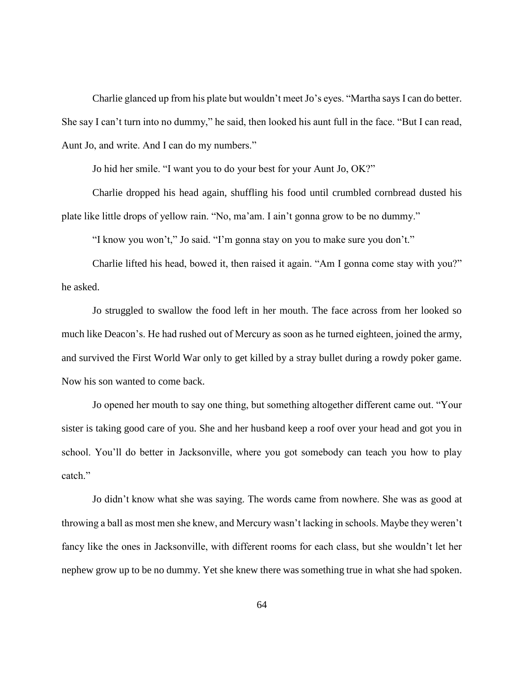Charlie glanced up from his plate but wouldn't meet Jo's eyes. "Martha says I can do better. She say I can't turn into no dummy," he said, then looked his aunt full in the face. "But I can read, Aunt Jo, and write. And I can do my numbers."

Jo hid her smile. "I want you to do your best for your Aunt Jo, OK?"

Charlie dropped his head again, shuffling his food until crumbled cornbread dusted his plate like little drops of yellow rain. "No, ma'am. I ain't gonna grow to be no dummy."

"I know you won't," Jo said. "I'm gonna stay on you to make sure you don't."

Charlie lifted his head, bowed it, then raised it again. "Am I gonna come stay with you?" he asked.

Jo struggled to swallow the food left in her mouth. The face across from her looked so much like Deacon's. He had rushed out of Mercury as soon as he turned eighteen, joined the army, and survived the First World War only to get killed by a stray bullet during a rowdy poker game. Now his son wanted to come back.

Jo opened her mouth to say one thing, but something altogether different came out. "Your sister is taking good care of you. She and her husband keep a roof over your head and got you in school. You'll do better in Jacksonville, where you got somebody can teach you how to play catch."

Jo didn't know what she was saying. The words came from nowhere. She was as good at throwing a ball as most men she knew, and Mercury wasn't lacking in schools. Maybe they weren't fancy like the ones in Jacksonville, with different rooms for each class, but she wouldn't let her nephew grow up to be no dummy. Yet she knew there was something true in what she had spoken.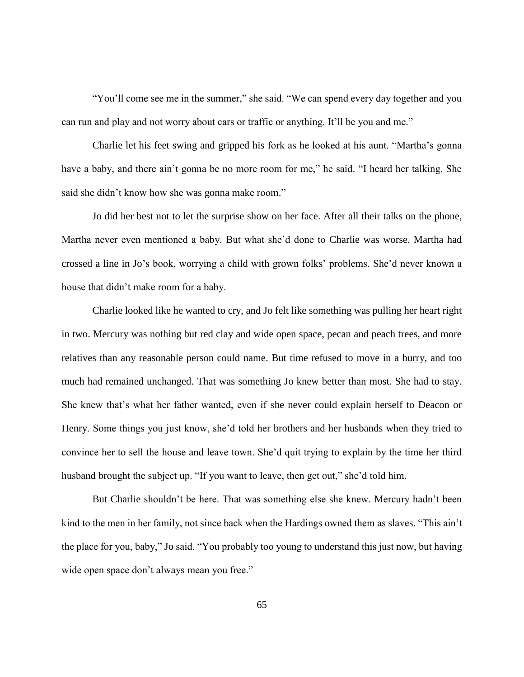"You'll come see me in the summer," she said. "We can spend every day together and you can run and play and not worry about cars or traffic or anything. It'll be you and me."

Charlie let his feet swing and gripped his fork as he looked at his aunt. "Martha's gonna have a baby, and there ain't gonna be no more room for me," he said. "I heard her talking. She said she didn't know how she was gonna make room."

Jo did her best not to let the surprise show on her face. After all their talks on the phone, Martha never even mentioned a baby. But what she'd done to Charlie was worse. Martha had crossed a line in Jo's book, worrying a child with grown folks' problems. She'd never known a house that didn't make room for a baby.

Charlie looked like he wanted to cry, and Jo felt like something was pulling her heart right in two. Mercury was nothing but red clay and wide open space, pecan and peach trees, and more relatives than any reasonable person could name. But time refused to move in a hurry, and too much had remained unchanged. That was something Jo knew better than most. She had to stay. She knew that's what her father wanted, even if she never could explain herself to Deacon or Henry. Some things you just know, she'd told her brothers and her husbands when they tried to convince her to sell the house and leave town. She'd quit trying to explain by the time her third husband brought the subject up. "If you want to leave, then get out," she'd told him.

But Charlie shouldn't be here. That was something else she knew. Mercury hadn't been kind to the men in her family, not since back when the Hardings owned them as slaves. "This ain't the place for you, baby," Jo said. "You probably too young to understand this just now, but having wide open space don't always mean you free."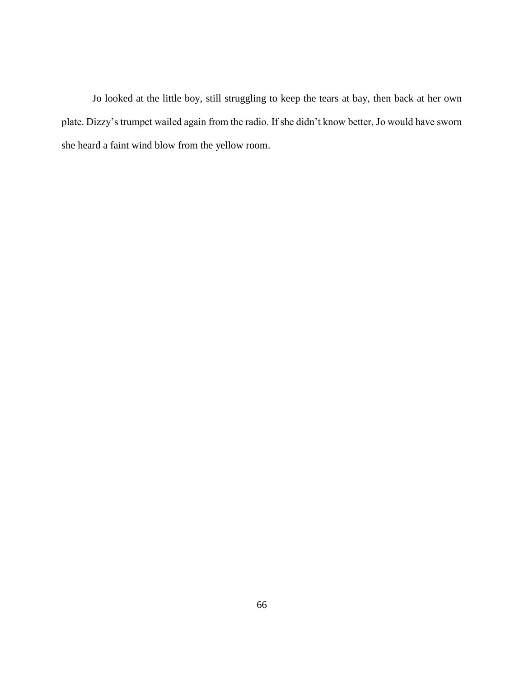Jo looked at the little boy, still struggling to keep the tears at bay, then back at her own plate. Dizzy's trumpet wailed again from the radio. If she didn't know better, Jo would have sworn she heard a faint wind blow from the yellow room.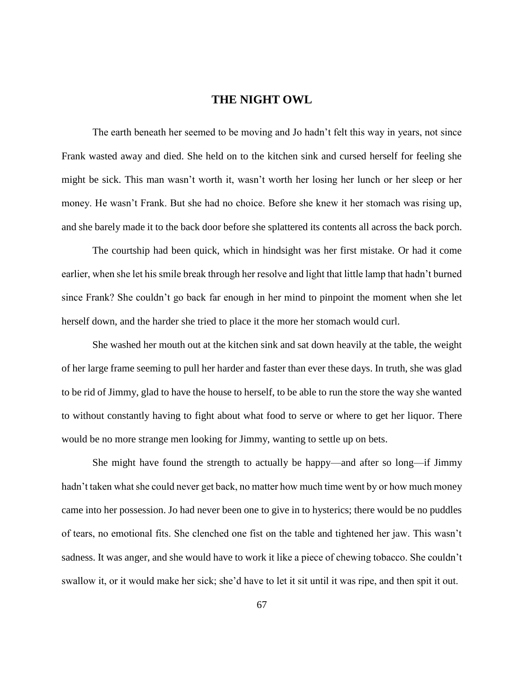# **THE NIGHT OWL**

The earth beneath her seemed to be moving and Jo hadn't felt this way in years, not since Frank wasted away and died. She held on to the kitchen sink and cursed herself for feeling she might be sick. This man wasn't worth it, wasn't worth her losing her lunch or her sleep or her money. He wasn't Frank. But she had no choice. Before she knew it her stomach was rising up, and she barely made it to the back door before she splattered its contents all across the back porch.

The courtship had been quick, which in hindsight was her first mistake. Or had it come earlier, when she let his smile break through her resolve and light that little lamp that hadn't burned since Frank? She couldn't go back far enough in her mind to pinpoint the moment when she let herself down, and the harder she tried to place it the more her stomach would curl.

She washed her mouth out at the kitchen sink and sat down heavily at the table, the weight of her large frame seeming to pull her harder and faster than ever these days. In truth, she was glad to be rid of Jimmy, glad to have the house to herself, to be able to run the store the way she wanted to without constantly having to fight about what food to serve or where to get her liquor. There would be no more strange men looking for Jimmy, wanting to settle up on bets.

She might have found the strength to actually be happy—and after so long—if Jimmy hadn't taken what she could never get back, no matter how much time went by or how much money came into her possession. Jo had never been one to give in to hysterics; there would be no puddles of tears, no emotional fits. She clenched one fist on the table and tightened her jaw. This wasn't sadness. It was anger, and she would have to work it like a piece of chewing tobacco. She couldn't swallow it, or it would make her sick; she'd have to let it sit until it was ripe, and then spit it out.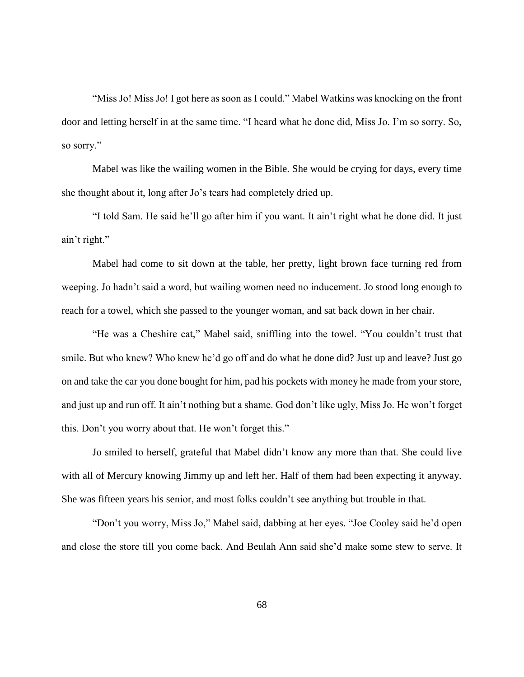"Miss Jo! Miss Jo! I got here as soon as I could." Mabel Watkins was knocking on the front door and letting herself in at the same time. "I heard what he done did, Miss Jo. I'm so sorry. So, so sorry."

Mabel was like the wailing women in the Bible. She would be crying for days, every time she thought about it, long after Jo's tears had completely dried up.

"I told Sam. He said he'll go after him if you want. It ain't right what he done did. It just ain't right."

Mabel had come to sit down at the table, her pretty, light brown face turning red from weeping. Jo hadn't said a word, but wailing women need no inducement. Jo stood long enough to reach for a towel, which she passed to the younger woman, and sat back down in her chair.

"He was a Cheshire cat," Mabel said, sniffling into the towel. "You couldn't trust that smile. But who knew? Who knew he'd go off and do what he done did? Just up and leave? Just go on and take the car you done bought for him, pad his pockets with money he made from your store, and just up and run off. It ain't nothing but a shame. God don't like ugly, Miss Jo. He won't forget this. Don't you worry about that. He won't forget this."

Jo smiled to herself, grateful that Mabel didn't know any more than that. She could live with all of Mercury knowing Jimmy up and left her. Half of them had been expecting it anyway. She was fifteen years his senior, and most folks couldn't see anything but trouble in that.

"Don't you worry, Miss Jo," Mabel said, dabbing at her eyes. "Joe Cooley said he'd open and close the store till you come back. And Beulah Ann said she'd make some stew to serve. It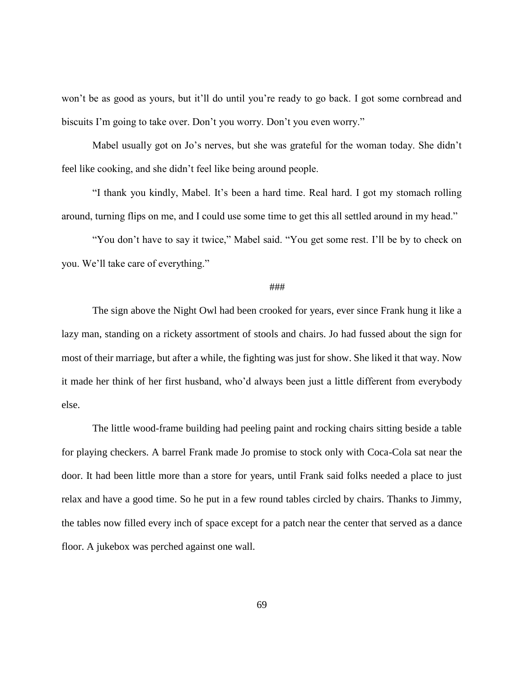won't be as good as yours, but it'll do until you're ready to go back. I got some cornbread and biscuits I'm going to take over. Don't you worry. Don't you even worry."

Mabel usually got on Jo's nerves, but she was grateful for the woman today. She didn't feel like cooking, and she didn't feel like being around people.

"I thank you kindly, Mabel. It's been a hard time. Real hard. I got my stomach rolling around, turning flips on me, and I could use some time to get this all settled around in my head."

"You don't have to say it twice," Mabel said. "You get some rest. I'll be by to check on you. We'll take care of everything."

# ###

The sign above the Night Owl had been crooked for years, ever since Frank hung it like a lazy man, standing on a rickety assortment of stools and chairs. Jo had fussed about the sign for most of their marriage, but after a while, the fighting was just for show. She liked it that way. Now it made her think of her first husband, who'd always been just a little different from everybody else.

The little wood-frame building had peeling paint and rocking chairs sitting beside a table for playing checkers. A barrel Frank made Jo promise to stock only with Coca-Cola sat near the door. It had been little more than a store for years, until Frank said folks needed a place to just relax and have a good time. So he put in a few round tables circled by chairs. Thanks to Jimmy, the tables now filled every inch of space except for a patch near the center that served as a dance floor. A jukebox was perched against one wall.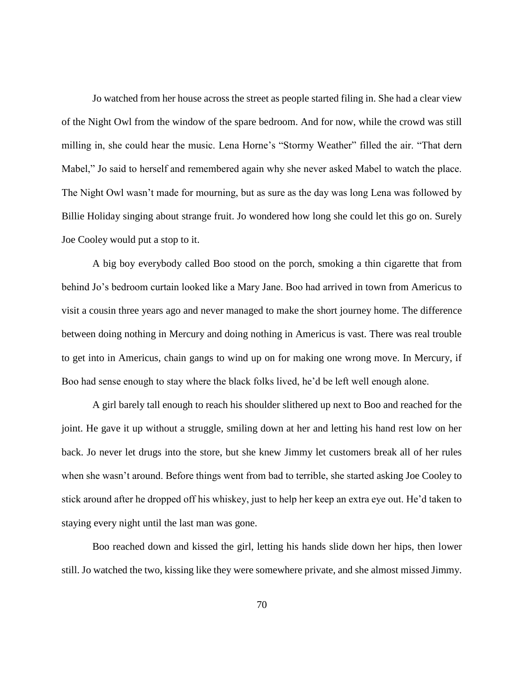Jo watched from her house across the street as people started filing in. She had a clear view of the Night Owl from the window of the spare bedroom. And for now, while the crowd was still milling in, she could hear the music. Lena Horne's "Stormy Weather" filled the air. "That dern Mabel," Jo said to herself and remembered again why she never asked Mabel to watch the place. The Night Owl wasn't made for mourning, but as sure as the day was long Lena was followed by Billie Holiday singing about strange fruit. Jo wondered how long she could let this go on. Surely Joe Cooley would put a stop to it.

A big boy everybody called Boo stood on the porch, smoking a thin cigarette that from behind Jo's bedroom curtain looked like a Mary Jane. Boo had arrived in town from Americus to visit a cousin three years ago and never managed to make the short journey home. The difference between doing nothing in Mercury and doing nothing in Americus is vast. There was real trouble to get into in Americus, chain gangs to wind up on for making one wrong move. In Mercury, if Boo had sense enough to stay where the black folks lived, he'd be left well enough alone.

A girl barely tall enough to reach his shoulder slithered up next to Boo and reached for the joint. He gave it up without a struggle, smiling down at her and letting his hand rest low on her back. Jo never let drugs into the store, but she knew Jimmy let customers break all of her rules when she wasn't around. Before things went from bad to terrible, she started asking Joe Cooley to stick around after he dropped off his whiskey, just to help her keep an extra eye out. He'd taken to staying every night until the last man was gone.

Boo reached down and kissed the girl, letting his hands slide down her hips, then lower still. Jo watched the two, kissing like they were somewhere private, and she almost missed Jimmy.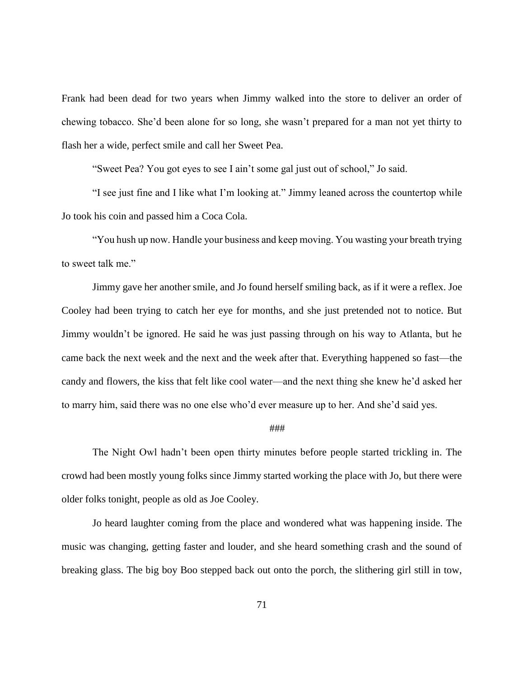Frank had been dead for two years when Jimmy walked into the store to deliver an order of chewing tobacco. She'd been alone for so long, she wasn't prepared for a man not yet thirty to flash her a wide, perfect smile and call her Sweet Pea.

"Sweet Pea? You got eyes to see I ain't some gal just out of school," Jo said.

"I see just fine and I like what I'm looking at." Jimmy leaned across the countertop while Jo took his coin and passed him a Coca Cola.

"You hush up now. Handle your business and keep moving. You wasting your breath trying to sweet talk me."

Jimmy gave her another smile, and Jo found herself smiling back, as if it were a reflex. Joe Cooley had been trying to catch her eye for months, and she just pretended not to notice. But Jimmy wouldn't be ignored. He said he was just passing through on his way to Atlanta, but he came back the next week and the next and the week after that. Everything happened so fast—the candy and flowers, the kiss that felt like cool water—and the next thing she knew he'd asked her to marry him, said there was no one else who'd ever measure up to her. And she'd said yes.

## ###

The Night Owl hadn't been open thirty minutes before people started trickling in. The crowd had been mostly young folks since Jimmy started working the place with Jo, but there were older folks tonight, people as old as Joe Cooley.

Jo heard laughter coming from the place and wondered what was happening inside. The music was changing, getting faster and louder, and she heard something crash and the sound of breaking glass. The big boy Boo stepped back out onto the porch, the slithering girl still in tow,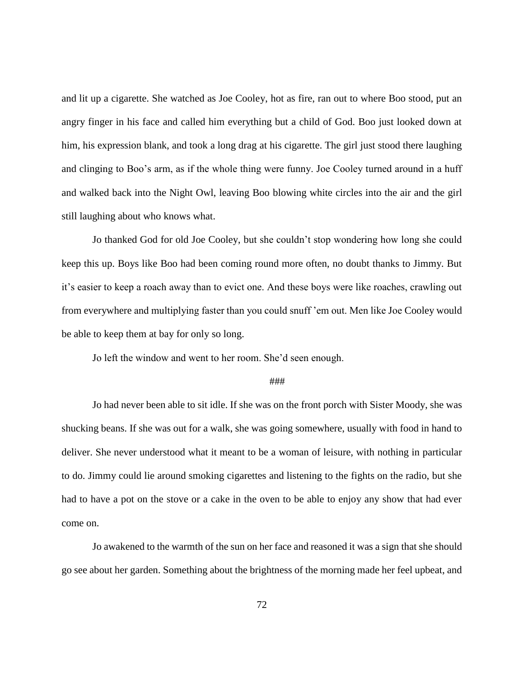and lit up a cigarette. She watched as Joe Cooley, hot as fire, ran out to where Boo stood, put an angry finger in his face and called him everything but a child of God. Boo just looked down at him, his expression blank, and took a long drag at his cigarette. The girl just stood there laughing and clinging to Boo's arm, as if the whole thing were funny. Joe Cooley turned around in a huff and walked back into the Night Owl, leaving Boo blowing white circles into the air and the girl still laughing about who knows what.

Jo thanked God for old Joe Cooley, but she couldn't stop wondering how long she could keep this up. Boys like Boo had been coming round more often, no doubt thanks to Jimmy. But it's easier to keep a roach away than to evict one. And these boys were like roaches, crawling out from everywhere and multiplying faster than you could snuff 'em out. Men like Joe Cooley would be able to keep them at bay for only so long.

Jo left the window and went to her room. She'd seen enough.

#### ###

Jo had never been able to sit idle. If she was on the front porch with Sister Moody, she was shucking beans. If she was out for a walk, she was going somewhere, usually with food in hand to deliver. She never understood what it meant to be a woman of leisure, with nothing in particular to do. Jimmy could lie around smoking cigarettes and listening to the fights on the radio, but she had to have a pot on the stove or a cake in the oven to be able to enjoy any show that had ever come on.

Jo awakened to the warmth of the sun on her face and reasoned it was a sign that she should go see about her garden. Something about the brightness of the morning made her feel upbeat, and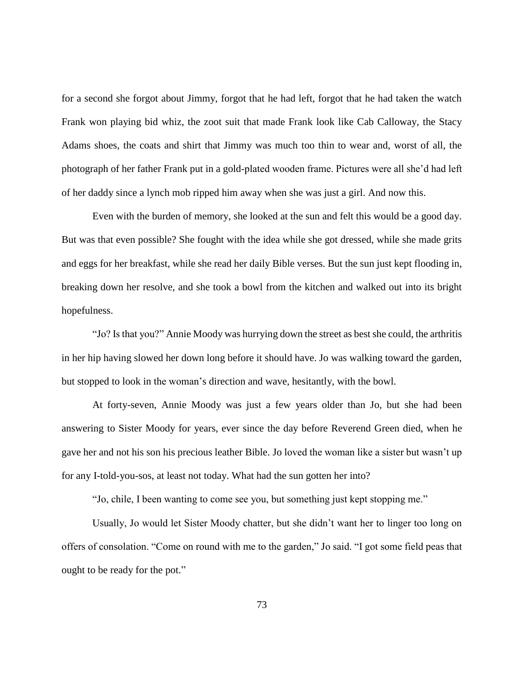for a second she forgot about Jimmy, forgot that he had left, forgot that he had taken the watch Frank won playing bid whiz, the zoot suit that made Frank look like Cab Calloway, the Stacy Adams shoes, the coats and shirt that Jimmy was much too thin to wear and, worst of all, the photograph of her father Frank put in a gold-plated wooden frame. Pictures were all she'd had left of her daddy since a lynch mob ripped him away when she was just a girl. And now this.

Even with the burden of memory, she looked at the sun and felt this would be a good day. But was that even possible? She fought with the idea while she got dressed, while she made grits and eggs for her breakfast, while she read her daily Bible verses. But the sun just kept flooding in, breaking down her resolve, and she took a bowl from the kitchen and walked out into its bright hopefulness.

"Jo? Is that you?" Annie Moody was hurrying down the street as best she could, the arthritis in her hip having slowed her down long before it should have. Jo was walking toward the garden, but stopped to look in the woman's direction and wave, hesitantly, with the bowl.

At forty-seven, Annie Moody was just a few years older than Jo, but she had been answering to Sister Moody for years, ever since the day before Reverend Green died, when he gave her and not his son his precious leather Bible. Jo loved the woman like a sister but wasn't up for any I-told-you-sos, at least not today. What had the sun gotten her into?

"Jo, chile, I been wanting to come see you, but something just kept stopping me."

Usually, Jo would let Sister Moody chatter, but she didn't want her to linger too long on offers of consolation. "Come on round with me to the garden," Jo said. "I got some field peas that ought to be ready for the pot."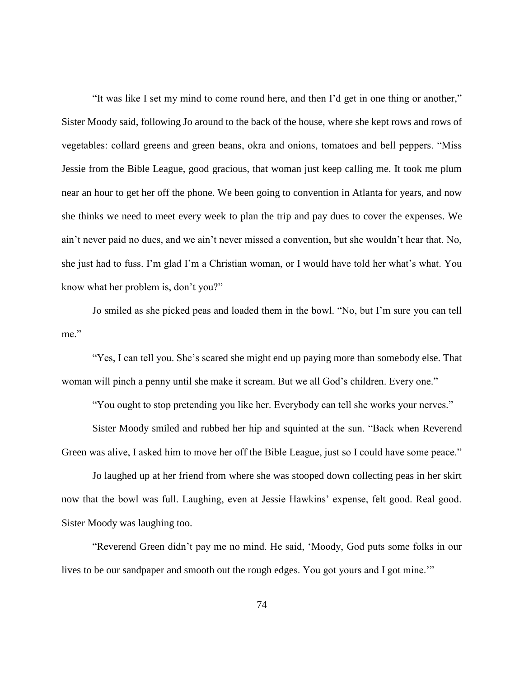"It was like I set my mind to come round here, and then I'd get in one thing or another," Sister Moody said, following Jo around to the back of the house, where she kept rows and rows of vegetables: collard greens and green beans, okra and onions, tomatoes and bell peppers. "Miss Jessie from the Bible League, good gracious, that woman just keep calling me. It took me plum near an hour to get her off the phone. We been going to convention in Atlanta for years, and now she thinks we need to meet every week to plan the trip and pay dues to cover the expenses. We ain't never paid no dues, and we ain't never missed a convention, but she wouldn't hear that. No, she just had to fuss. I'm glad I'm a Christian woman, or I would have told her what's what. You know what her problem is, don't you?"

Jo smiled as she picked peas and loaded them in the bowl. "No, but I'm sure you can tell me."

"Yes, I can tell you. She's scared she might end up paying more than somebody else. That woman will pinch a penny until she make it scream. But we all God's children. Every one."

"You ought to stop pretending you like her. Everybody can tell she works your nerves."

Sister Moody smiled and rubbed her hip and squinted at the sun. "Back when Reverend Green was alive, I asked him to move her off the Bible League, just so I could have some peace."

Jo laughed up at her friend from where she was stooped down collecting peas in her skirt now that the bowl was full. Laughing, even at Jessie Hawkins' expense, felt good. Real good. Sister Moody was laughing too.

"Reverend Green didn't pay me no mind. He said, 'Moody, God puts some folks in our lives to be our sandpaper and smooth out the rough edges. You got yours and I got mine.'"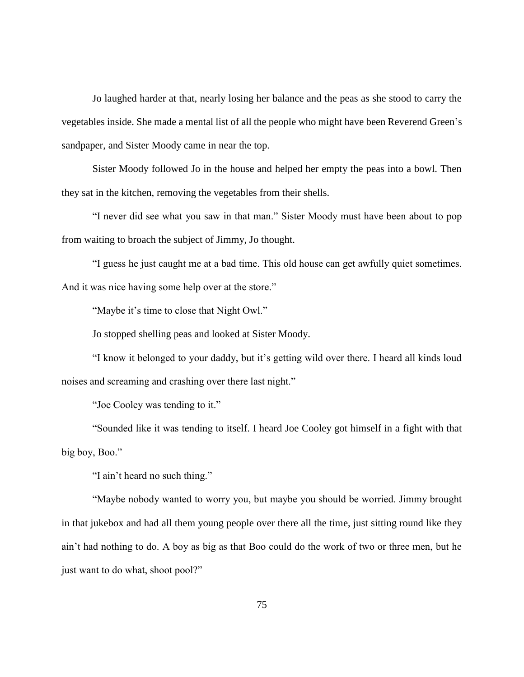Jo laughed harder at that, nearly losing her balance and the peas as she stood to carry the vegetables inside. She made a mental list of all the people who might have been Reverend Green's sandpaper, and Sister Moody came in near the top.

Sister Moody followed Jo in the house and helped her empty the peas into a bowl. Then they sat in the kitchen, removing the vegetables from their shells.

"I never did see what you saw in that man." Sister Moody must have been about to pop from waiting to broach the subject of Jimmy, Jo thought.

"I guess he just caught me at a bad time. This old house can get awfully quiet sometimes. And it was nice having some help over at the store."

"Maybe it's time to close that Night Owl."

Jo stopped shelling peas and looked at Sister Moody.

"I know it belonged to your daddy, but it's getting wild over there. I heard all kinds loud noises and screaming and crashing over there last night."

"Joe Cooley was tending to it."

"Sounded like it was tending to itself. I heard Joe Cooley got himself in a fight with that big boy, Boo."

"I ain't heard no such thing."

"Maybe nobody wanted to worry you, but maybe you should be worried. Jimmy brought in that jukebox and had all them young people over there all the time, just sitting round like they ain't had nothing to do. A boy as big as that Boo could do the work of two or three men, but he just want to do what, shoot pool?"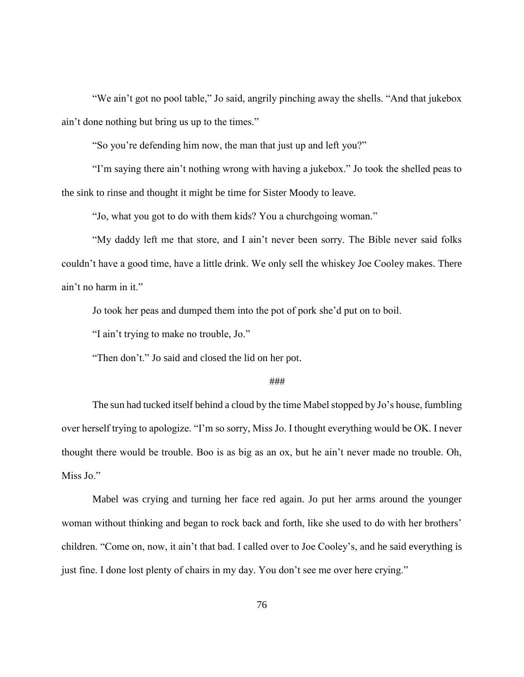"We ain't got no pool table," Jo said, angrily pinching away the shells. "And that jukebox ain't done nothing but bring us up to the times."

"So you're defending him now, the man that just up and left you?"

"I'm saying there ain't nothing wrong with having a jukebox." Jo took the shelled peas to the sink to rinse and thought it might be time for Sister Moody to leave.

"Jo, what you got to do with them kids? You a churchgoing woman."

"My daddy left me that store, and I ain't never been sorry. The Bible never said folks couldn't have a good time, have a little drink. We only sell the whiskey Joe Cooley makes. There ain't no harm in it."

Jo took her peas and dumped them into the pot of pork she'd put on to boil.

"I ain't trying to make no trouble, Jo."

"Then don't." Jo said and closed the lid on her pot.

## ###

The sun had tucked itself behind a cloud by the time Mabel stopped by Jo's house, fumbling over herself trying to apologize. "I'm so sorry, Miss Jo. I thought everything would be OK. I never thought there would be trouble. Boo is as big as an ox, but he ain't never made no trouble. Oh, Miss Jo."

Mabel was crying and turning her face red again. Jo put her arms around the younger woman without thinking and began to rock back and forth, like she used to do with her brothers' children. "Come on, now, it ain't that bad. I called over to Joe Cooley's, and he said everything is just fine. I done lost plenty of chairs in my day. You don't see me over here crying."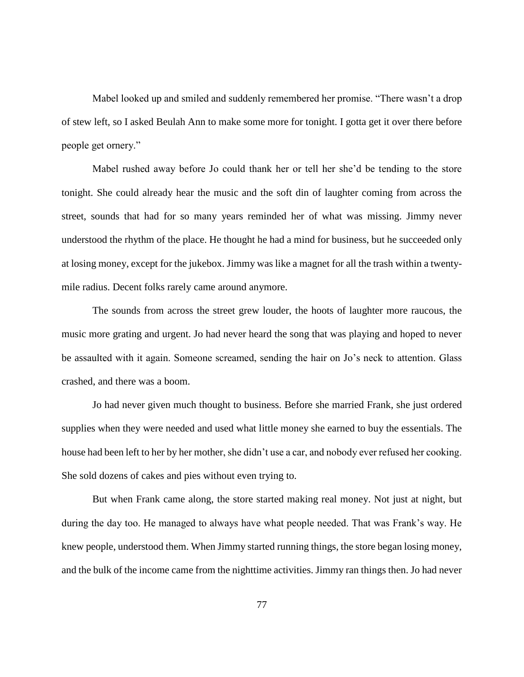Mabel looked up and smiled and suddenly remembered her promise. "There wasn't a drop of stew left, so I asked Beulah Ann to make some more for tonight. I gotta get it over there before people get ornery."

Mabel rushed away before Jo could thank her or tell her she'd be tending to the store tonight. She could already hear the music and the soft din of laughter coming from across the street, sounds that had for so many years reminded her of what was missing. Jimmy never understood the rhythm of the place. He thought he had a mind for business, but he succeeded only at losing money, except for the jukebox. Jimmy was like a magnet for all the trash within a twentymile radius. Decent folks rarely came around anymore.

The sounds from across the street grew louder, the hoots of laughter more raucous, the music more grating and urgent. Jo had never heard the song that was playing and hoped to never be assaulted with it again. Someone screamed, sending the hair on Jo's neck to attention. Glass crashed, and there was a boom.

Jo had never given much thought to business. Before she married Frank, she just ordered supplies when they were needed and used what little money she earned to buy the essentials. The house had been left to her by her mother, she didn't use a car, and nobody ever refused her cooking. She sold dozens of cakes and pies without even trying to.

But when Frank came along, the store started making real money. Not just at night, but during the day too. He managed to always have what people needed. That was Frank's way. He knew people, understood them. When Jimmy started running things, the store began losing money, and the bulk of the income came from the nighttime activities. Jimmy ran things then. Jo had never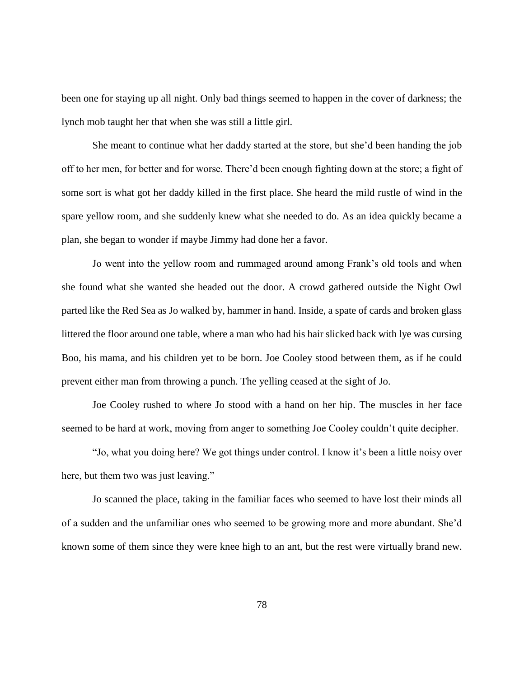been one for staying up all night. Only bad things seemed to happen in the cover of darkness; the lynch mob taught her that when she was still a little girl.

She meant to continue what her daddy started at the store, but she'd been handing the job off to her men, for better and for worse. There'd been enough fighting down at the store; a fight of some sort is what got her daddy killed in the first place. She heard the mild rustle of wind in the spare yellow room, and she suddenly knew what she needed to do. As an idea quickly became a plan, she began to wonder if maybe Jimmy had done her a favor.

Jo went into the yellow room and rummaged around among Frank's old tools and when she found what she wanted she headed out the door. A crowd gathered outside the Night Owl parted like the Red Sea as Jo walked by, hammer in hand. Inside, a spate of cards and broken glass littered the floor around one table, where a man who had his hair slicked back with lye was cursing Boo, his mama, and his children yet to be born. Joe Cooley stood between them, as if he could prevent either man from throwing a punch. The yelling ceased at the sight of Jo.

Joe Cooley rushed to where Jo stood with a hand on her hip. The muscles in her face seemed to be hard at work, moving from anger to something Joe Cooley couldn't quite decipher.

"Jo, what you doing here? We got things under control. I know it's been a little noisy over here, but them two was just leaving."

Jo scanned the place, taking in the familiar faces who seemed to have lost their minds all of a sudden and the unfamiliar ones who seemed to be growing more and more abundant. She'd known some of them since they were knee high to an ant, but the rest were virtually brand new.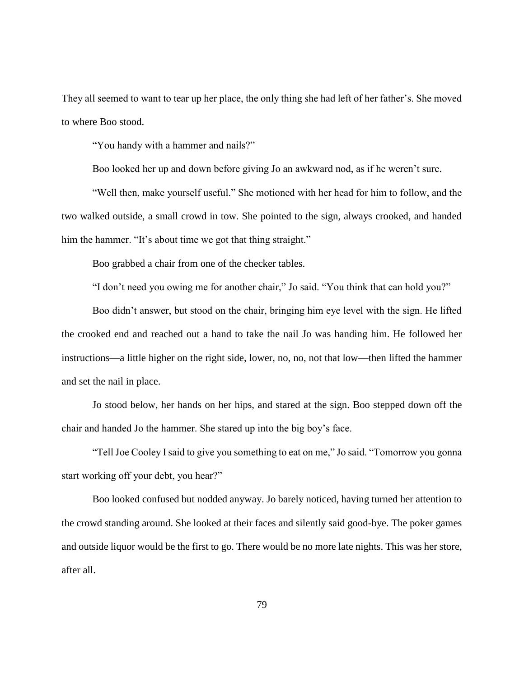They all seemed to want to tear up her place, the only thing she had left of her father's. She moved to where Boo stood.

"You handy with a hammer and nails?"

Boo looked her up and down before giving Jo an awkward nod, as if he weren't sure.

"Well then, make yourself useful." She motioned with her head for him to follow, and the two walked outside, a small crowd in tow. She pointed to the sign, always crooked, and handed him the hammer. "It's about time we got that thing straight."

Boo grabbed a chair from one of the checker tables.

"I don't need you owing me for another chair," Jo said. "You think that can hold you?"

Boo didn't answer, but stood on the chair, bringing him eye level with the sign. He lifted the crooked end and reached out a hand to take the nail Jo was handing him. He followed her instructions—a little higher on the right side, lower, no, no, not that low—then lifted the hammer and set the nail in place.

Jo stood below, her hands on her hips, and stared at the sign. Boo stepped down off the chair and handed Jo the hammer. She stared up into the big boy's face.

"Tell Joe Cooley I said to give you something to eat on me," Jo said. "Tomorrow you gonna start working off your debt, you hear?"

Boo looked confused but nodded anyway. Jo barely noticed, having turned her attention to the crowd standing around. She looked at their faces and silently said good-bye. The poker games and outside liquor would be the first to go. There would be no more late nights. This was her store, after all.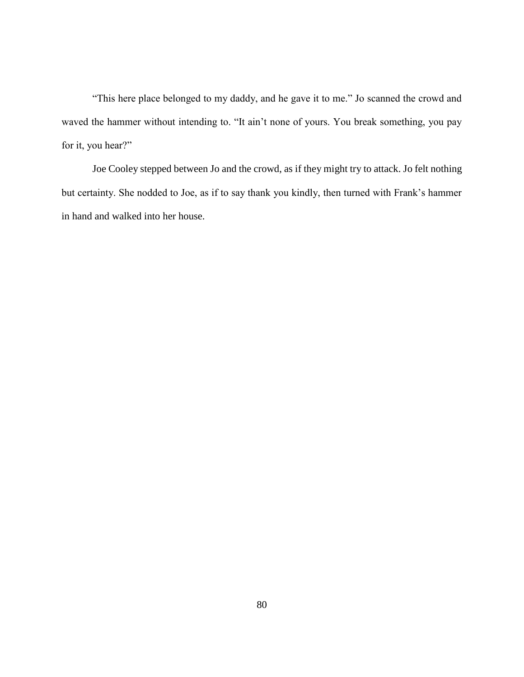"This here place belonged to my daddy, and he gave it to me." Jo scanned the crowd and waved the hammer without intending to. "It ain't none of yours. You break something, you pay for it, you hear?"

Joe Cooley stepped between Jo and the crowd, as if they might try to attack. Jo felt nothing but certainty. She nodded to Joe, as if to say thank you kindly, then turned with Frank's hammer in hand and walked into her house.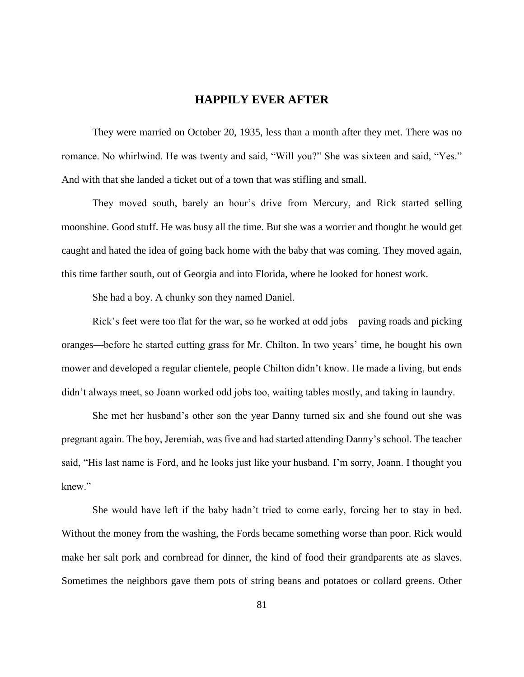# **HAPPILY EVER AFTER**

They were married on October 20, 1935, less than a month after they met. There was no romance. No whirlwind. He was twenty and said, "Will you?" She was sixteen and said, "Yes." And with that she landed a ticket out of a town that was stifling and small.

They moved south, barely an hour's drive from Mercury, and Rick started selling moonshine. Good stuff. He was busy all the time. But she was a worrier and thought he would get caught and hated the idea of going back home with the baby that was coming. They moved again, this time farther south, out of Georgia and into Florida, where he looked for honest work.

She had a boy. A chunky son they named Daniel.

Rick's feet were too flat for the war, so he worked at odd jobs—paving roads and picking oranges—before he started cutting grass for Mr. Chilton. In two years' time, he bought his own mower and developed a regular clientele, people Chilton didn't know. He made a living, but ends didn't always meet, so Joann worked odd jobs too, waiting tables mostly, and taking in laundry.

She met her husband's other son the year Danny turned six and she found out she was pregnant again. The boy, Jeremiah, was five and had started attending Danny's school. The teacher said, "His last name is Ford, and he looks just like your husband. I'm sorry, Joann. I thought you knew"

She would have left if the baby hadn't tried to come early, forcing her to stay in bed. Without the money from the washing, the Fords became something worse than poor. Rick would make her salt pork and cornbread for dinner, the kind of food their grandparents ate as slaves. Sometimes the neighbors gave them pots of string beans and potatoes or collard greens. Other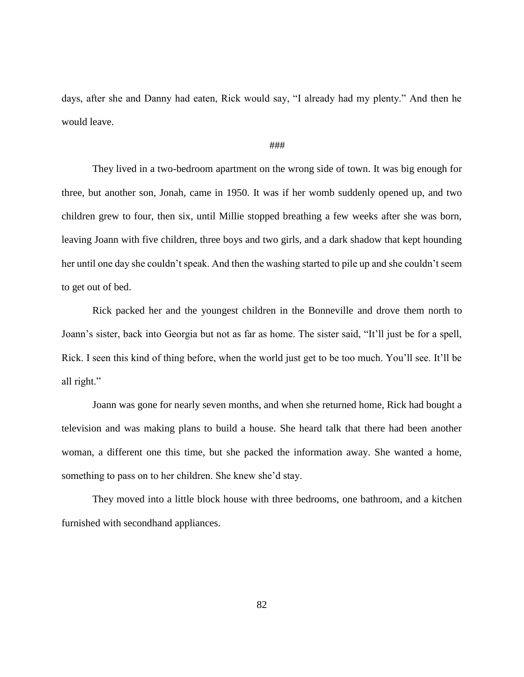days, after she and Danny had eaten, Rick would say, "I already had my plenty." And then he would leave.

#### ###

They lived in a two-bedroom apartment on the wrong side of town. It was big enough for three, but another son, Jonah, came in 1950. It was if her womb suddenly opened up, and two children grew to four, then six, until Millie stopped breathing a few weeks after she was born, leaving Joann with five children, three boys and two girls, and a dark shadow that kept hounding her until one day she couldn't speak. And then the washing started to pile up and she couldn't seem to get out of bed.

Rick packed her and the youngest children in the Bonneville and drove them north to Joann's sister, back into Georgia but not as far as home. The sister said, "It'll just be for a spell, Rick. I seen this kind of thing before, when the world just get to be too much. You'll see. It'll be all right."

Joann was gone for nearly seven months, and when she returned home, Rick had bought a television and was making plans to build a house. She heard talk that there had been another woman, a different one this time, but she packed the information away. She wanted a home, something to pass on to her children. She knew she'd stay.

They moved into a little block house with three bedrooms, one bathroom, and a kitchen furnished with secondhand appliances.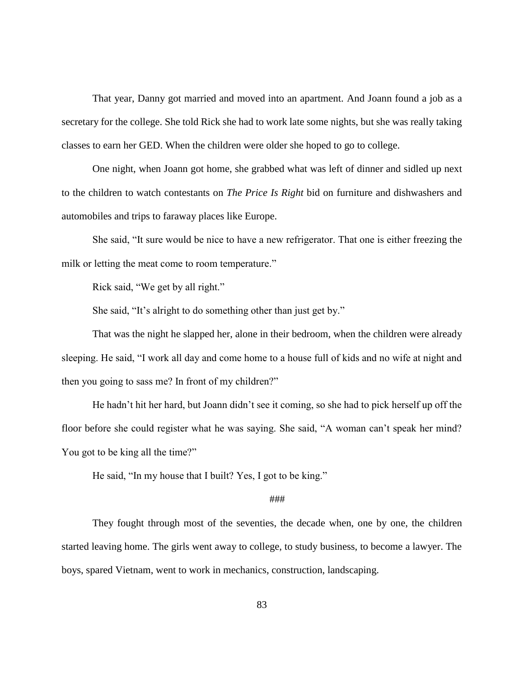That year, Danny got married and moved into an apartment. And Joann found a job as a secretary for the college. She told Rick she had to work late some nights, but she was really taking classes to earn her GED. When the children were older she hoped to go to college.

One night, when Joann got home, she grabbed what was left of dinner and sidled up next to the children to watch contestants on *The Price Is Right* bid on furniture and dishwashers and automobiles and trips to faraway places like Europe.

She said, "It sure would be nice to have a new refrigerator. That one is either freezing the milk or letting the meat come to room temperature."

Rick said, "We get by all right."

She said, "It's alright to do something other than just get by."

That was the night he slapped her, alone in their bedroom, when the children were already sleeping. He said, "I work all day and come home to a house full of kids and no wife at night and then you going to sass me? In front of my children?"

He hadn't hit her hard, but Joann didn't see it coming, so she had to pick herself up off the floor before she could register what he was saying. She said, "A woman can't speak her mind? You got to be king all the time?"

He said, "In my house that I built? Yes, I got to be king."

### ###

They fought through most of the seventies, the decade when, one by one, the children started leaving home. The girls went away to college, to study business, to become a lawyer. The boys, spared Vietnam, went to work in mechanics, construction, landscaping.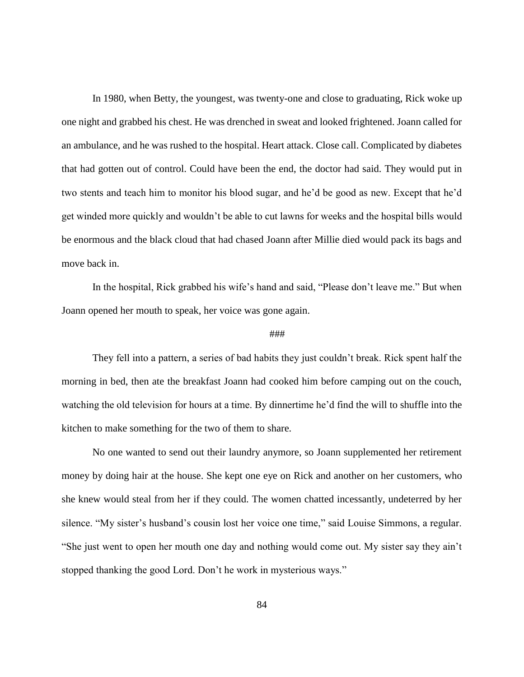In 1980, when Betty, the youngest, was twenty-one and close to graduating, Rick woke up one night and grabbed his chest. He was drenched in sweat and looked frightened. Joann called for an ambulance, and he was rushed to the hospital. Heart attack. Close call. Complicated by diabetes that had gotten out of control. Could have been the end, the doctor had said. They would put in two stents and teach him to monitor his blood sugar, and he'd be good as new. Except that he'd get winded more quickly and wouldn't be able to cut lawns for weeks and the hospital bills would be enormous and the black cloud that had chased Joann after Millie died would pack its bags and move back in.

In the hospital, Rick grabbed his wife's hand and said, "Please don't leave me." But when Joann opened her mouth to speak, her voice was gone again.

#### ###

They fell into a pattern, a series of bad habits they just couldn't break. Rick spent half the morning in bed, then ate the breakfast Joann had cooked him before camping out on the couch, watching the old television for hours at a time. By dinnertime he'd find the will to shuffle into the kitchen to make something for the two of them to share.

No one wanted to send out their laundry anymore, so Joann supplemented her retirement money by doing hair at the house. She kept one eye on Rick and another on her customers, who she knew would steal from her if they could. The women chatted incessantly, undeterred by her silence. "My sister's husband's cousin lost her voice one time," said Louise Simmons, a regular. "She just went to open her mouth one day and nothing would come out. My sister say they ain't stopped thanking the good Lord. Don't he work in mysterious ways."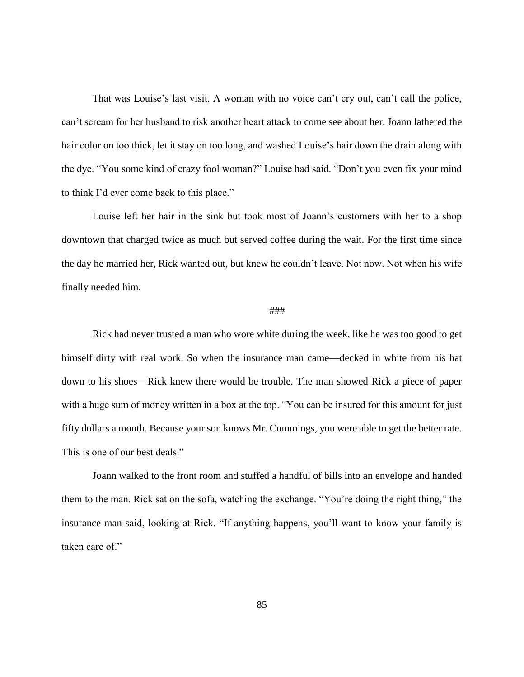That was Louise's last visit. A woman with no voice can't cry out, can't call the police, can't scream for her husband to risk another heart attack to come see about her. Joann lathered the hair color on too thick, let it stay on too long, and washed Louise's hair down the drain along with the dye. "You some kind of crazy fool woman?" Louise had said. "Don't you even fix your mind to think I'd ever come back to this place."

Louise left her hair in the sink but took most of Joann's customers with her to a shop downtown that charged twice as much but served coffee during the wait. For the first time since the day he married her, Rick wanted out, but knew he couldn't leave. Not now. Not when his wife finally needed him.

### ###

Rick had never trusted a man who wore white during the week, like he was too good to get himself dirty with real work. So when the insurance man came—decked in white from his hat down to his shoes—Rick knew there would be trouble. The man showed Rick a piece of paper with a huge sum of money written in a box at the top. "You can be insured for this amount for just fifty dollars a month. Because your son knows Mr. Cummings, you were able to get the better rate. This is one of our best deals."

Joann walked to the front room and stuffed a handful of bills into an envelope and handed them to the man. Rick sat on the sofa, watching the exchange. "You're doing the right thing," the insurance man said, looking at Rick. "If anything happens, you'll want to know your family is taken care of."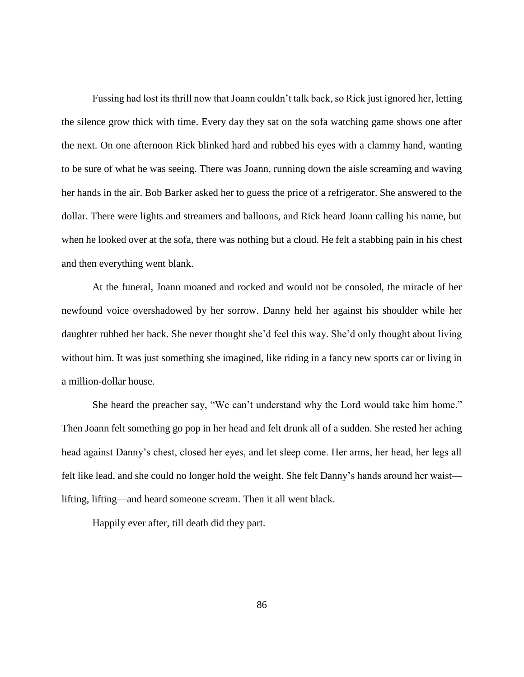Fussing had lost its thrill now that Joann couldn't talk back, so Rick just ignored her, letting the silence grow thick with time. Every day they sat on the sofa watching game shows one after the next. On one afternoon Rick blinked hard and rubbed his eyes with a clammy hand, wanting to be sure of what he was seeing. There was Joann, running down the aisle screaming and waving her hands in the air. Bob Barker asked her to guess the price of a refrigerator. She answered to the dollar. There were lights and streamers and balloons, and Rick heard Joann calling his name, but when he looked over at the sofa, there was nothing but a cloud. He felt a stabbing pain in his chest and then everything went blank.

At the funeral, Joann moaned and rocked and would not be consoled, the miracle of her newfound voice overshadowed by her sorrow. Danny held her against his shoulder while her daughter rubbed her back. She never thought she'd feel this way. She'd only thought about living without him. It was just something she imagined, like riding in a fancy new sports car or living in a million-dollar house.

She heard the preacher say, "We can't understand why the Lord would take him home." Then Joann felt something go pop in her head and felt drunk all of a sudden. She rested her aching head against Danny's chest, closed her eyes, and let sleep come. Her arms, her head, her legs all felt like lead, and she could no longer hold the weight. She felt Danny's hands around her waist lifting, lifting—and heard someone scream. Then it all went black.

Happily ever after, till death did they part.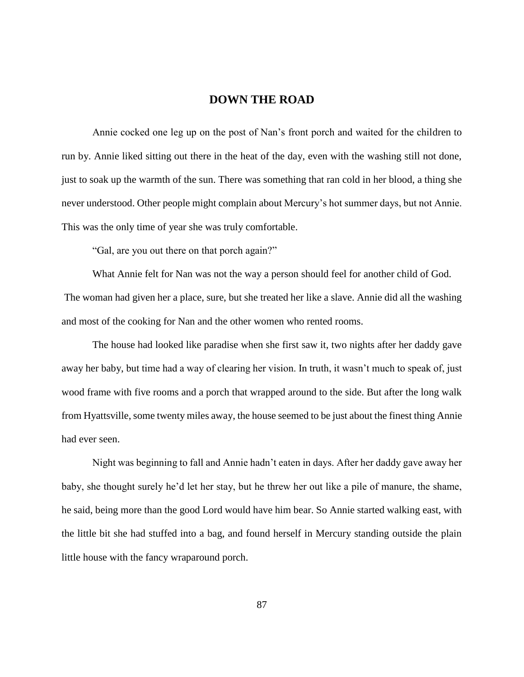# **DOWN THE ROAD**

Annie cocked one leg up on the post of Nan's front porch and waited for the children to run by. Annie liked sitting out there in the heat of the day, even with the washing still not done, just to soak up the warmth of the sun. There was something that ran cold in her blood, a thing she never understood. Other people might complain about Mercury's hot summer days, but not Annie. This was the only time of year she was truly comfortable.

"Gal, are you out there on that porch again?"

What Annie felt for Nan was not the way a person should feel for another child of God. The woman had given her a place, sure, but she treated her like a slave. Annie did all the washing and most of the cooking for Nan and the other women who rented rooms.

The house had looked like paradise when she first saw it, two nights after her daddy gave away her baby, but time had a way of clearing her vision. In truth, it wasn't much to speak of, just wood frame with five rooms and a porch that wrapped around to the side. But after the long walk from Hyattsville, some twenty miles away, the house seemed to be just about the finest thing Annie had ever seen.

Night was beginning to fall and Annie hadn't eaten in days. After her daddy gave away her baby, she thought surely he'd let her stay, but he threw her out like a pile of manure, the shame, he said, being more than the good Lord would have him bear. So Annie started walking east, with the little bit she had stuffed into a bag, and found herself in Mercury standing outside the plain little house with the fancy wraparound porch.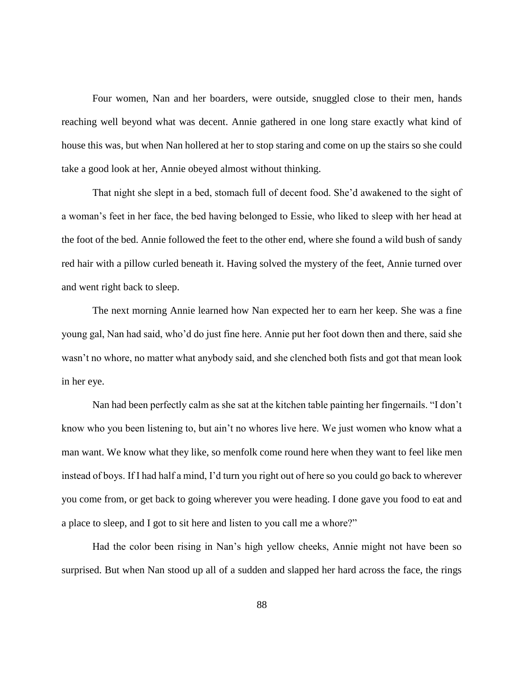Four women, Nan and her boarders, were outside, snuggled close to their men, hands reaching well beyond what was decent. Annie gathered in one long stare exactly what kind of house this was, but when Nan hollered at her to stop staring and come on up the stairs so she could take a good look at her, Annie obeyed almost without thinking.

That night she slept in a bed, stomach full of decent food. She'd awakened to the sight of a woman's feet in her face, the bed having belonged to Essie, who liked to sleep with her head at the foot of the bed. Annie followed the feet to the other end, where she found a wild bush of sandy red hair with a pillow curled beneath it. Having solved the mystery of the feet, Annie turned over and went right back to sleep.

The next morning Annie learned how Nan expected her to earn her keep. She was a fine young gal, Nan had said, who'd do just fine here. Annie put her foot down then and there, said she wasn't no whore, no matter what anybody said, and she clenched both fists and got that mean look in her eye.

Nan had been perfectly calm as she sat at the kitchen table painting her fingernails. "I don't know who you been listening to, but ain't no whores live here. We just women who know what a man want. We know what they like, so menfolk come round here when they want to feel like men instead of boys. If I had half a mind, I'd turn you right out of here so you could go back to wherever you come from, or get back to going wherever you were heading. I done gave you food to eat and a place to sleep, and I got to sit here and listen to you call me a whore?"

Had the color been rising in Nan's high yellow cheeks, Annie might not have been so surprised. But when Nan stood up all of a sudden and slapped her hard across the face, the rings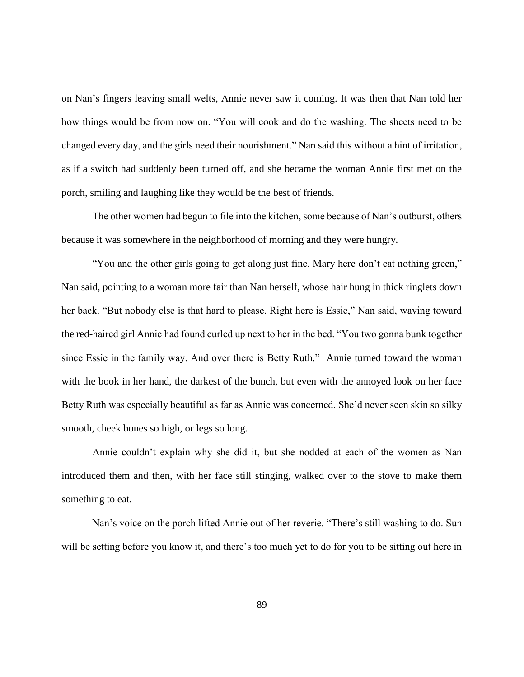on Nan's fingers leaving small welts, Annie never saw it coming. It was then that Nan told her how things would be from now on. "You will cook and do the washing. The sheets need to be changed every day, and the girls need their nourishment." Nan said this without a hint of irritation, as if a switch had suddenly been turned off, and she became the woman Annie first met on the porch, smiling and laughing like they would be the best of friends.

The other women had begun to file into the kitchen, some because of Nan's outburst, others because it was somewhere in the neighborhood of morning and they were hungry.

"You and the other girls going to get along just fine. Mary here don't eat nothing green," Nan said, pointing to a woman more fair than Nan herself, whose hair hung in thick ringlets down her back. "But nobody else is that hard to please. Right here is Essie," Nan said, waving toward the red-haired girl Annie had found curled up next to her in the bed. "You two gonna bunk together since Essie in the family way. And over there is Betty Ruth." Annie turned toward the woman with the book in her hand, the darkest of the bunch, but even with the annoyed look on her face Betty Ruth was especially beautiful as far as Annie was concerned. She'd never seen skin so silky smooth, cheek bones so high, or legs so long.

Annie couldn't explain why she did it, but she nodded at each of the women as Nan introduced them and then, with her face still stinging, walked over to the stove to make them something to eat.

Nan's voice on the porch lifted Annie out of her reverie. "There's still washing to do. Sun will be setting before you know it, and there's too much yet to do for you to be sitting out here in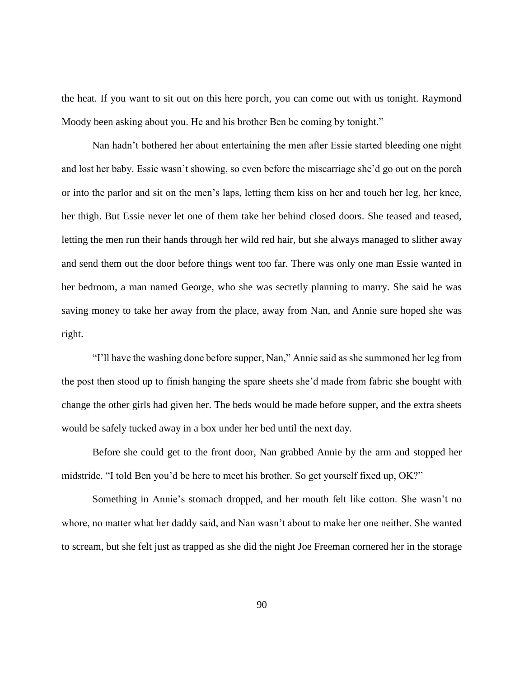the heat. If you want to sit out on this here porch, you can come out with us tonight. Raymond Moody been asking about you. He and his brother Ben be coming by tonight."

Nan hadn't bothered her about entertaining the men after Essie started bleeding one night and lost her baby. Essie wasn't showing, so even before the miscarriage she'd go out on the porch or into the parlor and sit on the men's laps, letting them kiss on her and touch her leg, her knee, her thigh. But Essie never let one of them take her behind closed doors. She teased and teased, letting the men run their hands through her wild red hair, but she always managed to slither away and send them out the door before things went too far. There was only one man Essie wanted in her bedroom, a man named George, who she was secretly planning to marry. She said he was saving money to take her away from the place, away from Nan, and Annie sure hoped she was right.

"I'll have the washing done before supper, Nan," Annie said as she summoned her leg from the post then stood up to finish hanging the spare sheets she'd made from fabric she bought with change the other girls had given her. The beds would be made before supper, and the extra sheets would be safely tucked away in a box under her bed until the next day.

Before she could get to the front door, Nan grabbed Annie by the arm and stopped her midstride. "I told Ben you'd be here to meet his brother. So get yourself fixed up, OK?"

Something in Annie's stomach dropped, and her mouth felt like cotton. She wasn't no whore, no matter what her daddy said, and Nan wasn't about to make her one neither. She wanted to scream, but she felt just as trapped as she did the night Joe Freeman cornered her in the storage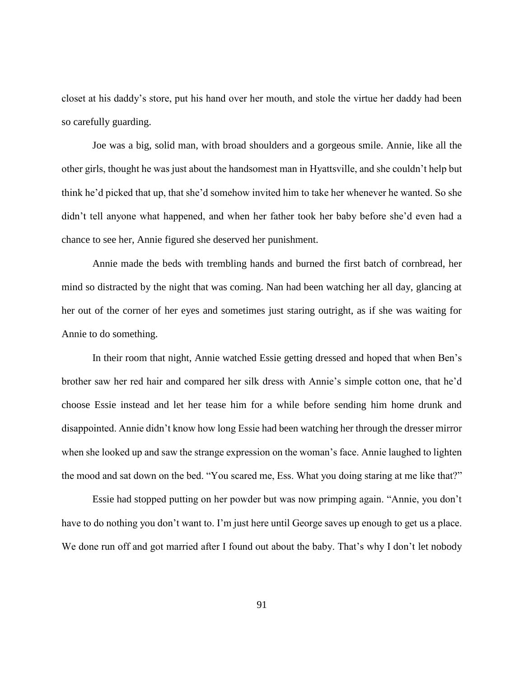closet at his daddy's store, put his hand over her mouth, and stole the virtue her daddy had been so carefully guarding.

Joe was a big, solid man, with broad shoulders and a gorgeous smile. Annie, like all the other girls, thought he was just about the handsomest man in Hyattsville, and she couldn't help but think he'd picked that up, that she'd somehow invited him to take her whenever he wanted. So she didn't tell anyone what happened, and when her father took her baby before she'd even had a chance to see her, Annie figured she deserved her punishment.

Annie made the beds with trembling hands and burned the first batch of cornbread, her mind so distracted by the night that was coming. Nan had been watching her all day, glancing at her out of the corner of her eyes and sometimes just staring outright, as if she was waiting for Annie to do something.

In their room that night, Annie watched Essie getting dressed and hoped that when Ben's brother saw her red hair and compared her silk dress with Annie's simple cotton one, that he'd choose Essie instead and let her tease him for a while before sending him home drunk and disappointed. Annie didn't know how long Essie had been watching her through the dresser mirror when she looked up and saw the strange expression on the woman's face. Annie laughed to lighten the mood and sat down on the bed. "You scared me, Ess. What you doing staring at me like that?"

Essie had stopped putting on her powder but was now primping again. "Annie, you don't have to do nothing you don't want to. I'm just here until George saves up enough to get us a place. We done run off and got married after I found out about the baby. That's why I don't let nobody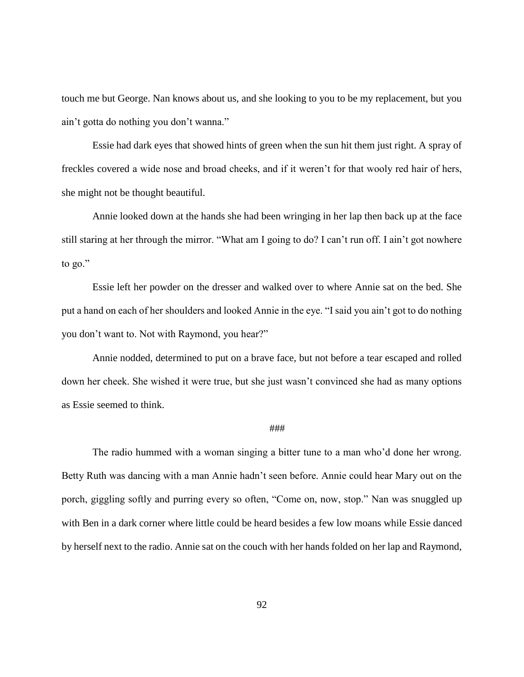touch me but George. Nan knows about us, and she looking to you to be my replacement, but you ain't gotta do nothing you don't wanna."

Essie had dark eyes that showed hints of green when the sun hit them just right. A spray of freckles covered a wide nose and broad cheeks, and if it weren't for that wooly red hair of hers, she might not be thought beautiful.

Annie looked down at the hands she had been wringing in her lap then back up at the face still staring at her through the mirror. "What am I going to do? I can't run off. I ain't got nowhere to go."

Essie left her powder on the dresser and walked over to where Annie sat on the bed. She put a hand on each of her shoulders and looked Annie in the eye. "I said you ain't got to do nothing you don't want to. Not with Raymond, you hear?"

Annie nodded, determined to put on a brave face, but not before a tear escaped and rolled down her cheek. She wished it were true, but she just wasn't convinced she had as many options as Essie seemed to think.

# ###

The radio hummed with a woman singing a bitter tune to a man who'd done her wrong. Betty Ruth was dancing with a man Annie hadn't seen before. Annie could hear Mary out on the porch, giggling softly and purring every so often, "Come on, now, stop." Nan was snuggled up with Ben in a dark corner where little could be heard besides a few low moans while Essie danced by herself next to the radio. Annie sat on the couch with her hands folded on her lap and Raymond,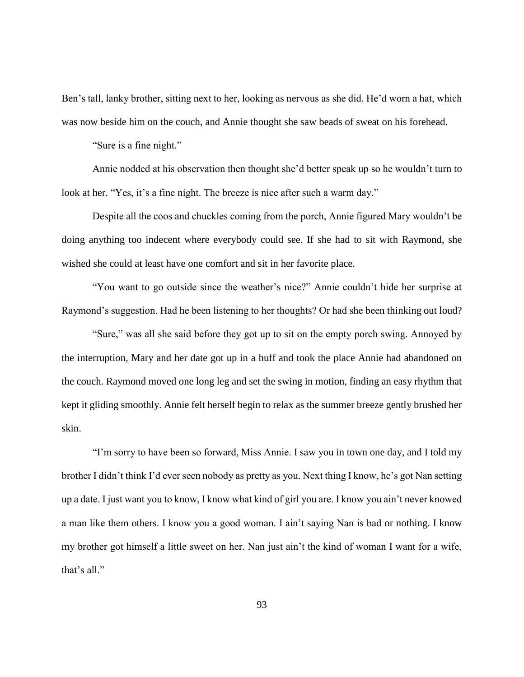Ben's tall, lanky brother, sitting next to her, looking as nervous as she did. He'd worn a hat, which was now beside him on the couch, and Annie thought she saw beads of sweat on his forehead.

"Sure is a fine night."

Annie nodded at his observation then thought she'd better speak up so he wouldn't turn to look at her. "Yes, it's a fine night. The breeze is nice after such a warm day."

Despite all the coos and chuckles coming from the porch, Annie figured Mary wouldn't be doing anything too indecent where everybody could see. If she had to sit with Raymond, she wished she could at least have one comfort and sit in her favorite place.

"You want to go outside since the weather's nice?" Annie couldn't hide her surprise at Raymond's suggestion. Had he been listening to her thoughts? Or had she been thinking out loud?

"Sure," was all she said before they got up to sit on the empty porch swing. Annoyed by the interruption, Mary and her date got up in a huff and took the place Annie had abandoned on the couch. Raymond moved one long leg and set the swing in motion, finding an easy rhythm that kept it gliding smoothly. Annie felt herself begin to relax as the summer breeze gently brushed her skin.

"I'm sorry to have been so forward, Miss Annie. I saw you in town one day, and I told my brother I didn't think I'd ever seen nobody as pretty as you. Next thing I know, he's got Nan setting up a date. I just want you to know, I know what kind of girl you are. I know you ain't never knowed a man like them others. I know you a good woman. I ain't saying Nan is bad or nothing. I know my brother got himself a little sweet on her. Nan just ain't the kind of woman I want for a wife, that's all."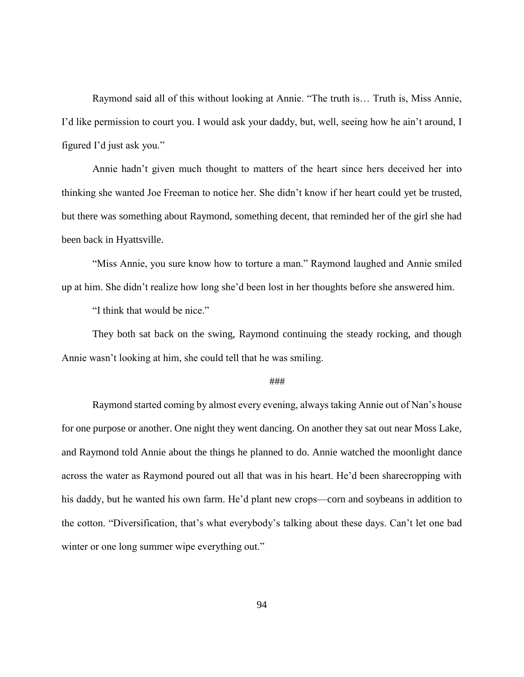Raymond said all of this without looking at Annie. "The truth is… Truth is, Miss Annie, I'd like permission to court you. I would ask your daddy, but, well, seeing how he ain't around, I figured I'd just ask you."

Annie hadn't given much thought to matters of the heart since hers deceived her into thinking she wanted Joe Freeman to notice her. She didn't know if her heart could yet be trusted, but there was something about Raymond, something decent, that reminded her of the girl she had been back in Hyattsville.

"Miss Annie, you sure know how to torture a man." Raymond laughed and Annie smiled up at him. She didn't realize how long she'd been lost in her thoughts before she answered him.

"I think that would be nice."

They both sat back on the swing, Raymond continuing the steady rocking, and though Annie wasn't looking at him, she could tell that he was smiling.

#### ###

Raymond started coming by almost every evening, always taking Annie out of Nan's house for one purpose or another. One night they went dancing. On another they sat out near Moss Lake, and Raymond told Annie about the things he planned to do. Annie watched the moonlight dance across the water as Raymond poured out all that was in his heart. He'd been sharecropping with his daddy, but he wanted his own farm. He'd plant new crops—corn and soybeans in addition to the cotton. "Diversification, that's what everybody's talking about these days. Can't let one bad winter or one long summer wipe everything out."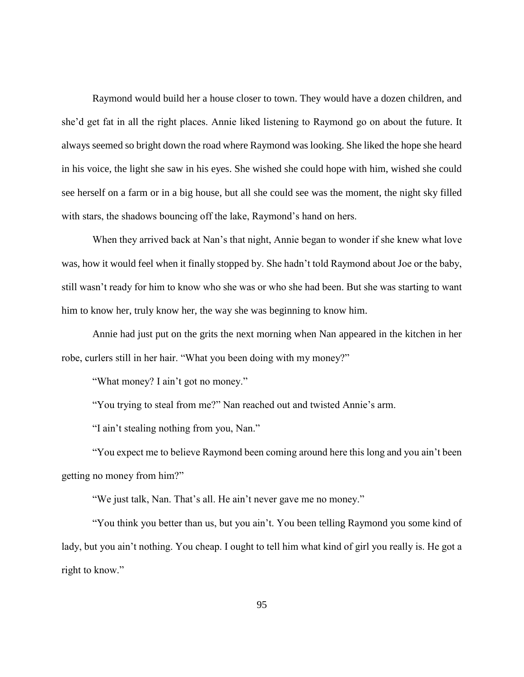Raymond would build her a house closer to town. They would have a dozen children, and she'd get fat in all the right places. Annie liked listening to Raymond go on about the future. It always seemed so bright down the road where Raymond was looking. She liked the hope she heard in his voice, the light she saw in his eyes. She wished she could hope with him, wished she could see herself on a farm or in a big house, but all she could see was the moment, the night sky filled with stars, the shadows bouncing off the lake, Raymond's hand on hers.

When they arrived back at Nan's that night, Annie began to wonder if she knew what love was, how it would feel when it finally stopped by. She hadn't told Raymond about Joe or the baby, still wasn't ready for him to know who she was or who she had been. But she was starting to want him to know her, truly know her, the way she was beginning to know him.

Annie had just put on the grits the next morning when Nan appeared in the kitchen in her robe, curlers still in her hair. "What you been doing with my money?"

"What money? I ain't got no money."

"You trying to steal from me?" Nan reached out and twisted Annie's arm.

"I ain't stealing nothing from you, Nan."

"You expect me to believe Raymond been coming around here this long and you ain't been getting no money from him?"

"We just talk, Nan. That's all. He ain't never gave me no money."

"You think you better than us, but you ain't. You been telling Raymond you some kind of lady, but you ain't nothing. You cheap. I ought to tell him what kind of girl you really is. He got a right to know."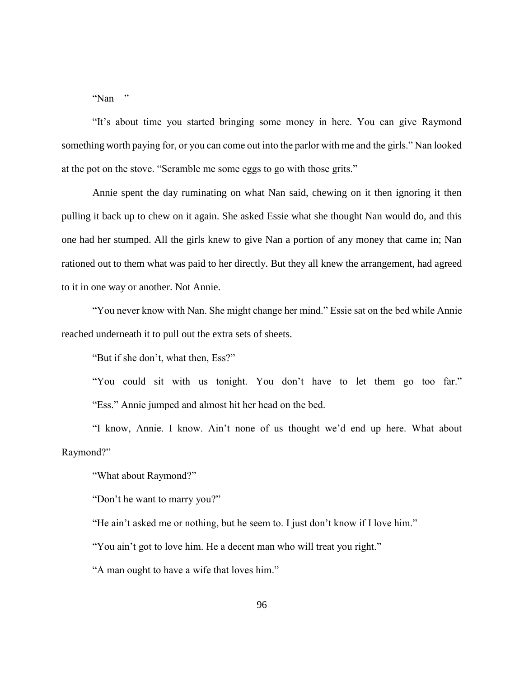"Nan—"

"It's about time you started bringing some money in here. You can give Raymond something worth paying for, or you can come out into the parlor with me and the girls." Nan looked at the pot on the stove. "Scramble me some eggs to go with those grits."

Annie spent the day ruminating on what Nan said, chewing on it then ignoring it then pulling it back up to chew on it again. She asked Essie what she thought Nan would do, and this one had her stumped. All the girls knew to give Nan a portion of any money that came in; Nan rationed out to them what was paid to her directly. But they all knew the arrangement, had agreed to it in one way or another. Not Annie.

"You never know with Nan. She might change her mind." Essie sat on the bed while Annie reached underneath it to pull out the extra sets of sheets.

"But if she don't, what then, Ess?"

"You could sit with us tonight. You don't have to let them go too far." "Ess." Annie jumped and almost hit her head on the bed.

"I know, Annie. I know. Ain't none of us thought we'd end up here. What about Raymond?"

"What about Raymond?"

"Don't he want to marry you?"

"He ain't asked me or nothing, but he seem to. I just don't know if I love him."

"You ain't got to love him. He a decent man who will treat you right."

"A man ought to have a wife that loves him."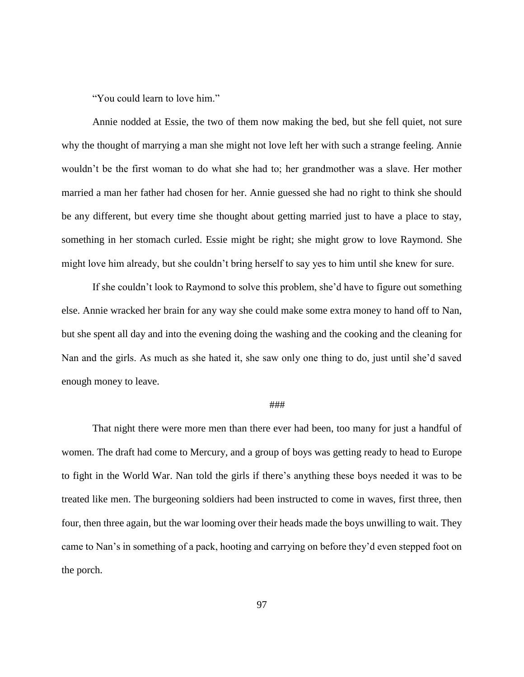"You could learn to love him."

Annie nodded at Essie, the two of them now making the bed, but she fell quiet, not sure why the thought of marrying a man she might not love left her with such a strange feeling. Annie wouldn't be the first woman to do what she had to; her grandmother was a slave. Her mother married a man her father had chosen for her. Annie guessed she had no right to think she should be any different, but every time she thought about getting married just to have a place to stay, something in her stomach curled. Essie might be right; she might grow to love Raymond. She might love him already, but she couldn't bring herself to say yes to him until she knew for sure.

If she couldn't look to Raymond to solve this problem, she'd have to figure out something else. Annie wracked her brain for any way she could make some extra money to hand off to Nan, but she spent all day and into the evening doing the washing and the cooking and the cleaning for Nan and the girls. As much as she hated it, she saw only one thing to do, just until she'd saved enough money to leave.

## ###

That night there were more men than there ever had been, too many for just a handful of women. The draft had come to Mercury, and a group of boys was getting ready to head to Europe to fight in the World War. Nan told the girls if there's anything these boys needed it was to be treated like men. The burgeoning soldiers had been instructed to come in waves, first three, then four, then three again, but the war looming over their heads made the boys unwilling to wait. They came to Nan's in something of a pack, hooting and carrying on before they'd even stepped foot on the porch.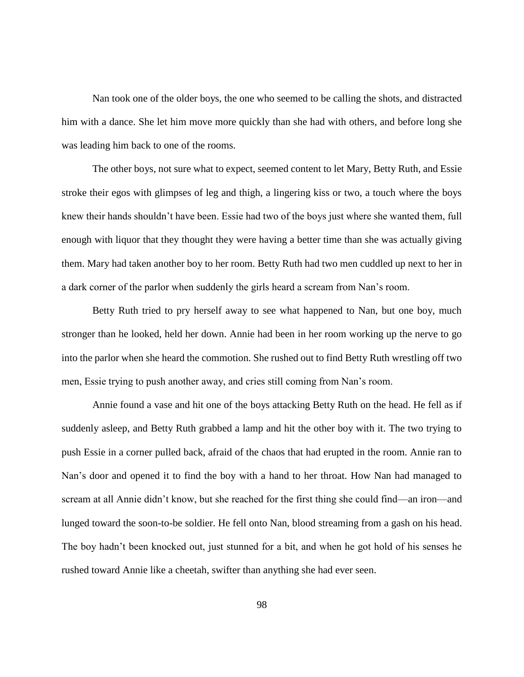Nan took one of the older boys, the one who seemed to be calling the shots, and distracted him with a dance. She let him move more quickly than she had with others, and before long she was leading him back to one of the rooms.

The other boys, not sure what to expect, seemed content to let Mary, Betty Ruth, and Essie stroke their egos with glimpses of leg and thigh, a lingering kiss or two, a touch where the boys knew their hands shouldn't have been. Essie had two of the boys just where she wanted them, full enough with liquor that they thought they were having a better time than she was actually giving them. Mary had taken another boy to her room. Betty Ruth had two men cuddled up next to her in a dark corner of the parlor when suddenly the girls heard a scream from Nan's room.

Betty Ruth tried to pry herself away to see what happened to Nan, but one boy, much stronger than he looked, held her down. Annie had been in her room working up the nerve to go into the parlor when she heard the commotion. She rushed out to find Betty Ruth wrestling off two men, Essie trying to push another away, and cries still coming from Nan's room.

Annie found a vase and hit one of the boys attacking Betty Ruth on the head. He fell as if suddenly asleep, and Betty Ruth grabbed a lamp and hit the other boy with it. The two trying to push Essie in a corner pulled back, afraid of the chaos that had erupted in the room. Annie ran to Nan's door and opened it to find the boy with a hand to her throat. How Nan had managed to scream at all Annie didn't know, but she reached for the first thing she could find—an iron—and lunged toward the soon-to-be soldier. He fell onto Nan, blood streaming from a gash on his head. The boy hadn't been knocked out, just stunned for a bit, and when he got hold of his senses he rushed toward Annie like a cheetah, swifter than anything she had ever seen.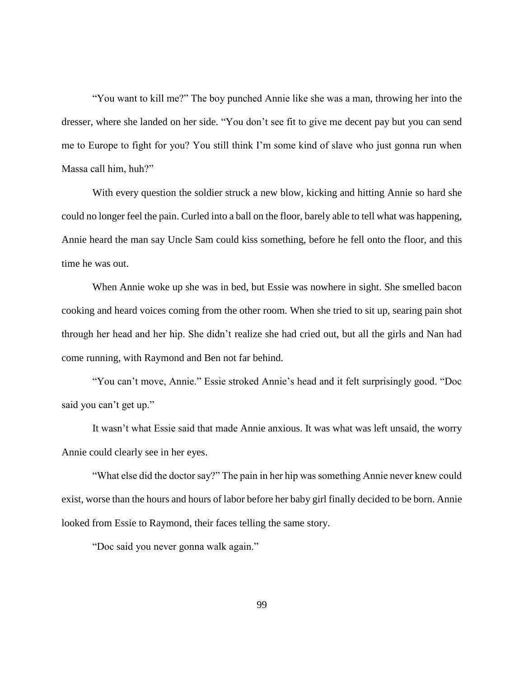"You want to kill me?" The boy punched Annie like she was a man, throwing her into the dresser, where she landed on her side. "You don't see fit to give me decent pay but you can send me to Europe to fight for you? You still think I'm some kind of slave who just gonna run when Massa call him, huh?"

With every question the soldier struck a new blow, kicking and hitting Annie so hard she could no longer feel the pain. Curled into a ball on the floor, barely able to tell what was happening, Annie heard the man say Uncle Sam could kiss something, before he fell onto the floor, and this time he was out.

When Annie woke up she was in bed, but Essie was nowhere in sight. She smelled bacon cooking and heard voices coming from the other room. When she tried to sit up, searing pain shot through her head and her hip. She didn't realize she had cried out, but all the girls and Nan had come running, with Raymond and Ben not far behind.

"You can't move, Annie." Essie stroked Annie's head and it felt surprisingly good. "Doc said you can't get up."

It wasn't what Essie said that made Annie anxious. It was what was left unsaid, the worry Annie could clearly see in her eyes.

"What else did the doctor say?" The pain in her hip was something Annie never knew could exist, worse than the hours and hours of labor before her baby girl finally decided to be born. Annie looked from Essie to Raymond, their faces telling the same story.

"Doc said you never gonna walk again."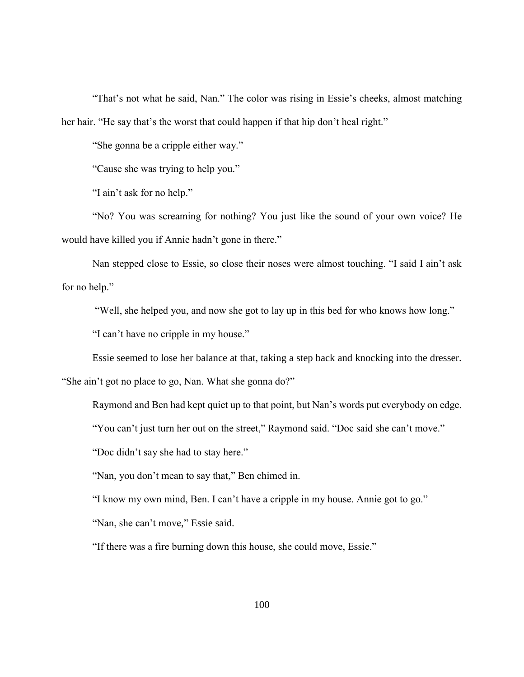"That's not what he said, Nan." The color was rising in Essie's cheeks, almost matching her hair. "He say that's the worst that could happen if that hip don't heal right."

"She gonna be a cripple either way."

"Cause she was trying to help you."

"I ain't ask for no help."

"No? You was screaming for nothing? You just like the sound of your own voice? He would have killed you if Annie hadn't gone in there."

Nan stepped close to Essie, so close their noses were almost touching. "I said I ain't ask for no help."

"Well, she helped you, and now she got to lay up in this bed for who knows how long."

"I can't have no cripple in my house."

Essie seemed to lose her balance at that, taking a step back and knocking into the dresser.

"She ain't got no place to go, Nan. What she gonna do?"

Raymond and Ben had kept quiet up to that point, but Nan's words put everybody on edge.

"You can't just turn her out on the street," Raymond said. "Doc said she can't move."

"Doc didn't say she had to stay here."

"Nan, you don't mean to say that," Ben chimed in.

"I know my own mind, Ben. I can't have a cripple in my house. Annie got to go."

"Nan, she can't move," Essie said.

"If there was a fire burning down this house, she could move, Essie."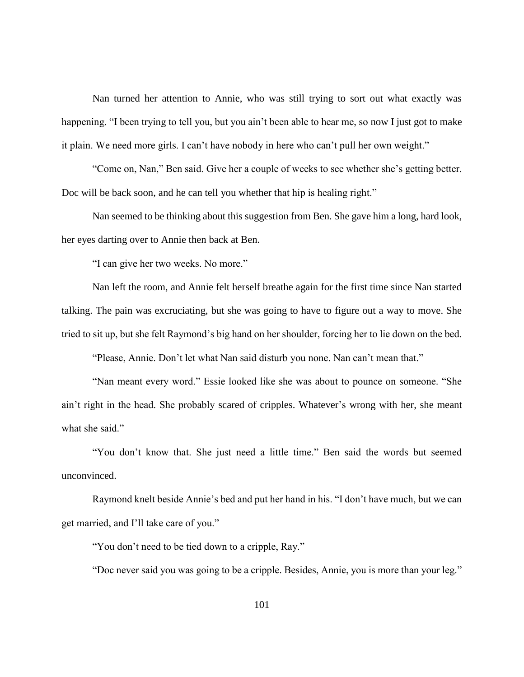Nan turned her attention to Annie, who was still trying to sort out what exactly was happening. "I been trying to tell you, but you ain't been able to hear me, so now I just got to make it plain. We need more girls. I can't have nobody in here who can't pull her own weight."

"Come on, Nan," Ben said. Give her a couple of weeks to see whether she's getting better. Doc will be back soon, and he can tell you whether that hip is healing right."

Nan seemed to be thinking about this suggestion from Ben. She gave him a long, hard look, her eyes darting over to Annie then back at Ben.

"I can give her two weeks. No more."

Nan left the room, and Annie felt herself breathe again for the first time since Nan started talking. The pain was excruciating, but she was going to have to figure out a way to move. She tried to sit up, but she felt Raymond's big hand on her shoulder, forcing her to lie down on the bed.

"Please, Annie. Don't let what Nan said disturb you none. Nan can't mean that."

"Nan meant every word." Essie looked like she was about to pounce on someone. "She ain't right in the head. She probably scared of cripples. Whatever's wrong with her, she meant what she said."

"You don't know that. She just need a little time." Ben said the words but seemed unconvinced.

Raymond knelt beside Annie's bed and put her hand in his. "I don't have much, but we can get married, and I'll take care of you."

"You don't need to be tied down to a cripple, Ray."

"Doc never said you was going to be a cripple. Besides, Annie, you is more than your leg."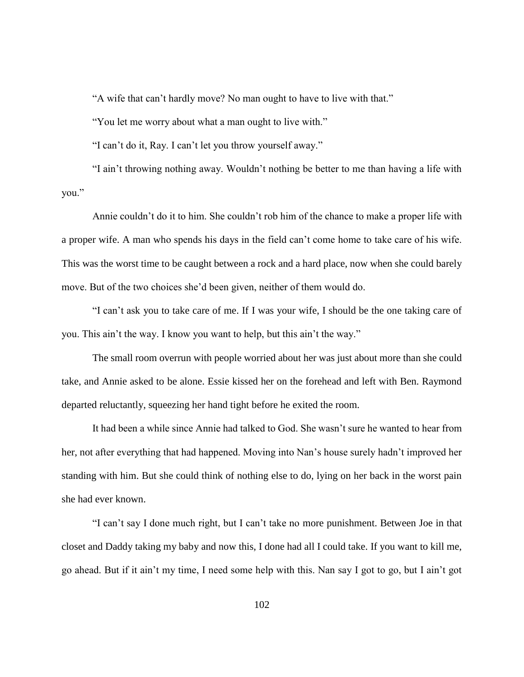"A wife that can't hardly move? No man ought to have to live with that."

"You let me worry about what a man ought to live with."

"I can't do it, Ray. I can't let you throw yourself away."

"I ain't throwing nothing away. Wouldn't nothing be better to me than having a life with you."

Annie couldn't do it to him. She couldn't rob him of the chance to make a proper life with a proper wife. A man who spends his days in the field can't come home to take care of his wife. This was the worst time to be caught between a rock and a hard place, now when she could barely move. But of the two choices she'd been given, neither of them would do.

"I can't ask you to take care of me. If I was your wife, I should be the one taking care of you. This ain't the way. I know you want to help, but this ain't the way."

The small room overrun with people worried about her was just about more than she could take, and Annie asked to be alone. Essie kissed her on the forehead and left with Ben. Raymond departed reluctantly, squeezing her hand tight before he exited the room.

It had been a while since Annie had talked to God. She wasn't sure he wanted to hear from her, not after everything that had happened. Moving into Nan's house surely hadn't improved her standing with him. But she could think of nothing else to do, lying on her back in the worst pain she had ever known.

"I can't say I done much right, but I can't take no more punishment. Between Joe in that closet and Daddy taking my baby and now this, I done had all I could take. If you want to kill me, go ahead. But if it ain't my time, I need some help with this. Nan say I got to go, but I ain't got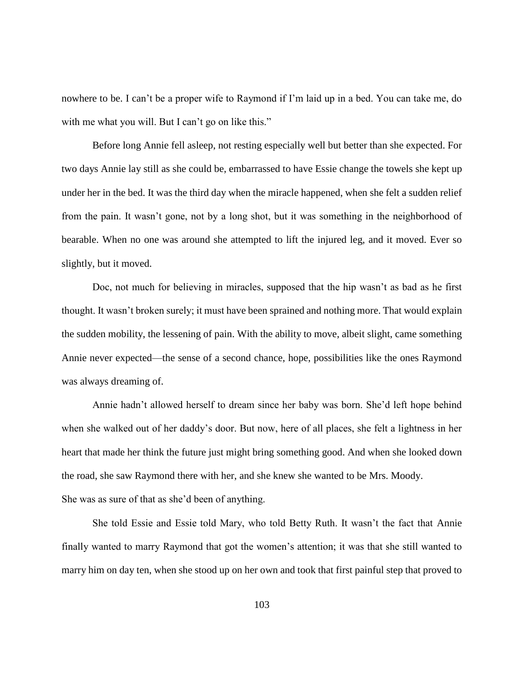nowhere to be. I can't be a proper wife to Raymond if I'm laid up in a bed. You can take me, do with me what you will. But I can't go on like this."

Before long Annie fell asleep, not resting especially well but better than she expected. For two days Annie lay still as she could be, embarrassed to have Essie change the towels she kept up under her in the bed. It was the third day when the miracle happened, when she felt a sudden relief from the pain. It wasn't gone, not by a long shot, but it was something in the neighborhood of bearable. When no one was around she attempted to lift the injured leg, and it moved. Ever so slightly, but it moved.

Doc, not much for believing in miracles, supposed that the hip wasn't as bad as he first thought. It wasn't broken surely; it must have been sprained and nothing more. That would explain the sudden mobility, the lessening of pain. With the ability to move, albeit slight, came something Annie never expected—the sense of a second chance, hope, possibilities like the ones Raymond was always dreaming of.

Annie hadn't allowed herself to dream since her baby was born. She'd left hope behind when she walked out of her daddy's door. But now, here of all places, she felt a lightness in her heart that made her think the future just might bring something good. And when she looked down the road, she saw Raymond there with her, and she knew she wanted to be Mrs. Moody. She was as sure of that as she'd been of anything.

She told Essie and Essie told Mary, who told Betty Ruth. It wasn't the fact that Annie finally wanted to marry Raymond that got the women's attention; it was that she still wanted to marry him on day ten, when she stood up on her own and took that first painful step that proved to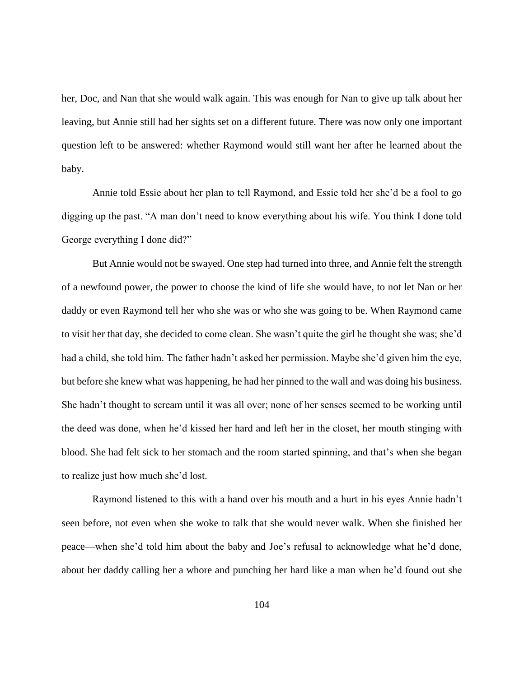her, Doc, and Nan that she would walk again. This was enough for Nan to give up talk about her leaving, but Annie still had her sights set on a different future. There was now only one important question left to be answered: whether Raymond would still want her after he learned about the baby.

Annie told Essie about her plan to tell Raymond, and Essie told her she'd be a fool to go digging up the past. "A man don't need to know everything about his wife. You think I done told George everything I done did?"

But Annie would not be swayed. One step had turned into three, and Annie felt the strength of a newfound power, the power to choose the kind of life she would have, to not let Nan or her daddy or even Raymond tell her who she was or who she was going to be. When Raymond came to visit her that day, she decided to come clean. She wasn't quite the girl he thought she was; she'd had a child, she told him. The father hadn't asked her permission. Maybe she'd given him the eye, but before she knew what was happening, he had her pinned to the wall and was doing his business. She hadn't thought to scream until it was all over; none of her senses seemed to be working until the deed was done, when he'd kissed her hard and left her in the closet, her mouth stinging with blood. She had felt sick to her stomach and the room started spinning, and that's when she began to realize just how much she'd lost.

Raymond listened to this with a hand over his mouth and a hurt in his eyes Annie hadn't seen before, not even when she woke to talk that she would never walk. When she finished her peace—when she'd told him about the baby and Joe's refusal to acknowledge what he'd done, about her daddy calling her a whore and punching her hard like a man when he'd found out she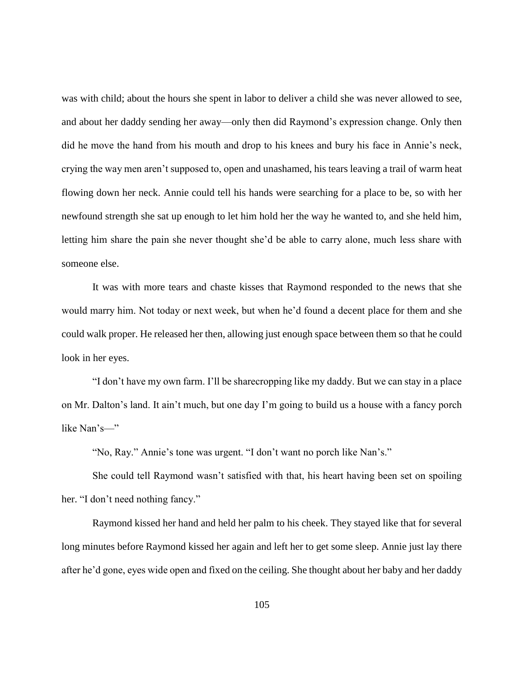was with child; about the hours she spent in labor to deliver a child she was never allowed to see, and about her daddy sending her away—only then did Raymond's expression change. Only then did he move the hand from his mouth and drop to his knees and bury his face in Annie's neck, crying the way men aren't supposed to, open and unashamed, his tears leaving a trail of warm heat flowing down her neck. Annie could tell his hands were searching for a place to be, so with her newfound strength she sat up enough to let him hold her the way he wanted to, and she held him, letting him share the pain she never thought she'd be able to carry alone, much less share with someone else.

It was with more tears and chaste kisses that Raymond responded to the news that she would marry him. Not today or next week, but when he'd found a decent place for them and she could walk proper. He released her then, allowing just enough space between them so that he could look in her eyes.

"I don't have my own farm. I'll be sharecropping like my daddy. But we can stay in a place on Mr. Dalton's land. It ain't much, but one day I'm going to build us a house with a fancy porch like Nan's—"

"No, Ray." Annie's tone was urgent. "I don't want no porch like Nan's."

She could tell Raymond wasn't satisfied with that, his heart having been set on spoiling her. "I don't need nothing fancy."

Raymond kissed her hand and held her palm to his cheek. They stayed like that for several long minutes before Raymond kissed her again and left her to get some sleep. Annie just lay there after he'd gone, eyes wide open and fixed on the ceiling. She thought about her baby and her daddy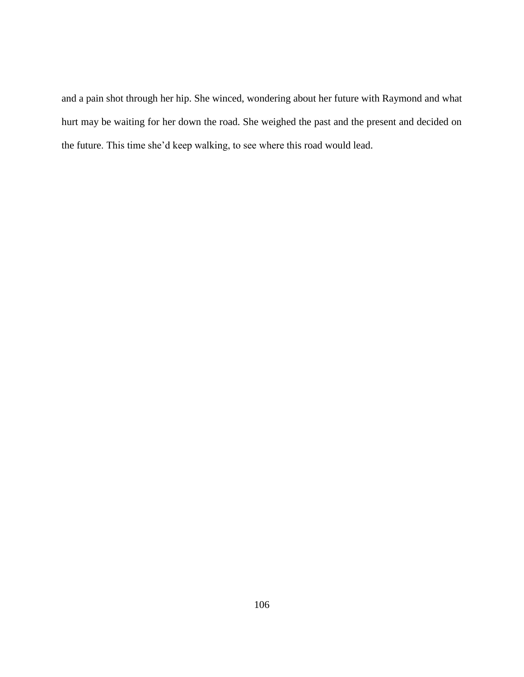and a pain shot through her hip. She winced, wondering about her future with Raymond and what hurt may be waiting for her down the road. She weighed the past and the present and decided on the future. This time she'd keep walking, to see where this road would lead.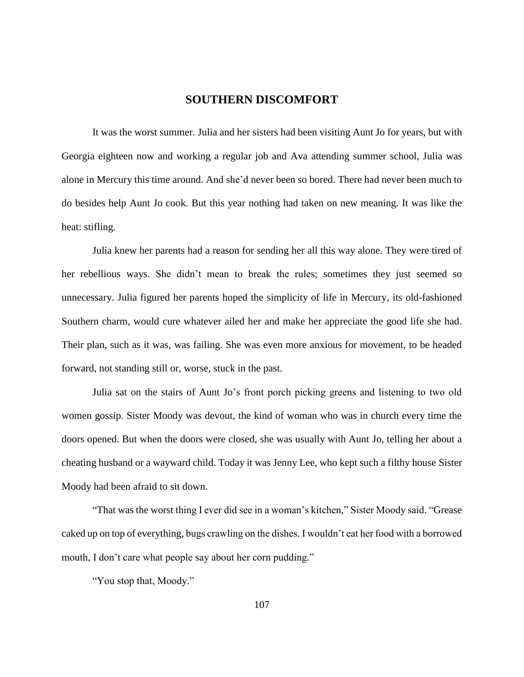# **SOUTHERN DISCOMFORT**

It was the worst summer. Julia and her sisters had been visiting Aunt Jo for years, but with Georgia eighteen now and working a regular job and Ava attending summer school, Julia was alone in Mercury this time around. And she'd never been so bored. There had never been much to do besides help Aunt Jo cook. But this year nothing had taken on new meaning. It was like the heat: stifling.

Julia knew her parents had a reason for sending her all this way alone. They were tired of her rebellious ways. She didn't mean to break the rules; sometimes they just seemed so unnecessary. Julia figured her parents hoped the simplicity of life in Mercury, its old-fashioned Southern charm, would cure whatever ailed her and make her appreciate the good life she had. Their plan, such as it was, was failing. She was even more anxious for movement, to be headed forward, not standing still or, worse, stuck in the past.

Julia sat on the stairs of Aunt Jo's front porch picking greens and listening to two old women gossip. Sister Moody was devout, the kind of woman who was in church every time the doors opened. But when the doors were closed, she was usually with Aunt Jo, telling her about a cheating husband or a wayward child. Today it was Jenny Lee, who kept such a filthy house Sister Moody had been afraid to sit down.

"That was the worst thing I ever did see in a woman's kitchen," Sister Moody said. "Grease caked up on top of everything, bugs crawling on the dishes. I wouldn't eat her food with a borrowed mouth, I don't care what people say about her corn pudding."

"You stop that, Moody."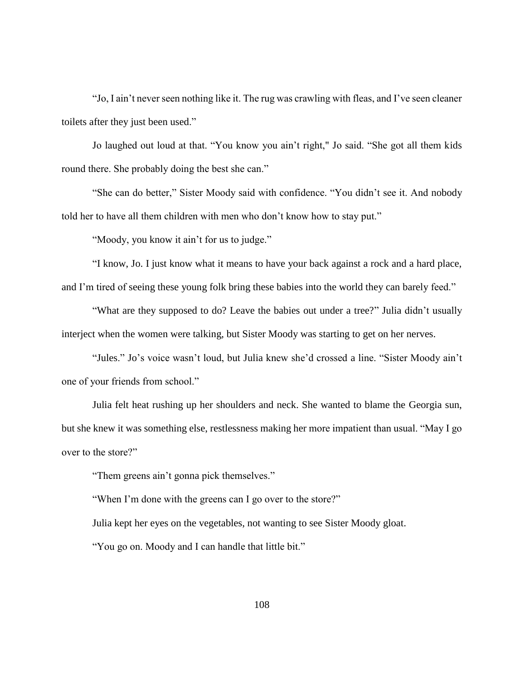"Jo, I ain't never seen nothing like it. The rug was crawling with fleas, and I've seen cleaner toilets after they just been used."

Jo laughed out loud at that. "You know you ain't right," Jo said. "She got all them kids round there. She probably doing the best she can."

"She can do better," Sister Moody said with confidence. "You didn't see it. And nobody told her to have all them children with men who don't know how to stay put."

"Moody, you know it ain't for us to judge."

"I know, Jo. I just know what it means to have your back against a rock and a hard place, and I'm tired of seeing these young folk bring these babies into the world they can barely feed."

"What are they supposed to do? Leave the babies out under a tree?" Julia didn't usually interject when the women were talking, but Sister Moody was starting to get on her nerves.

"Jules." Jo's voice wasn't loud, but Julia knew she'd crossed a line. "Sister Moody ain't one of your friends from school."

 Julia felt heat rushing up her shoulders and neck. She wanted to blame the Georgia sun, but she knew it was something else, restlessness making her more impatient than usual. "May I go over to the store?"

"Them greens ain't gonna pick themselves."

"When I'm done with the greens can I go over to the store?"

Julia kept her eyes on the vegetables, not wanting to see Sister Moody gloat.

"You go on. Moody and I can handle that little bit."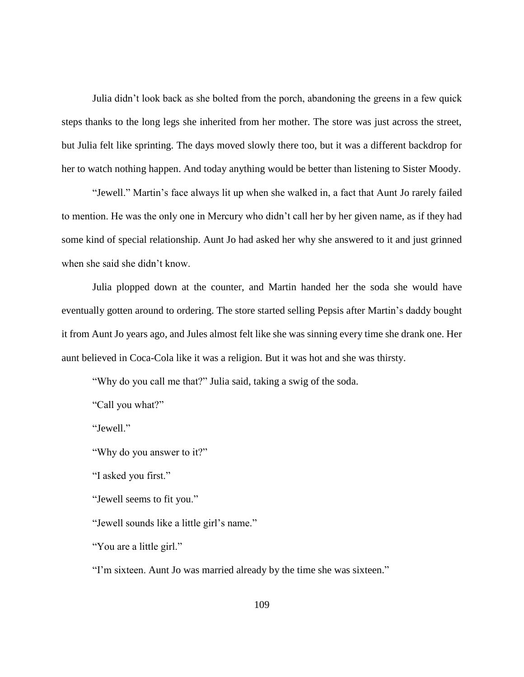Julia didn't look back as she bolted from the porch, abandoning the greens in a few quick steps thanks to the long legs she inherited from her mother. The store was just across the street, but Julia felt like sprinting. The days moved slowly there too, but it was a different backdrop for her to watch nothing happen. And today anything would be better than listening to Sister Moody.

"Jewell." Martin's face always lit up when she walked in, a fact that Aunt Jo rarely failed to mention. He was the only one in Mercury who didn't call her by her given name, as if they had some kind of special relationship. Aunt Jo had asked her why she answered to it and just grinned when she said she didn't know.

Julia plopped down at the counter, and Martin handed her the soda she would have eventually gotten around to ordering. The store started selling Pepsis after Martin's daddy bought it from Aunt Jo years ago, and Jules almost felt like she was sinning every time she drank one. Her aunt believed in Coca-Cola like it was a religion. But it was hot and she was thirsty.

"Why do you call me that?" Julia said, taking a swig of the soda.

"Call you what?"

"Jewell."

"Why do you answer to it?"

"I asked you first."

"Jewell seems to fit you."

"Jewell sounds like a little girl's name."

"You are a little girl."

"I'm sixteen. Aunt Jo was married already by the time she was sixteen."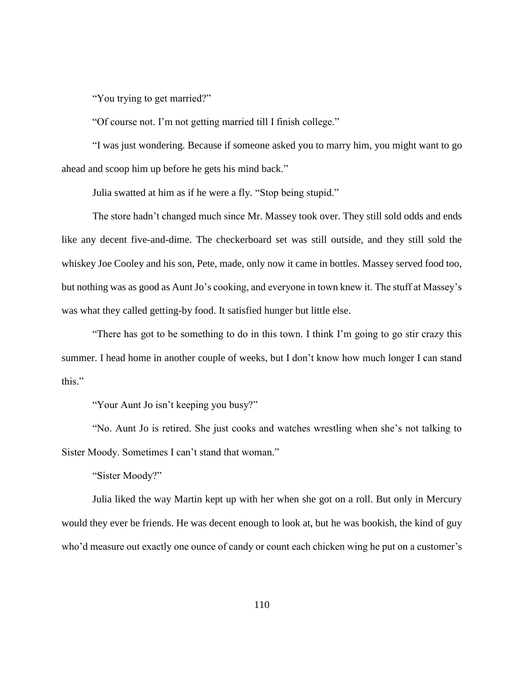"You trying to get married?"

"Of course not. I'm not getting married till I finish college."

"I was just wondering. Because if someone asked you to marry him, you might want to go ahead and scoop him up before he gets his mind back."

Julia swatted at him as if he were a fly. "Stop being stupid."

The store hadn't changed much since Mr. Massey took over. They still sold odds and ends like any decent five-and-dime. The checkerboard set was still outside, and they still sold the whiskey Joe Cooley and his son, Pete, made, only now it came in bottles. Massey served food too, but nothing was as good as Aunt Jo's cooking, and everyone in town knew it. The stuff at Massey's was what they called getting-by food. It satisfied hunger but little else.

"There has got to be something to do in this town. I think I'm going to go stir crazy this summer. I head home in another couple of weeks, but I don't know how much longer I can stand this."

"Your Aunt Jo isn't keeping you busy?"

"No. Aunt Jo is retired. She just cooks and watches wrestling when she's not talking to Sister Moody. Sometimes I can't stand that woman."

"Sister Moody?"

Julia liked the way Martin kept up with her when she got on a roll. But only in Mercury would they ever be friends. He was decent enough to look at, but he was bookish, the kind of guy who'd measure out exactly one ounce of candy or count each chicken wing he put on a customer's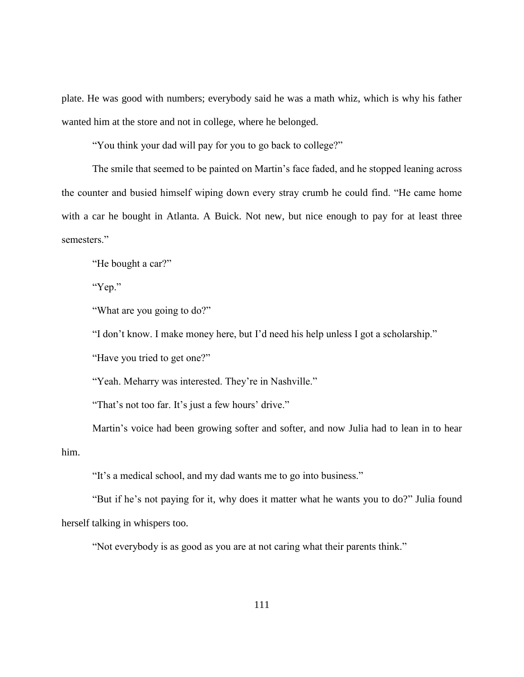plate. He was good with numbers; everybody said he was a math whiz, which is why his father wanted him at the store and not in college, where he belonged.

"You think your dad will pay for you to go back to college?"

The smile that seemed to be painted on Martin's face faded, and he stopped leaning across the counter and busied himself wiping down every stray crumb he could find. "He came home with a car he bought in Atlanta. A Buick. Not new, but nice enough to pay for at least three semesters."

"He bought a car?"

"Yep."

"What are you going to do?"

"I don't know. I make money here, but I'd need his help unless I got a scholarship."

"Have you tried to get one?"

"Yeah. Meharry was interested. They're in Nashville."

"That's not too far. It's just a few hours' drive."

Martin's voice had been growing softer and softer, and now Julia had to lean in to hear him.

"It's a medical school, and my dad wants me to go into business."

"But if he's not paying for it, why does it matter what he wants you to do?" Julia found herself talking in whispers too.

"Not everybody is as good as you are at not caring what their parents think."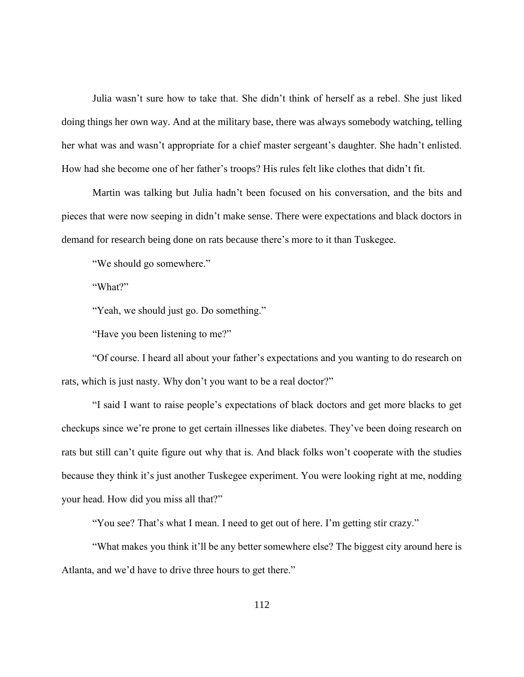Julia wasn't sure how to take that. She didn't think of herself as a rebel. She just liked doing things her own way. And at the military base, there was always somebody watching, telling her what was and wasn't appropriate for a chief master sergeant's daughter. She hadn't enlisted. How had she become one of her father's troops? His rules felt like clothes that didn't fit.

Martin was talking but Julia hadn't been focused on his conversation, and the bits and pieces that were now seeping in didn't make sense. There were expectations and black doctors in demand for research being done on rats because there's more to it than Tuskegee.

"We should go somewhere."

"What?"

"Yeah, we should just go. Do something."

"Have you been listening to me?"

"Of course. I heard all about your father's expectations and you wanting to do research on rats, which is just nasty. Why don't you want to be a real doctor?"

"I said I want to raise people's expectations of black doctors and get more blacks to get checkups since we're prone to get certain illnesses like diabetes. They've been doing research on rats but still can't quite figure out why that is. And black folks won't cooperate with the studies because they think it's just another Tuskegee experiment. You were looking right at me, nodding your head. How did you miss all that?"

"You see? That's what I mean. I need to get out of here. I'm getting stir crazy."

"What makes you think it'll be any better somewhere else? The biggest city around here is Atlanta, and we'd have to drive three hours to get there."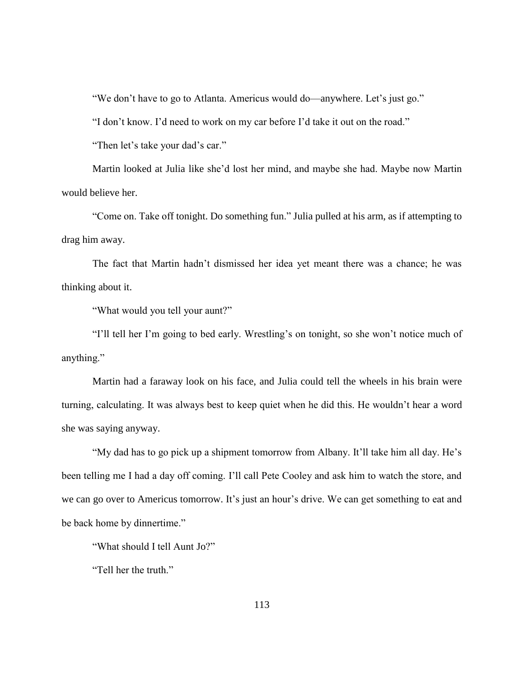"We don't have to go to Atlanta. Americus would do—anywhere. Let's just go."

"I don't know. I'd need to work on my car before I'd take it out on the road."

"Then let's take your dad's car."

Martin looked at Julia like she'd lost her mind, and maybe she had. Maybe now Martin would believe her.

"Come on. Take off tonight. Do something fun." Julia pulled at his arm, as if attempting to drag him away.

The fact that Martin hadn't dismissed her idea yet meant there was a chance; he was thinking about it.

"What would you tell your aunt?"

"I'll tell her I'm going to bed early. Wrestling's on tonight, so she won't notice much of anything."

Martin had a faraway look on his face, and Julia could tell the wheels in his brain were turning, calculating. It was always best to keep quiet when he did this. He wouldn't hear a word she was saying anyway.

"My dad has to go pick up a shipment tomorrow from Albany. It'll take him all day. He's been telling me I had a day off coming. I'll call Pete Cooley and ask him to watch the store, and we can go over to Americus tomorrow. It's just an hour's drive. We can get something to eat and be back home by dinnertime."

"What should I tell Aunt Jo?"

"Tell her the truth."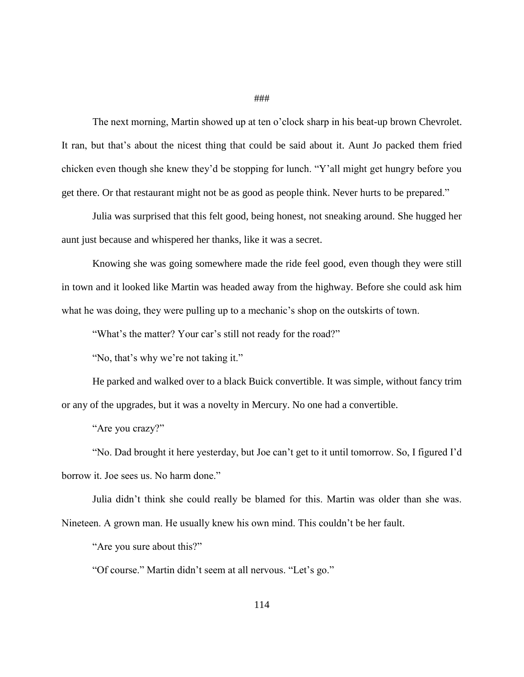#### ###

The next morning, Martin showed up at ten o'clock sharp in his beat-up brown Chevrolet. It ran, but that's about the nicest thing that could be said about it. Aunt Jo packed them fried chicken even though she knew they'd be stopping for lunch. "Y'all might get hungry before you get there. Or that restaurant might not be as good as people think. Never hurts to be prepared."

Julia was surprised that this felt good, being honest, not sneaking around. She hugged her aunt just because and whispered her thanks, like it was a secret.

Knowing she was going somewhere made the ride feel good, even though they were still in town and it looked like Martin was headed away from the highway. Before she could ask him what he was doing, they were pulling up to a mechanic's shop on the outskirts of town.

"What's the matter? Your car's still not ready for the road?"

"No, that's why we're not taking it."

He parked and walked over to a black Buick convertible. It was simple, without fancy trim or any of the upgrades, but it was a novelty in Mercury. No one had a convertible.

"Are you crazy?"

"No. Dad brought it here yesterday, but Joe can't get to it until tomorrow. So, I figured I'd borrow it. Joe sees us. No harm done."

Julia didn't think she could really be blamed for this. Martin was older than she was. Nineteen. A grown man. He usually knew his own mind. This couldn't be her fault.

"Are you sure about this?"

"Of course." Martin didn't seem at all nervous. "Let's go."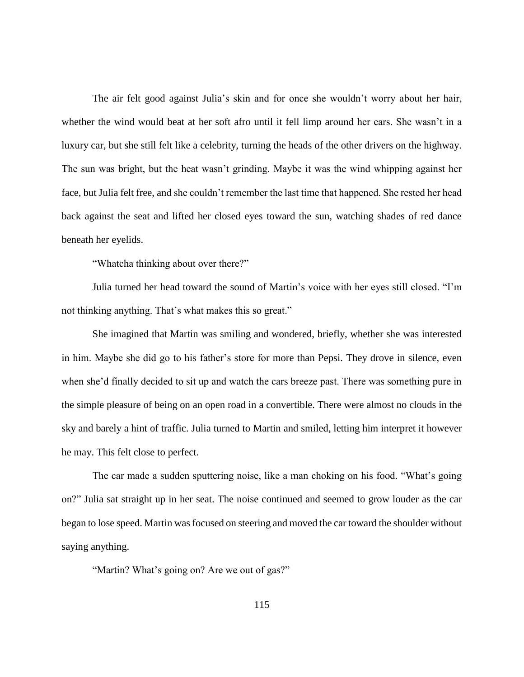The air felt good against Julia's skin and for once she wouldn't worry about her hair, whether the wind would beat at her soft afro until it fell limp around her ears. She wasn't in a luxury car, but she still felt like a celebrity, turning the heads of the other drivers on the highway. The sun was bright, but the heat wasn't grinding. Maybe it was the wind whipping against her face, but Julia felt free, and she couldn't remember the last time that happened. She rested her head back against the seat and lifted her closed eyes toward the sun, watching shades of red dance beneath her eyelids.

"Whatcha thinking about over there?"

Julia turned her head toward the sound of Martin's voice with her eyes still closed. "I'm not thinking anything. That's what makes this so great."

She imagined that Martin was smiling and wondered, briefly, whether she was interested in him. Maybe she did go to his father's store for more than Pepsi. They drove in silence, even when she'd finally decided to sit up and watch the cars breeze past. There was something pure in the simple pleasure of being on an open road in a convertible. There were almost no clouds in the sky and barely a hint of traffic. Julia turned to Martin and smiled, letting him interpret it however he may. This felt close to perfect.

The car made a sudden sputtering noise, like a man choking on his food. "What's going on?" Julia sat straight up in her seat. The noise continued and seemed to grow louder as the car began to lose speed. Martin was focused on steering and moved the car toward the shoulder without saying anything.

"Martin? What's going on? Are we out of gas?"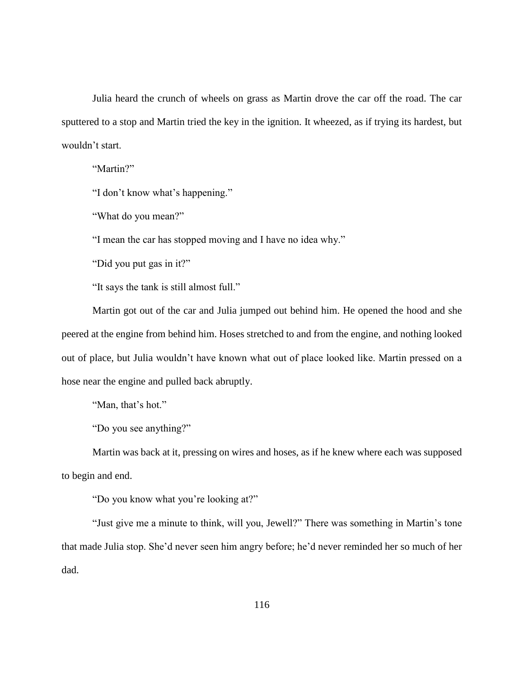Julia heard the crunch of wheels on grass as Martin drove the car off the road. The car sputtered to a stop and Martin tried the key in the ignition. It wheezed, as if trying its hardest, but wouldn't start.

"Martin?"

"I don't know what's happening."

"What do you mean?"

"I mean the car has stopped moving and I have no idea why."

"Did you put gas in it?"

"It says the tank is still almost full."

Martin got out of the car and Julia jumped out behind him. He opened the hood and she peered at the engine from behind him. Hoses stretched to and from the engine, and nothing looked out of place, but Julia wouldn't have known what out of place looked like. Martin pressed on a hose near the engine and pulled back abruptly.

"Man, that's hot."

"Do you see anything?"

Martin was back at it, pressing on wires and hoses, as if he knew where each was supposed to begin and end.

"Do you know what you're looking at?"

"Just give me a minute to think, will you, Jewell?" There was something in Martin's tone that made Julia stop. She'd never seen him angry before; he'd never reminded her so much of her dad.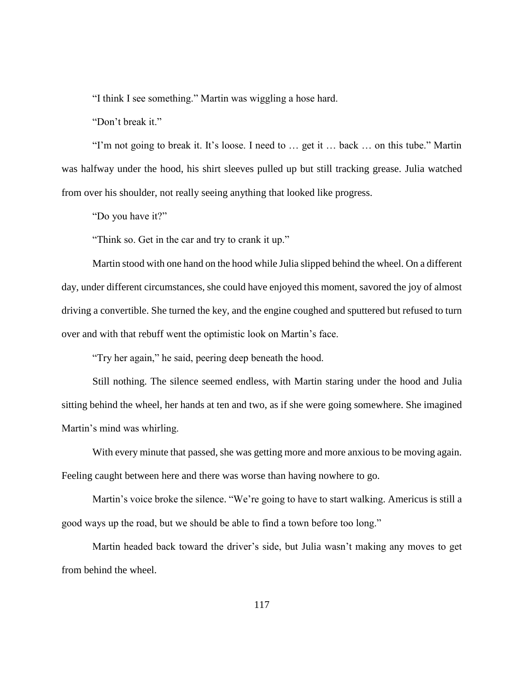"I think I see something." Martin was wiggling a hose hard.

"Don't break it."

"I'm not going to break it. It's loose. I need to … get it … back … on this tube." Martin was halfway under the hood, his shirt sleeves pulled up but still tracking grease. Julia watched from over his shoulder, not really seeing anything that looked like progress.

"Do you have it?"

"Think so. Get in the car and try to crank it up."

Martin stood with one hand on the hood while Julia slipped behind the wheel. On a different day, under different circumstances, she could have enjoyed this moment, savored the joy of almost driving a convertible. She turned the key, and the engine coughed and sputtered but refused to turn over and with that rebuff went the optimistic look on Martin's face.

"Try her again," he said, peering deep beneath the hood.

Still nothing. The silence seemed endless, with Martin staring under the hood and Julia sitting behind the wheel, her hands at ten and two, as if she were going somewhere. She imagined Martin's mind was whirling.

With every minute that passed, she was getting more and more anxious to be moving again. Feeling caught between here and there was worse than having nowhere to go.

Martin's voice broke the silence. "We're going to have to start walking. Americus is still a good ways up the road, but we should be able to find a town before too long."

Martin headed back toward the driver's side, but Julia wasn't making any moves to get from behind the wheel.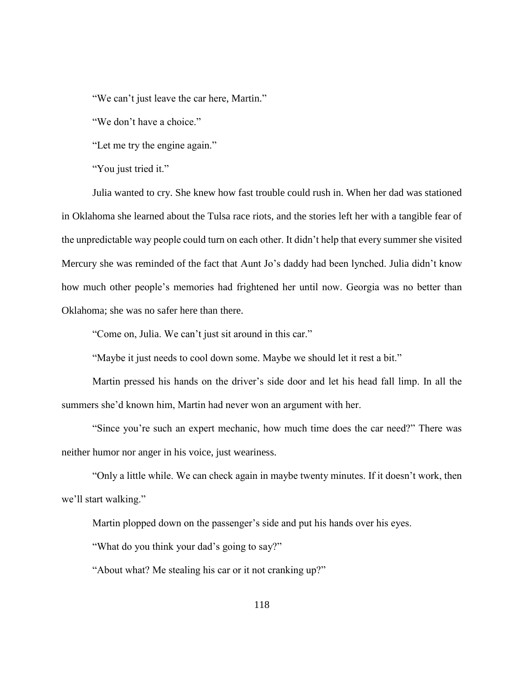"We can't just leave the car here, Martin."

"We don't have a choice."

"Let me try the engine again."

"You just tried it."

Julia wanted to cry. She knew how fast trouble could rush in. When her dad was stationed in Oklahoma she learned about the Tulsa race riots, and the stories left her with a tangible fear of the unpredictable way people could turn on each other. It didn't help that every summer she visited Mercury she was reminded of the fact that Aunt Jo's daddy had been lynched. Julia didn't know how much other people's memories had frightened her until now. Georgia was no better than Oklahoma; she was no safer here than there.

"Come on, Julia. We can't just sit around in this car."

"Maybe it just needs to cool down some. Maybe we should let it rest a bit."

Martin pressed his hands on the driver's side door and let his head fall limp. In all the summers she'd known him, Martin had never won an argument with her.

"Since you're such an expert mechanic, how much time does the car need?" There was neither humor nor anger in his voice, just weariness.

"Only a little while. We can check again in maybe twenty minutes. If it doesn't work, then we'll start walking."

Martin plopped down on the passenger's side and put his hands over his eyes.

"What do you think your dad's going to say?"

"About what? Me stealing his car or it not cranking up?"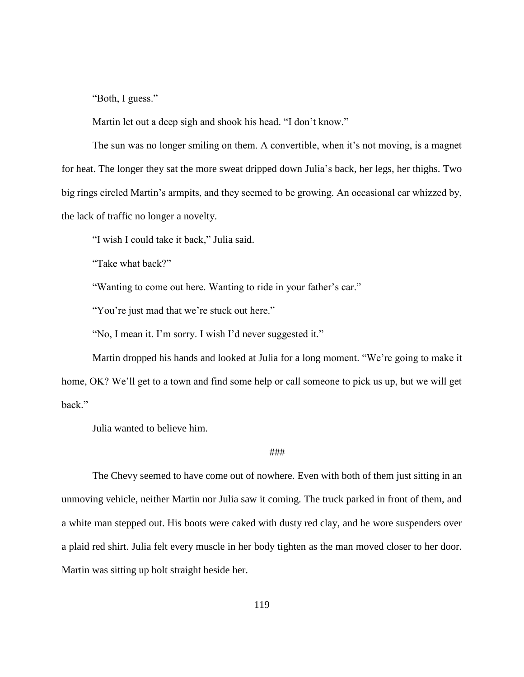"Both, I guess."

Martin let out a deep sigh and shook his head. "I don't know."

The sun was no longer smiling on them. A convertible, when it's not moving, is a magnet for heat. The longer they sat the more sweat dripped down Julia's back, her legs, her thighs. Two big rings circled Martin's armpits, and they seemed to be growing. An occasional car whizzed by, the lack of traffic no longer a novelty.

"I wish I could take it back," Julia said.

"Take what back?"

"Wanting to come out here. Wanting to ride in your father's car."

"You're just mad that we're stuck out here."

"No, I mean it. I'm sorry. I wish I'd never suggested it."

Martin dropped his hands and looked at Julia for a long moment. "We're going to make it home, OK? We'll get to a town and find some help or call someone to pick us up, but we will get back."

Julia wanted to believe him.

## ###

The Chevy seemed to have come out of nowhere. Even with both of them just sitting in an unmoving vehicle, neither Martin nor Julia saw it coming. The truck parked in front of them, and a white man stepped out. His boots were caked with dusty red clay, and he wore suspenders over a plaid red shirt. Julia felt every muscle in her body tighten as the man moved closer to her door. Martin was sitting up bolt straight beside her.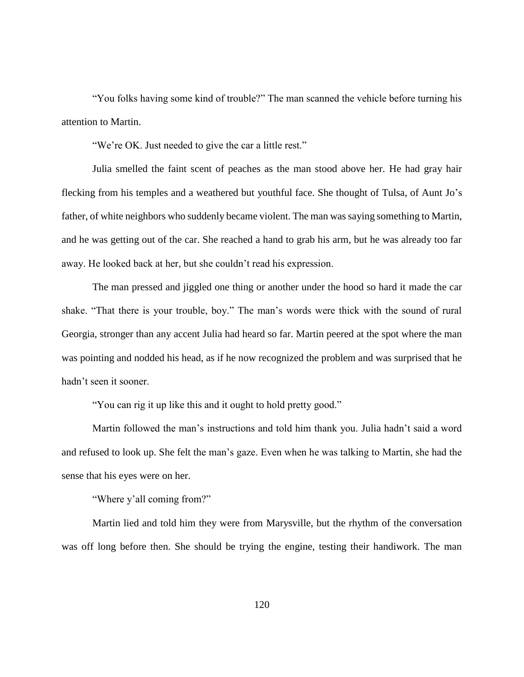"You folks having some kind of trouble?" The man scanned the vehicle before turning his attention to Martin.

"We're OK. Just needed to give the car a little rest."

Julia smelled the faint scent of peaches as the man stood above her. He had gray hair flecking from his temples and a weathered but youthful face. She thought of Tulsa, of Aunt Jo's father, of white neighbors who suddenly became violent. The man was saying something to Martin, and he was getting out of the car. She reached a hand to grab his arm, but he was already too far away. He looked back at her, but she couldn't read his expression.

The man pressed and jiggled one thing or another under the hood so hard it made the car shake. "That there is your trouble, boy." The man's words were thick with the sound of rural Georgia, stronger than any accent Julia had heard so far. Martin peered at the spot where the man was pointing and nodded his head, as if he now recognized the problem and was surprised that he hadn't seen it sooner.

"You can rig it up like this and it ought to hold pretty good."

Martin followed the man's instructions and told him thank you. Julia hadn't said a word and refused to look up. She felt the man's gaze. Even when he was talking to Martin, she had the sense that his eyes were on her.

"Where y'all coming from?"

Martin lied and told him they were from Marysville, but the rhythm of the conversation was off long before then. She should be trying the engine, testing their handiwork. The man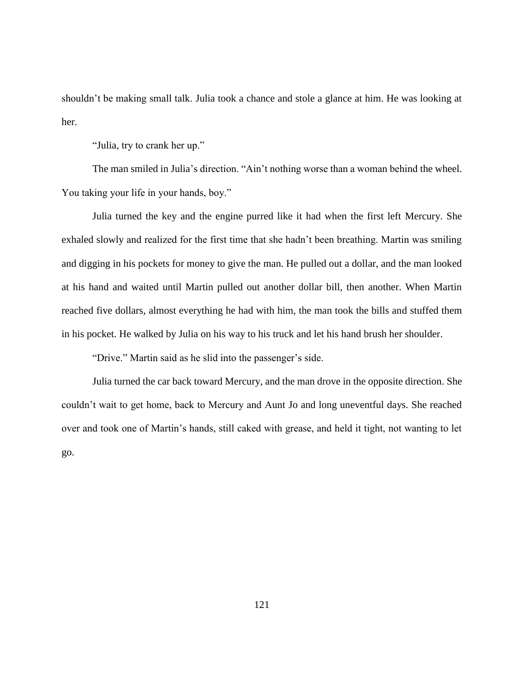shouldn't be making small talk. Julia took a chance and stole a glance at him. He was looking at her.

"Julia, try to crank her up."

The man smiled in Julia's direction. "Ain't nothing worse than a woman behind the wheel. You taking your life in your hands, boy."

Julia turned the key and the engine purred like it had when the first left Mercury. She exhaled slowly and realized for the first time that she hadn't been breathing. Martin was smiling and digging in his pockets for money to give the man. He pulled out a dollar, and the man looked at his hand and waited until Martin pulled out another dollar bill, then another. When Martin reached five dollars, almost everything he had with him, the man took the bills and stuffed them in his pocket. He walked by Julia on his way to his truck and let his hand brush her shoulder.

"Drive." Martin said as he slid into the passenger's side.

Julia turned the car back toward Mercury, and the man drove in the opposite direction. She couldn't wait to get home, back to Mercury and Aunt Jo and long uneventful days. She reached over and took one of Martin's hands, still caked with grease, and held it tight, not wanting to let go.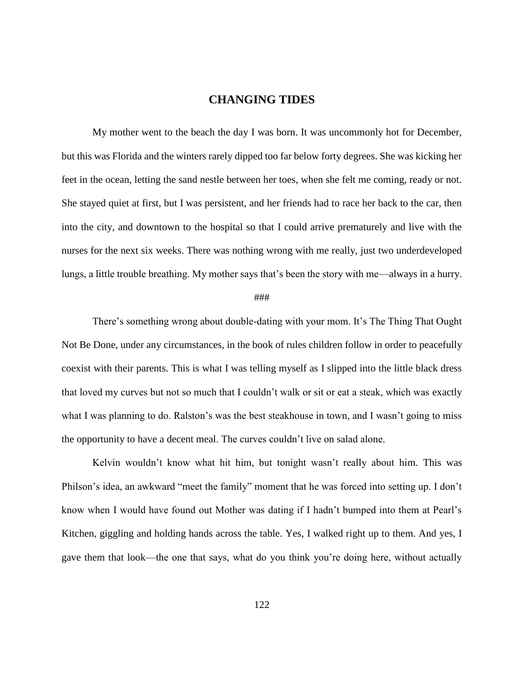# **CHANGING TIDES**

My mother went to the beach the day I was born. It was uncommonly hot for December, but this was Florida and the winters rarely dipped too far below forty degrees. She was kicking her feet in the ocean, letting the sand nestle between her toes, when she felt me coming, ready or not. She stayed quiet at first, but I was persistent, and her friends had to race her back to the car, then into the city, and downtown to the hospital so that I could arrive prematurely and live with the nurses for the next six weeks. There was nothing wrong with me really, just two underdeveloped lungs, a little trouble breathing. My mother says that's been the story with me—always in a hurry.

#### ###

There's something wrong about double-dating with your mom. It's The Thing That Ought Not Be Done, under any circumstances, in the book of rules children follow in order to peacefully coexist with their parents. This is what I was telling myself as I slipped into the little black dress that loved my curves but not so much that I couldn't walk or sit or eat a steak, which was exactly what I was planning to do. Ralston's was the best steakhouse in town, and I wasn't going to miss the opportunity to have a decent meal. The curves couldn't live on salad alone.

Kelvin wouldn't know what hit him, but tonight wasn't really about him. This was Philson's idea, an awkward "meet the family" moment that he was forced into setting up. I don't know when I would have found out Mother was dating if I hadn't bumped into them at Pearl's Kitchen, giggling and holding hands across the table. Yes, I walked right up to them. And yes, I gave them that look—the one that says, what do you think you're doing here, without actually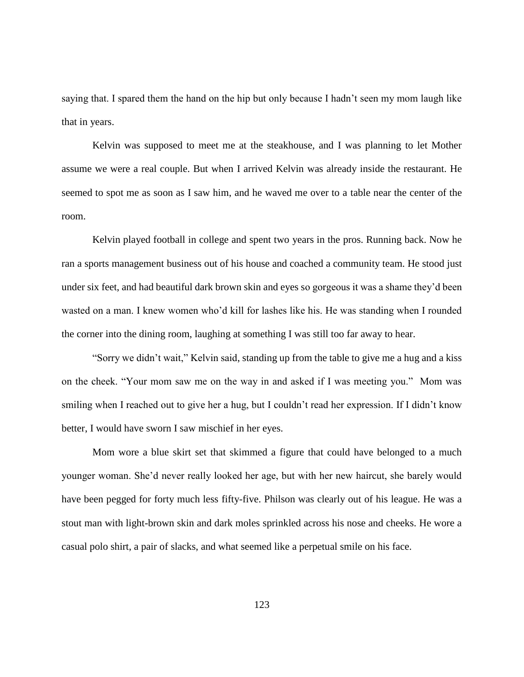saying that. I spared them the hand on the hip but only because I hadn't seen my mom laugh like that in years.

Kelvin was supposed to meet me at the steakhouse, and I was planning to let Mother assume we were a real couple. But when I arrived Kelvin was already inside the restaurant. He seemed to spot me as soon as I saw him, and he waved me over to a table near the center of the room.

Kelvin played football in college and spent two years in the pros. Running back. Now he ran a sports management business out of his house and coached a community team. He stood just under six feet, and had beautiful dark brown skin and eyes so gorgeous it was a shame they'd been wasted on a man. I knew women who'd kill for lashes like his. He was standing when I rounded the corner into the dining room, laughing at something I was still too far away to hear.

"Sorry we didn't wait," Kelvin said, standing up from the table to give me a hug and a kiss on the cheek. "Your mom saw me on the way in and asked if I was meeting you." Mom was smiling when I reached out to give her a hug, but I couldn't read her expression. If I didn't know better, I would have sworn I saw mischief in her eyes.

Mom wore a blue skirt set that skimmed a figure that could have belonged to a much younger woman. She'd never really looked her age, but with her new haircut, she barely would have been pegged for forty much less fifty-five. Philson was clearly out of his league. He was a stout man with light-brown skin and dark moles sprinkled across his nose and cheeks. He wore a casual polo shirt, a pair of slacks, and what seemed like a perpetual smile on his face.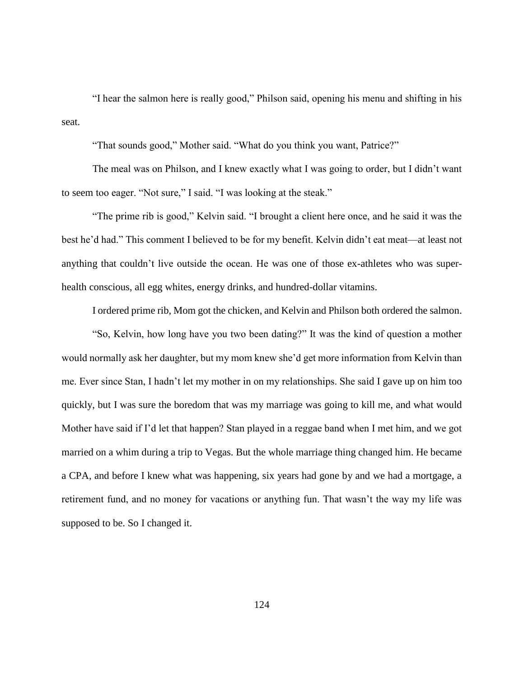"I hear the salmon here is really good," Philson said, opening his menu and shifting in his seat.

"That sounds good," Mother said. "What do you think you want, Patrice?"

The meal was on Philson, and I knew exactly what I was going to order, but I didn't want to seem too eager. "Not sure," I said. "I was looking at the steak."

"The prime rib is good," Kelvin said. "I brought a client here once, and he said it was the best he'd had." This comment I believed to be for my benefit. Kelvin didn't eat meat—at least not anything that couldn't live outside the ocean. He was one of those ex-athletes who was superhealth conscious, all egg whites, energy drinks, and hundred-dollar vitamins.

I ordered prime rib, Mom got the chicken, and Kelvin and Philson both ordered the salmon.

"So, Kelvin, how long have you two been dating?" It was the kind of question a mother would normally ask her daughter, but my mom knew she'd get more information from Kelvin than me. Ever since Stan, I hadn't let my mother in on my relationships. She said I gave up on him too quickly, but I was sure the boredom that was my marriage was going to kill me, and what would Mother have said if I'd let that happen? Stan played in a reggae band when I met him, and we got married on a whim during a trip to Vegas. But the whole marriage thing changed him. He became a CPA, and before I knew what was happening, six years had gone by and we had a mortgage, a retirement fund, and no money for vacations or anything fun. That wasn't the way my life was supposed to be. So I changed it.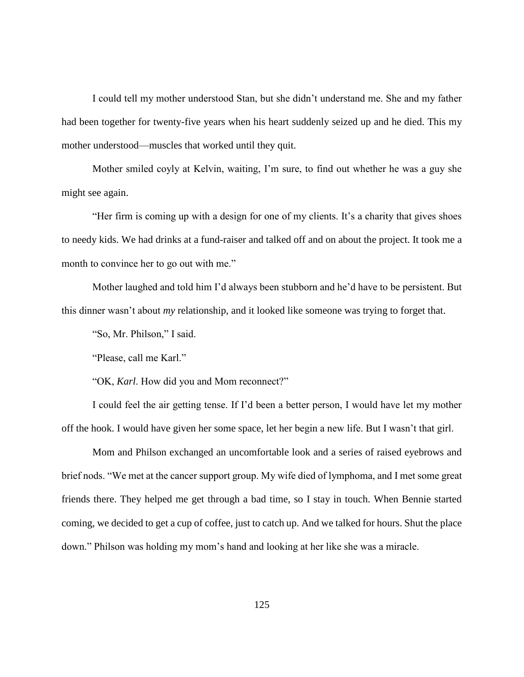I could tell my mother understood Stan, but she didn't understand me. She and my father had been together for twenty-five years when his heart suddenly seized up and he died. This my mother understood—muscles that worked until they quit.

Mother smiled coyly at Kelvin, waiting, I'm sure, to find out whether he was a guy she might see again.

"Her firm is coming up with a design for one of my clients. It's a charity that gives shoes to needy kids. We had drinks at a fund-raiser and talked off and on about the project. It took me a month to convince her to go out with me."

Mother laughed and told him I'd always been stubborn and he'd have to be persistent. But this dinner wasn't about *my* relationship, and it looked like someone was trying to forget that.

"So, Mr. Philson," I said.

"Please, call me Karl."

"OK, *Karl*. How did you and Mom reconnect?"

I could feel the air getting tense. If I'd been a better person, I would have let my mother off the hook. I would have given her some space, let her begin a new life. But I wasn't that girl.

Mom and Philson exchanged an uncomfortable look and a series of raised eyebrows and brief nods. "We met at the cancer support group. My wife died of lymphoma, and I met some great friends there. They helped me get through a bad time, so I stay in touch. When Bennie started coming, we decided to get a cup of coffee, just to catch up. And we talked for hours. Shut the place down." Philson was holding my mom's hand and looking at her like she was a miracle.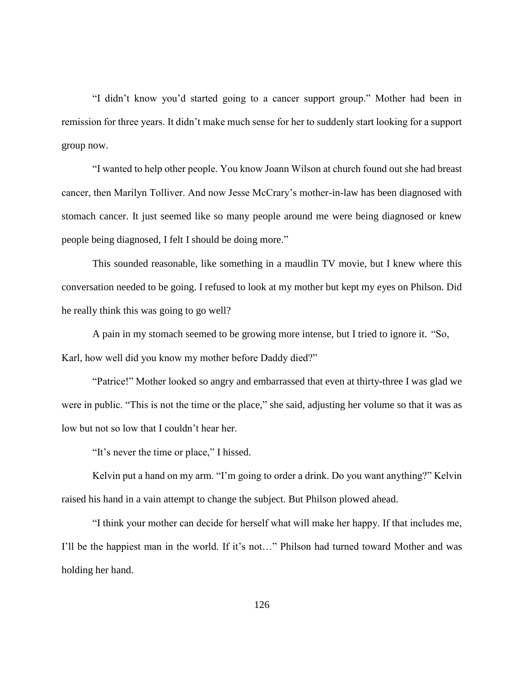"I didn't know you'd started going to a cancer support group." Mother had been in remission for three years. It didn't make much sense for her to suddenly start looking for a support group now.

"I wanted to help other people. You know Joann Wilson at church found out she had breast cancer, then Marilyn Tolliver. And now Jesse McCrary's mother-in-law has been diagnosed with stomach cancer. It just seemed like so many people around me were being diagnosed or knew people being diagnosed, I felt I should be doing more."

This sounded reasonable, like something in a maudlin TV movie, but I knew where this conversation needed to be going. I refused to look at my mother but kept my eyes on Philson. Did he really think this was going to go well?

A pain in my stomach seemed to be growing more intense, but I tried to ignore it. "So, Karl, how well did you know my mother before Daddy died?"

"Patrice!" Mother looked so angry and embarrassed that even at thirty-three I was glad we were in public. "This is not the time or the place," she said, adjusting her volume so that it was as low but not so low that I couldn't hear her.

"It's never the time or place," I hissed.

Kelvin put a hand on my arm. "I'm going to order a drink. Do you want anything?" Kelvin raised his hand in a vain attempt to change the subject. But Philson plowed ahead.

"I think your mother can decide for herself what will make her happy. If that includes me, I'll be the happiest man in the world. If it's not…" Philson had turned toward Mother and was holding her hand.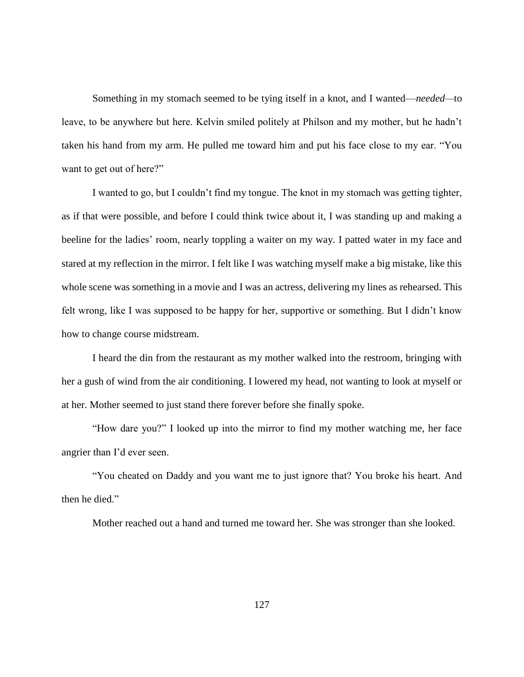Something in my stomach seemed to be tying itself in a knot, and I wanted—*needed—*to leave, to be anywhere but here. Kelvin smiled politely at Philson and my mother, but he hadn't taken his hand from my arm. He pulled me toward him and put his face close to my ear. "You want to get out of here?"

I wanted to go, but I couldn't find my tongue. The knot in my stomach was getting tighter, as if that were possible, and before I could think twice about it, I was standing up and making a beeline for the ladies' room, nearly toppling a waiter on my way. I patted water in my face and stared at my reflection in the mirror. I felt like I was watching myself make a big mistake, like this whole scene was something in a movie and I was an actress, delivering my lines as rehearsed. This felt wrong, like I was supposed to be happy for her, supportive or something. But I didn't know how to change course midstream.

I heard the din from the restaurant as my mother walked into the restroom, bringing with her a gush of wind from the air conditioning. I lowered my head, not wanting to look at myself or at her. Mother seemed to just stand there forever before she finally spoke.

"How dare you?" I looked up into the mirror to find my mother watching me, her face angrier than I'd ever seen.

"You cheated on Daddy and you want me to just ignore that? You broke his heart. And then he died."

Mother reached out a hand and turned me toward her. She was stronger than she looked.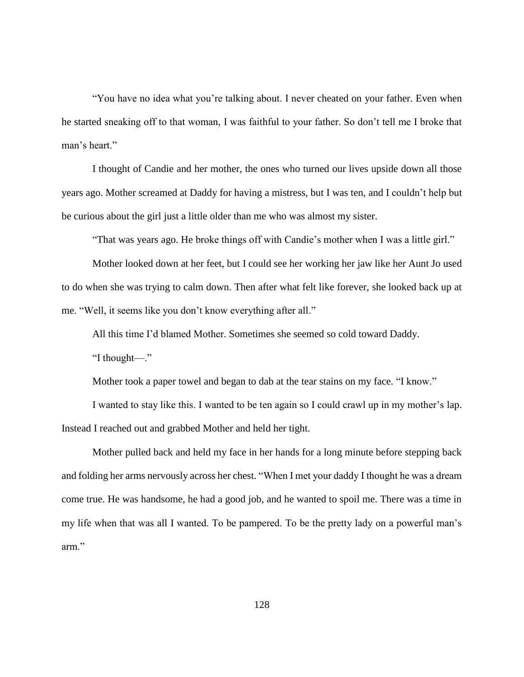"You have no idea what you're talking about. I never cheated on your father. Even when he started sneaking off to that woman, I was faithful to your father. So don't tell me I broke that man's heart."

I thought of Candie and her mother, the ones who turned our lives upside down all those years ago. Mother screamed at Daddy for having a mistress, but I was ten, and I couldn't help but be curious about the girl just a little older than me who was almost my sister.

"That was years ago. He broke things off with Candie's mother when I was a little girl."

Mother looked down at her feet, but I could see her working her jaw like her Aunt Jo used to do when she was trying to calm down. Then after what felt like forever, she looked back up at me. "Well, it seems like you don't know everything after all."

All this time I'd blamed Mother. Sometimes she seemed so cold toward Daddy.

"I thought—."

Mother took a paper towel and began to dab at the tear stains on my face. "I know."

I wanted to stay like this. I wanted to be ten again so I could crawl up in my mother's lap. Instead I reached out and grabbed Mother and held her tight.

Mother pulled back and held my face in her hands for a long minute before stepping back and folding her arms nervously across her chest. "When I met your daddy I thought he was a dream come true. He was handsome, he had a good job, and he wanted to spoil me. There was a time in my life when that was all I wanted. To be pampered. To be the pretty lady on a powerful man's arm."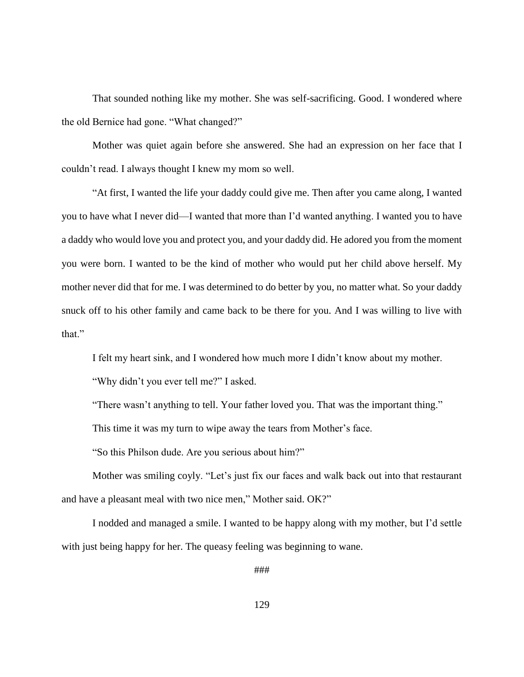That sounded nothing like my mother. She was self-sacrificing. Good. I wondered where the old Bernice had gone. "What changed?"

Mother was quiet again before she answered. She had an expression on her face that I couldn't read. I always thought I knew my mom so well.

"At first, I wanted the life your daddy could give me. Then after you came along, I wanted you to have what I never did—I wanted that more than I'd wanted anything. I wanted you to have a daddy who would love you and protect you, and your daddy did. He adored you from the moment you were born. I wanted to be the kind of mother who would put her child above herself. My mother never did that for me. I was determined to do better by you, no matter what. So your daddy snuck off to his other family and came back to be there for you. And I was willing to live with that."

I felt my heart sink, and I wondered how much more I didn't know about my mother.

"Why didn't you ever tell me?" I asked.

"There wasn't anything to tell. Your father loved you. That was the important thing."

This time it was my turn to wipe away the tears from Mother's face.

"So this Philson dude. Are you serious about him?"

Mother was smiling coyly. "Let's just fix our faces and walk back out into that restaurant and have a pleasant meal with two nice men," Mother said. OK?"

I nodded and managed a smile. I wanted to be happy along with my mother, but I'd settle with just being happy for her. The queasy feeling was beginning to wane.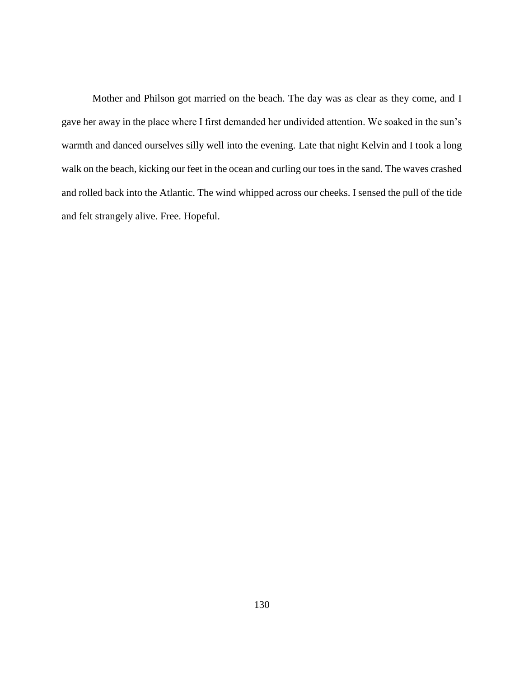Mother and Philson got married on the beach. The day was as clear as they come, and I gave her away in the place where I first demanded her undivided attention. We soaked in the sun's warmth and danced ourselves silly well into the evening. Late that night Kelvin and I took a long walk on the beach, kicking our feet in the ocean and curling our toes in the sand. The waves crashed and rolled back into the Atlantic. The wind whipped across our cheeks. I sensed the pull of the tide and felt strangely alive. Free. Hopeful.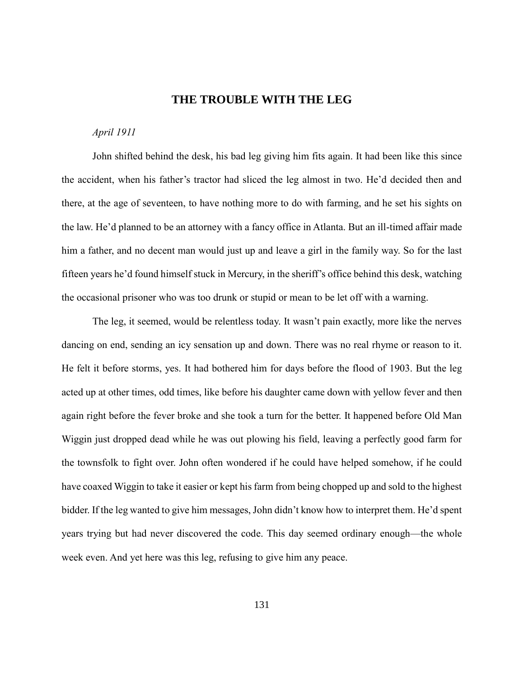# **THE TROUBLE WITH THE LEG**

## *April 1911*

John shifted behind the desk, his bad leg giving him fits again. It had been like this since the accident, when his father's tractor had sliced the leg almost in two. He'd decided then and there, at the age of seventeen, to have nothing more to do with farming, and he set his sights on the law. He'd planned to be an attorney with a fancy office in Atlanta. But an ill-timed affair made him a father, and no decent man would just up and leave a girl in the family way. So for the last fifteen years he'd found himself stuck in Mercury, in the sheriff's office behind this desk, watching the occasional prisoner who was too drunk or stupid or mean to be let off with a warning.

The leg, it seemed, would be relentless today. It wasn't pain exactly, more like the nerves dancing on end, sending an icy sensation up and down. There was no real rhyme or reason to it. He felt it before storms, yes. It had bothered him for days before the flood of 1903. But the leg acted up at other times, odd times, like before his daughter came down with yellow fever and then again right before the fever broke and she took a turn for the better. It happened before Old Man Wiggin just dropped dead while he was out plowing his field, leaving a perfectly good farm for the townsfolk to fight over. John often wondered if he could have helped somehow, if he could have coaxed Wiggin to take it easier or kept his farm from being chopped up and sold to the highest bidder. If the leg wanted to give him messages, John didn't know how to interpret them. He'd spent years trying but had never discovered the code. This day seemed ordinary enough—the whole week even. And yet here was this leg, refusing to give him any peace.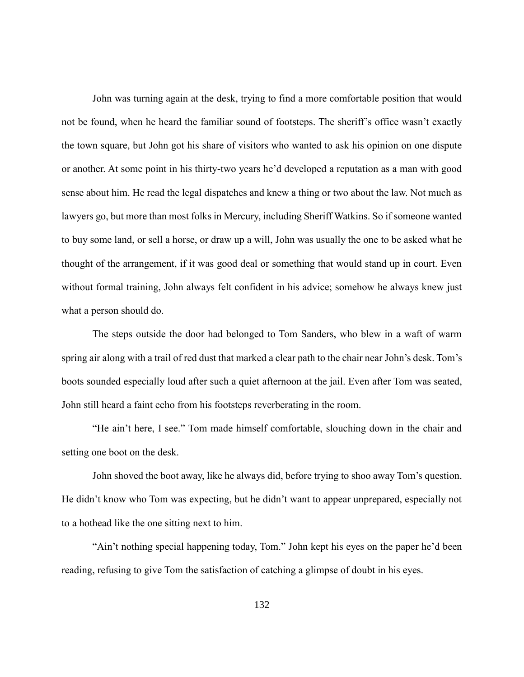John was turning again at the desk, trying to find a more comfortable position that would not be found, when he heard the familiar sound of footsteps. The sheriff's office wasn't exactly the town square, but John got his share of visitors who wanted to ask his opinion on one dispute or another. At some point in his thirty-two years he'd developed a reputation as a man with good sense about him. He read the legal dispatches and knew a thing or two about the law. Not much as lawyers go, but more than most folks in Mercury, including Sheriff Watkins. So if someone wanted to buy some land, or sell a horse, or draw up a will, John was usually the one to be asked what he thought of the arrangement, if it was good deal or something that would stand up in court. Even without formal training, John always felt confident in his advice; somehow he always knew just what a person should do.

The steps outside the door had belonged to Tom Sanders, who blew in a waft of warm spring air along with a trail of red dust that marked a clear path to the chair near John's desk. Tom's boots sounded especially loud after such a quiet afternoon at the jail. Even after Tom was seated, John still heard a faint echo from his footsteps reverberating in the room.

"He ain't here, I see." Tom made himself comfortable, slouching down in the chair and setting one boot on the desk.

John shoved the boot away, like he always did, before trying to shoo away Tom's question. He didn't know who Tom was expecting, but he didn't want to appear unprepared, especially not to a hothead like the one sitting next to him.

"Ain't nothing special happening today, Tom." John kept his eyes on the paper he'd been reading, refusing to give Tom the satisfaction of catching a glimpse of doubt in his eyes.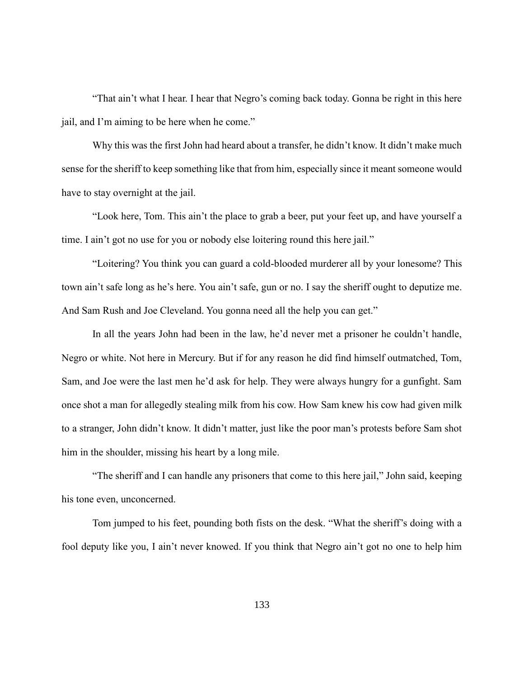"That ain't what I hear. I hear that Negro's coming back today. Gonna be right in this here jail, and I'm aiming to be here when he come."

Why this was the first John had heard about a transfer, he didn't know. It didn't make much sense for the sheriff to keep something like that from him, especially since it meant someone would have to stay overnight at the jail.

"Look here, Tom. This ain't the place to grab a beer, put your feet up, and have yourself a time. I ain't got no use for you or nobody else loitering round this here jail."

"Loitering? You think you can guard a cold-blooded murderer all by your lonesome? This town ain't safe long as he's here. You ain't safe, gun or no. I say the sheriff ought to deputize me. And Sam Rush and Joe Cleveland. You gonna need all the help you can get."

In all the years John had been in the law, he'd never met a prisoner he couldn't handle, Negro or white. Not here in Mercury. But if for any reason he did find himself outmatched, Tom, Sam, and Joe were the last men he'd ask for help. They were always hungry for a gunfight. Sam once shot a man for allegedly stealing milk from his cow. How Sam knew his cow had given milk to a stranger, John didn't know. It didn't matter, just like the poor man's protests before Sam shot him in the shoulder, missing his heart by a long mile.

"The sheriff and I can handle any prisoners that come to this here jail," John said, keeping his tone even, unconcerned.

Tom jumped to his feet, pounding both fists on the desk. "What the sheriff's doing with a fool deputy like you, I ain't never knowed. If you think that Negro ain't got no one to help him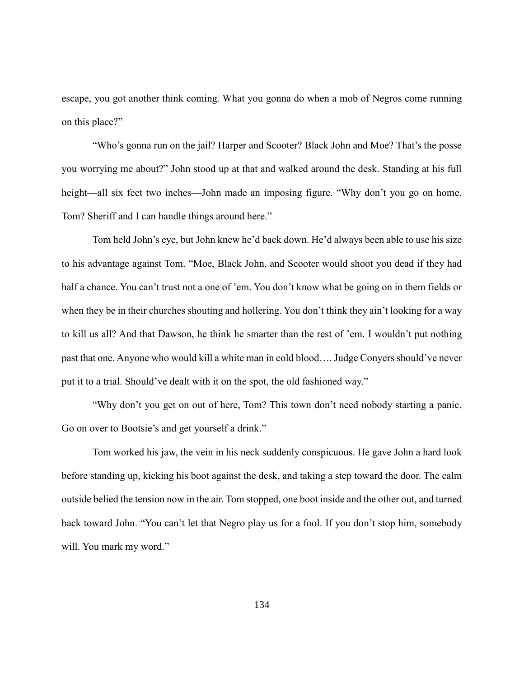escape, you got another think coming. What you gonna do when a mob of Negros come running on this place?"

"Who's gonna run on the jail? Harper and Scooter? Black John and Moe? That's the posse you worrying me about?" John stood up at that and walked around the desk. Standing at his full height—all six feet two inches—John made an imposing figure. "Why don't you go on home, Tom? Sheriff and I can handle things around here."

Tom held John's eye, but John knew he'd back down. He'd always been able to use his size to his advantage against Tom. "Moe, Black John, and Scooter would shoot you dead if they had half a chance. You can't trust not a one of 'em. You don't know what be going on in them fields or when they be in their churches shouting and hollering. You don't think they ain't looking for a way to kill us all? And that Dawson, he think he smarter than the rest of 'em. I wouldn't put nothing past that one. Anyone who would kill a white man in cold blood…. Judge Conyers should've never put it to a trial. Should've dealt with it on the spot, the old fashioned way."

"Why don't you get on out of here, Tom? This town don't need nobody starting a panic. Go on over to Bootsie's and get yourself a drink."

Tom worked his jaw, the vein in his neck suddenly conspicuous. He gave John a hard look before standing up, kicking his boot against the desk, and taking a step toward the door. The calm outside belied the tension now in the air. Tom stopped, one boot inside and the other out, and turned back toward John. "You can't let that Negro play us for a fool. If you don't stop him, somebody will. You mark my word."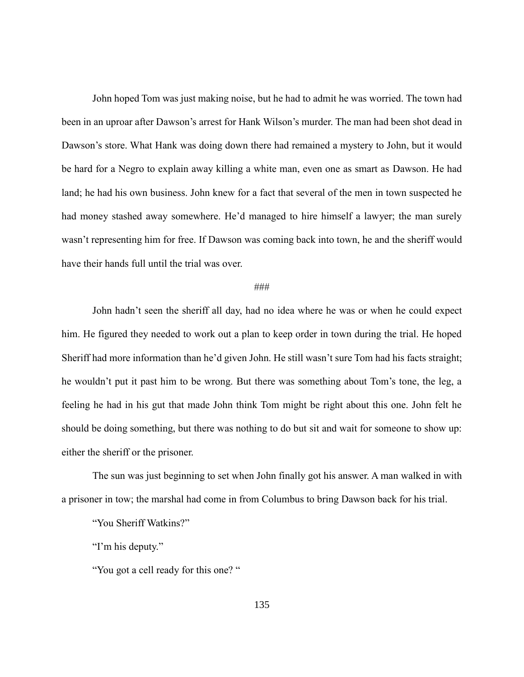John hoped Tom was just making noise, but he had to admit he was worried. The town had been in an uproar after Dawson's arrest for Hank Wilson's murder. The man had been shot dead in Dawson's store. What Hank was doing down there had remained a mystery to John, but it would be hard for a Negro to explain away killing a white man, even one as smart as Dawson. He had land; he had his own business. John knew for a fact that several of the men in town suspected he had money stashed away somewhere. He'd managed to hire himself a lawyer; the man surely wasn't representing him for free. If Dawson was coming back into town, he and the sheriff would have their hands full until the trial was over.

### ###

John hadn't seen the sheriff all day, had no idea where he was or when he could expect him. He figured they needed to work out a plan to keep order in town during the trial. He hoped Sheriff had more information than he'd given John. He still wasn't sure Tom had his facts straight; he wouldn't put it past him to be wrong. But there was something about Tom's tone, the leg, a feeling he had in his gut that made John think Tom might be right about this one. John felt he should be doing something, but there was nothing to do but sit and wait for someone to show up: either the sheriff or the prisoner.

The sun was just beginning to set when John finally got his answer. A man walked in with a prisoner in tow; the marshal had come in from Columbus to bring Dawson back for his trial.

"You Sheriff Watkins?"

"I'm his deputy."

"You got a cell ready for this one?"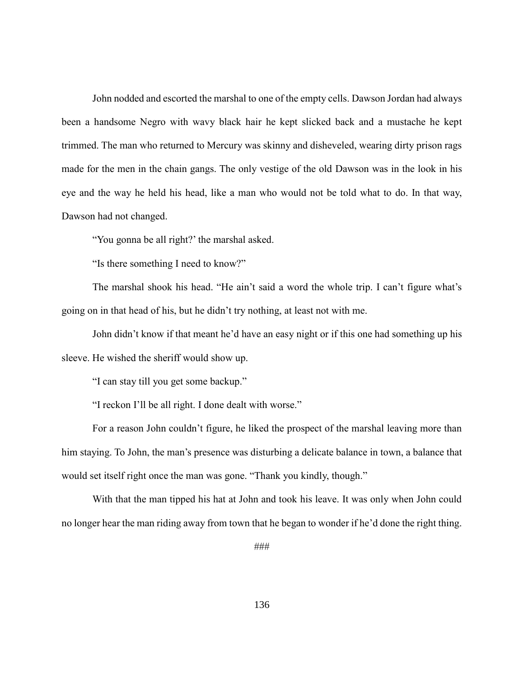John nodded and escorted the marshal to one of the empty cells. Dawson Jordan had always been a handsome Negro with wavy black hair he kept slicked back and a mustache he kept trimmed. The man who returned to Mercury was skinny and disheveled, wearing dirty prison rags made for the men in the chain gangs. The only vestige of the old Dawson was in the look in his eye and the way he held his head, like a man who would not be told what to do. In that way, Dawson had not changed.

"You gonna be all right?' the marshal asked.

"Is there something I need to know?"

The marshal shook his head. "He ain't said a word the whole trip. I can't figure what's going on in that head of his, but he didn't try nothing, at least not with me.

John didn't know if that meant he'd have an easy night or if this one had something up his sleeve. He wished the sheriff would show up.

"I can stay till you get some backup."

"I reckon I'll be all right. I done dealt with worse."

For a reason John couldn't figure, he liked the prospect of the marshal leaving more than him staying. To John, the man's presence was disturbing a delicate balance in town, a balance that would set itself right once the man was gone. "Thank you kindly, though."

With that the man tipped his hat at John and took his leave. It was only when John could no longer hear the man riding away from town that he began to wonder if he'd done the right thing.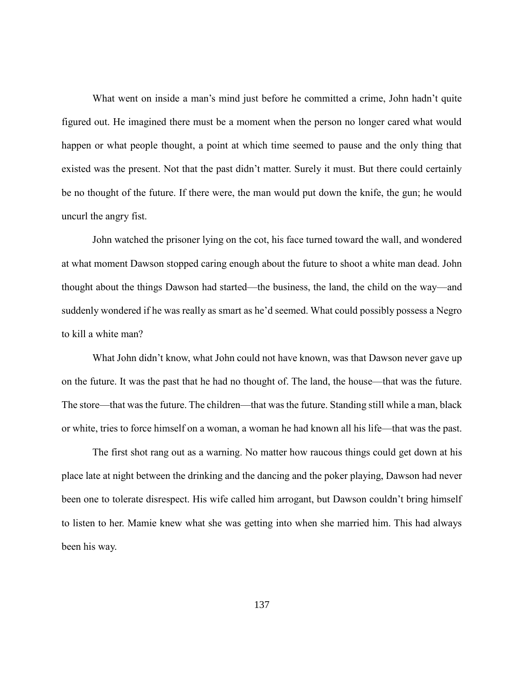What went on inside a man's mind just before he committed a crime, John hadn't quite figured out. He imagined there must be a moment when the person no longer cared what would happen or what people thought, a point at which time seemed to pause and the only thing that existed was the present. Not that the past didn't matter. Surely it must. But there could certainly be no thought of the future. If there were, the man would put down the knife, the gun; he would uncurl the angry fist.

John watched the prisoner lying on the cot, his face turned toward the wall, and wondered at what moment Dawson stopped caring enough about the future to shoot a white man dead. John thought about the things Dawson had started—the business, the land, the child on the way—and suddenly wondered if he was really as smart as he'd seemed. What could possibly possess a Negro to kill a white man?

What John didn't know, what John could not have known, was that Dawson never gave up on the future. It was the past that he had no thought of. The land, the house—that was the future. The store—that was the future. The children—that was the future. Standing still while a man, black or white, tries to force himself on a woman, a woman he had known all his life—that was the past.

The first shot rang out as a warning. No matter how raucous things could get down at his place late at night between the drinking and the dancing and the poker playing, Dawson had never been one to tolerate disrespect. His wife called him arrogant, but Dawson couldn't bring himself to listen to her. Mamie knew what she was getting into when she married him. This had always been his way.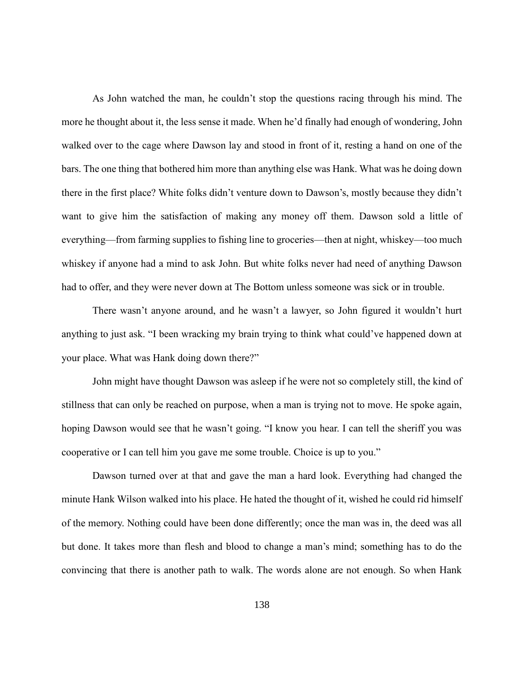As John watched the man, he couldn't stop the questions racing through his mind. The more he thought about it, the less sense it made. When he'd finally had enough of wondering, John walked over to the cage where Dawson lay and stood in front of it, resting a hand on one of the bars. The one thing that bothered him more than anything else was Hank. What was he doing down there in the first place? White folks didn't venture down to Dawson's, mostly because they didn't want to give him the satisfaction of making any money off them. Dawson sold a little of everything—from farming supplies to fishing line to groceries—then at night, whiskey—too much whiskey if anyone had a mind to ask John. But white folks never had need of anything Dawson had to offer, and they were never down at The Bottom unless someone was sick or in trouble.

There wasn't anyone around, and he wasn't a lawyer, so John figured it wouldn't hurt anything to just ask. "I been wracking my brain trying to think what could've happened down at your place. What was Hank doing down there?"

John might have thought Dawson was asleep if he were not so completely still, the kind of stillness that can only be reached on purpose, when a man is trying not to move. He spoke again, hoping Dawson would see that he wasn't going. "I know you hear. I can tell the sheriff you was cooperative or I can tell him you gave me some trouble. Choice is up to you."

Dawson turned over at that and gave the man a hard look. Everything had changed the minute Hank Wilson walked into his place. He hated the thought of it, wished he could rid himself of the memory. Nothing could have been done differently; once the man was in, the deed was all but done. It takes more than flesh and blood to change a man's mind; something has to do the convincing that there is another path to walk. The words alone are not enough. So when Hank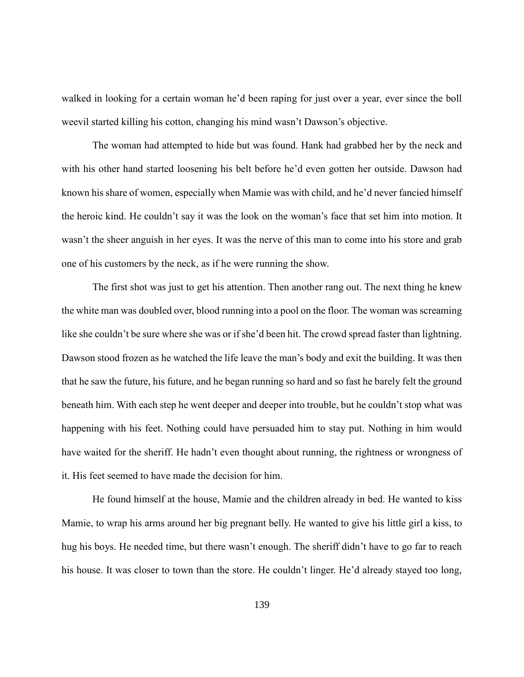walked in looking for a certain woman he'd been raping for just over a year, ever since the boll weevil started killing his cotton, changing his mind wasn't Dawson's objective.

The woman had attempted to hide but was found. Hank had grabbed her by the neck and with his other hand started loosening his belt before he'd even gotten her outside. Dawson had known his share of women, especially when Mamie was with child, and he'd never fancied himself the heroic kind. He couldn't say it was the look on the woman's face that set him into motion. It wasn't the sheer anguish in her eyes. It was the nerve of this man to come into his store and grab one of his customers by the neck, as if he were running the show.

The first shot was just to get his attention. Then another rang out. The next thing he knew the white man was doubled over, blood running into a pool on the floor. The woman was screaming like she couldn't be sure where she was or if she'd been hit. The crowd spread faster than lightning. Dawson stood frozen as he watched the life leave the man's body and exit the building. It was then that he saw the future, his future, and he began running so hard and so fast he barely felt the ground beneath him. With each step he went deeper and deeper into trouble, but he couldn't stop what was happening with his feet. Nothing could have persuaded him to stay put. Nothing in him would have waited for the sheriff. He hadn't even thought about running, the rightness or wrongness of it. His feet seemed to have made the decision for him.

He found himself at the house, Mamie and the children already in bed. He wanted to kiss Mamie, to wrap his arms around her big pregnant belly. He wanted to give his little girl a kiss, to hug his boys. He needed time, but there wasn't enough. The sheriff didn't have to go far to reach his house. It was closer to town than the store. He couldn't linger. He'd already stayed too long,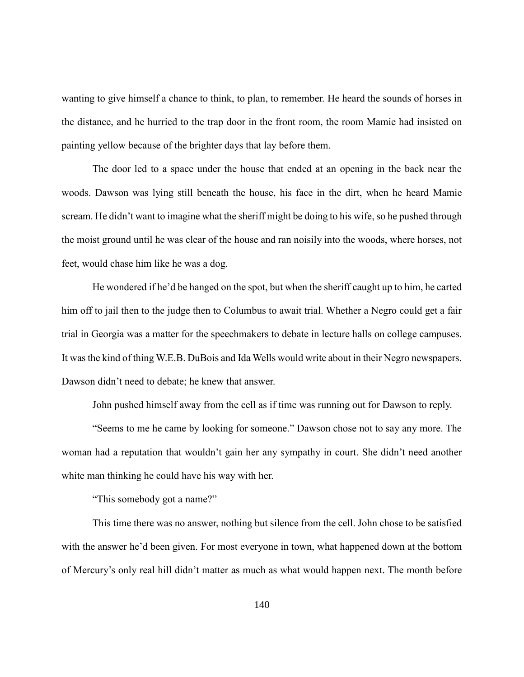wanting to give himself a chance to think, to plan, to remember. He heard the sounds of horses in the distance, and he hurried to the trap door in the front room, the room Mamie had insisted on painting yellow because of the brighter days that lay before them.

The door led to a space under the house that ended at an opening in the back near the woods. Dawson was lying still beneath the house, his face in the dirt, when he heard Mamie scream. He didn't want to imagine what the sheriff might be doing to his wife, so he pushed through the moist ground until he was clear of the house and ran noisily into the woods, where horses, not feet, would chase him like he was a dog.

He wondered if he'd be hanged on the spot, but when the sheriff caught up to him, he carted him off to jail then to the judge then to Columbus to await trial. Whether a Negro could get a fair trial in Georgia was a matter for the speechmakers to debate in lecture halls on college campuses. It was the kind of thing W.E.B. DuBois and Ida Wells would write about in their Negro newspapers. Dawson didn't need to debate; he knew that answer.

John pushed himself away from the cell as if time was running out for Dawson to reply.

"Seems to me he came by looking for someone." Dawson chose not to say any more. The woman had a reputation that wouldn't gain her any sympathy in court. She didn't need another white man thinking he could have his way with her.

"This somebody got a name?"

This time there was no answer, nothing but silence from the cell. John chose to be satisfied with the answer he'd been given. For most everyone in town, what happened down at the bottom of Mercury's only real hill didn't matter as much as what would happen next. The month before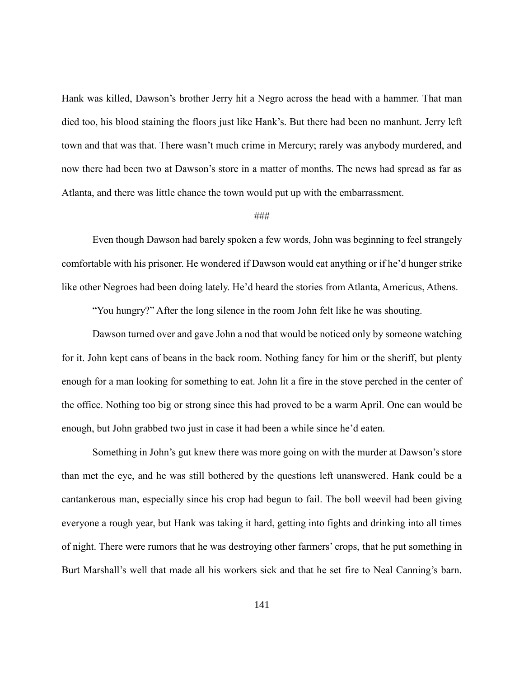Hank was killed, Dawson's brother Jerry hit a Negro across the head with a hammer. That man died too, his blood staining the floors just like Hank's. But there had been no manhunt. Jerry left town and that was that. There wasn't much crime in Mercury; rarely was anybody murdered, and now there had been two at Dawson's store in a matter of months. The news had spread as far as Atlanta, and there was little chance the town would put up with the embarrassment.

## ###

Even though Dawson had barely spoken a few words, John was beginning to feel strangely comfortable with his prisoner. He wondered if Dawson would eat anything or if he'd hunger strike like other Negroes had been doing lately. He'd heard the stories from Atlanta, Americus, Athens.

"You hungry?" After the long silence in the room John felt like he was shouting.

Dawson turned over and gave John a nod that would be noticed only by someone watching for it. John kept cans of beans in the back room. Nothing fancy for him or the sheriff, but plenty enough for a man looking for something to eat. John lit a fire in the stove perched in the center of the office. Nothing too big or strong since this had proved to be a warm April. One can would be enough, but John grabbed two just in case it had been a while since he'd eaten.

Something in John's gut knew there was more going on with the murder at Dawson's store than met the eye, and he was still bothered by the questions left unanswered. Hank could be a cantankerous man, especially since his crop had begun to fail. The boll weevil had been giving everyone a rough year, but Hank was taking it hard, getting into fights and drinking into all times of night. There were rumors that he was destroying other farmers' crops, that he put something in Burt Marshall's well that made all his workers sick and that he set fire to Neal Canning's barn.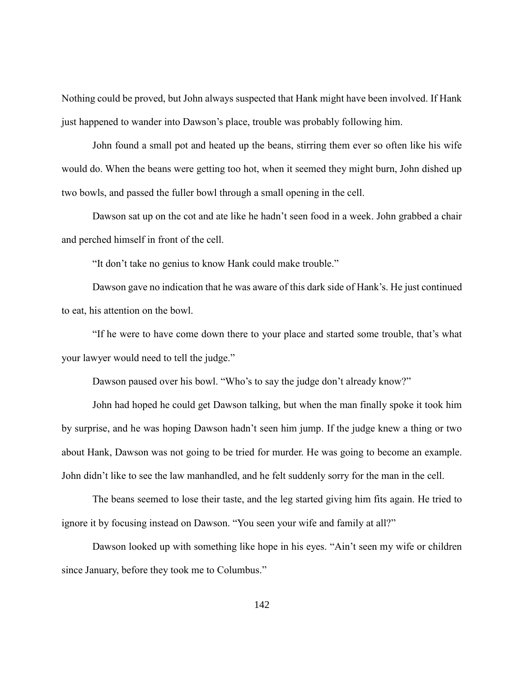Nothing could be proved, but John always suspected that Hank might have been involved. If Hank just happened to wander into Dawson's place, trouble was probably following him.

John found a small pot and heated up the beans, stirring them ever so often like his wife would do. When the beans were getting too hot, when it seemed they might burn, John dished up two bowls, and passed the fuller bowl through a small opening in the cell.

Dawson sat up on the cot and ate like he hadn't seen food in a week. John grabbed a chair and perched himself in front of the cell.

"It don't take no genius to know Hank could make trouble."

Dawson gave no indication that he was aware of this dark side of Hank's. He just continued to eat, his attention on the bowl.

"If he were to have come down there to your place and started some trouble, that's what your lawyer would need to tell the judge."

Dawson paused over his bowl. "Who's to say the judge don't already know?"

John had hoped he could get Dawson talking, but when the man finally spoke it took him by surprise, and he was hoping Dawson hadn't seen him jump. If the judge knew a thing or two about Hank, Dawson was not going to be tried for murder. He was going to become an example. John didn't like to see the law manhandled, and he felt suddenly sorry for the man in the cell.

The beans seemed to lose their taste, and the leg started giving him fits again. He tried to ignore it by focusing instead on Dawson. "You seen your wife and family at all?"

Dawson looked up with something like hope in his eyes. "Ain't seen my wife or children since January, before they took me to Columbus."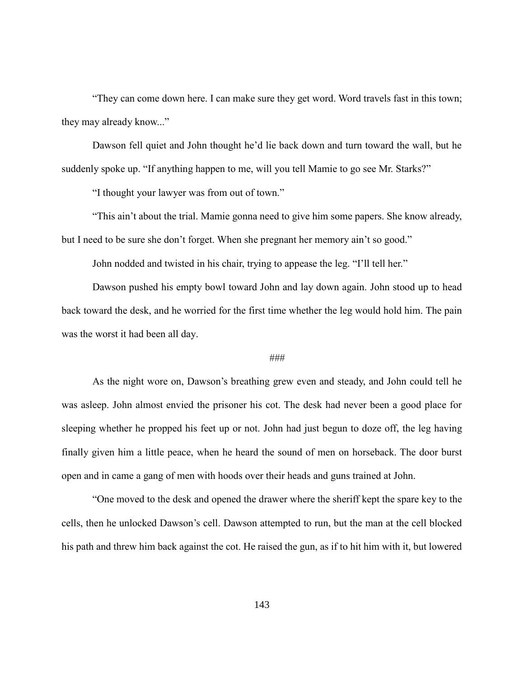"They can come down here. I can make sure they get word. Word travels fast in this town; they may already know..."

Dawson fell quiet and John thought he'd lie back down and turn toward the wall, but he suddenly spoke up. "If anything happen to me, will you tell Mamie to go see Mr. Starks?"

"I thought your lawyer was from out of town."

"This ain't about the trial. Mamie gonna need to give him some papers. She know already, but I need to be sure she don't forget. When she pregnant her memory ain't so good."

John nodded and twisted in his chair, trying to appease the leg. "I'll tell her."

Dawson pushed his empty bowl toward John and lay down again. John stood up to head back toward the desk, and he worried for the first time whether the leg would hold him. The pain was the worst it had been all day.

# ###

As the night wore on, Dawson's breathing grew even and steady, and John could tell he was asleep. John almost envied the prisoner his cot. The desk had never been a good place for sleeping whether he propped his feet up or not. John had just begun to doze off, the leg having finally given him a little peace, when he heard the sound of men on horseback. The door burst open and in came a gang of men with hoods over their heads and guns trained at John.

"One moved to the desk and opened the drawer where the sheriff kept the spare key to the cells, then he unlocked Dawson's cell. Dawson attempted to run, but the man at the cell blocked his path and threw him back against the cot. He raised the gun, as if to hit him with it, but lowered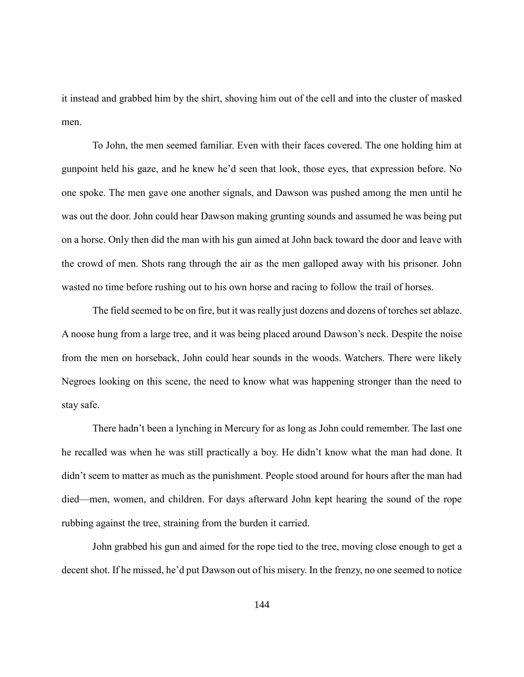it instead and grabbed him by the shirt, shoving him out of the cell and into the cluster of masked men.

To John, the men seemed familiar. Even with their faces covered. The one holding him at gunpoint held his gaze, and he knew he'd seen that look, those eyes, that expression before. No one spoke. The men gave one another signals, and Dawson was pushed among the men until he was out the door. John could hear Dawson making grunting sounds and assumed he was being put on a horse. Only then did the man with his gun aimed at John back toward the door and leave with the crowd of men. Shots rang through the air as the men galloped away with his prisoner. John wasted no time before rushing out to his own horse and racing to follow the trail of horses.

The field seemed to be on fire, but it was really just dozens and dozens of torches set ablaze. A noose hung from a large tree, and it was being placed around Dawson's neck. Despite the noise from the men on horseback, John could hear sounds in the woods. Watchers. There were likely Negroes looking on this scene, the need to know what was happening stronger than the need to stay safe.

There hadn't been a lynching in Mercury for as long as John could remember. The last one he recalled was when he was still practically a boy. He didn't know what the man had done. It didn't seem to matter as much as the punishment. People stood around for hours after the man had died—men, women, and children. For days afterward John kept hearing the sound of the rope rubbing against the tree, straining from the burden it carried.

John grabbed his gun and aimed for the rope tied to the tree, moving close enough to get a decent shot. If he missed, he'd put Dawson out of his misery. In the frenzy, no one seemed to notice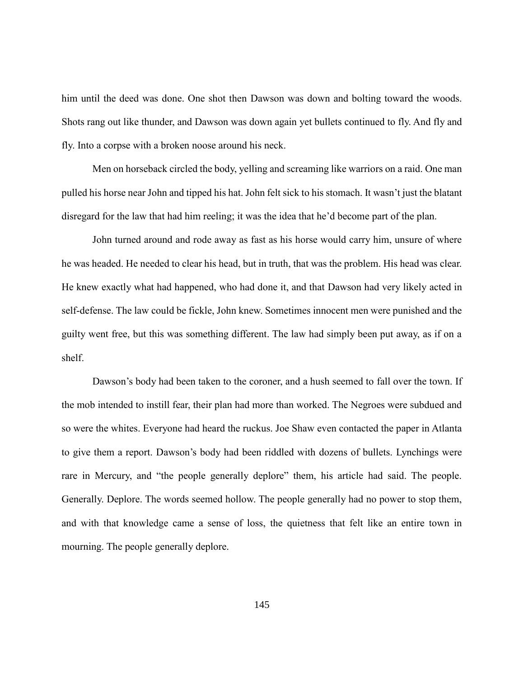him until the deed was done. One shot then Dawson was down and bolting toward the woods. Shots rang out like thunder, and Dawson was down again yet bullets continued to fly. And fly and fly. Into a corpse with a broken noose around his neck.

Men on horseback circled the body, yelling and screaming like warriors on a raid. One man pulled his horse near John and tipped his hat. John felt sick to his stomach. It wasn't just the blatant disregard for the law that had him reeling; it was the idea that he'd become part of the plan.

John turned around and rode away as fast as his horse would carry him, unsure of where he was headed. He needed to clear his head, but in truth, that was the problem. His head was clear. He knew exactly what had happened, who had done it, and that Dawson had very likely acted in self-defense. The law could be fickle, John knew. Sometimes innocent men were punished and the guilty went free, but this was something different. The law had simply been put away, as if on a shelf.

Dawson's body had been taken to the coroner, and a hush seemed to fall over the town. If the mob intended to instill fear, their plan had more than worked. The Negroes were subdued and so were the whites. Everyone had heard the ruckus. Joe Shaw even contacted the paper in Atlanta to give them a report. Dawson's body had been riddled with dozens of bullets. Lynchings were rare in Mercury, and "the people generally deplore" them, his article had said. The people. Generally. Deplore. The words seemed hollow. The people generally had no power to stop them, and with that knowledge came a sense of loss, the quietness that felt like an entire town in mourning. The people generally deplore.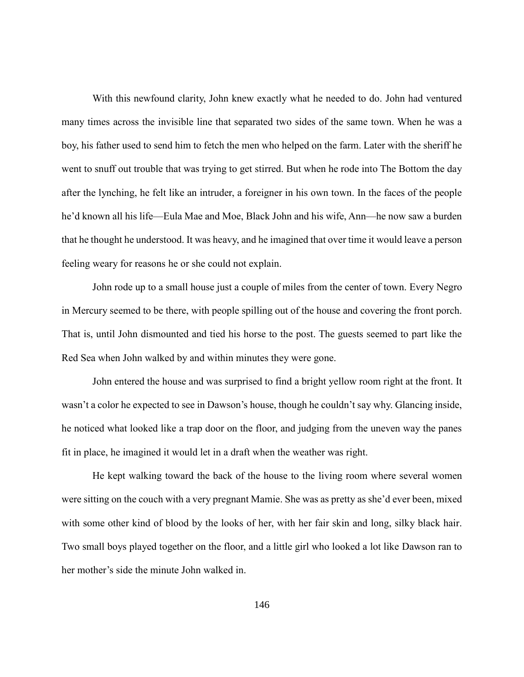With this newfound clarity, John knew exactly what he needed to do. John had ventured many times across the invisible line that separated two sides of the same town. When he was a boy, his father used to send him to fetch the men who helped on the farm. Later with the sheriff he went to snuff out trouble that was trying to get stirred. But when he rode into The Bottom the day after the lynching, he felt like an intruder, a foreigner in his own town. In the faces of the people he'd known all his life—Eula Mae and Moe, Black John and his wife, Ann—he now saw a burden that he thought he understood. It was heavy, and he imagined that over time it would leave a person feeling weary for reasons he or she could not explain.

John rode up to a small house just a couple of miles from the center of town. Every Negro in Mercury seemed to be there, with people spilling out of the house and covering the front porch. That is, until John dismounted and tied his horse to the post. The guests seemed to part like the Red Sea when John walked by and within minutes they were gone.

John entered the house and was surprised to find a bright yellow room right at the front. It wasn't a color he expected to see in Dawson's house, though he couldn't say why. Glancing inside, he noticed what looked like a trap door on the floor, and judging from the uneven way the panes fit in place, he imagined it would let in a draft when the weather was right.

He kept walking toward the back of the house to the living room where several women were sitting on the couch with a very pregnant Mamie. She was as pretty as she'd ever been, mixed with some other kind of blood by the looks of her, with her fair skin and long, silky black hair. Two small boys played together on the floor, and a little girl who looked a lot like Dawson ran to her mother's side the minute John walked in.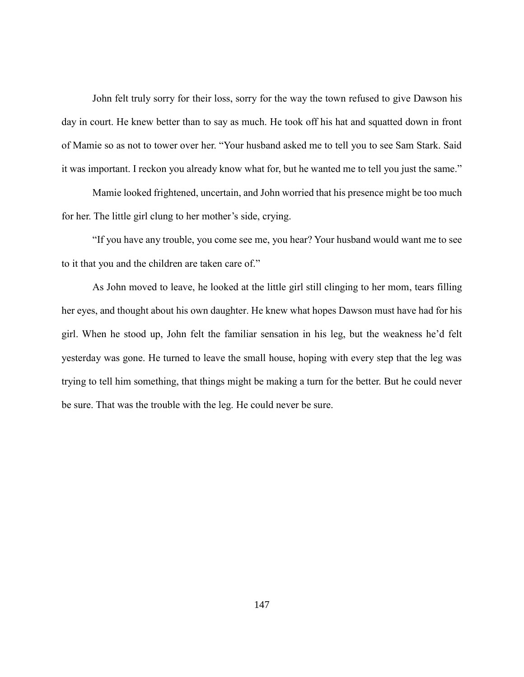John felt truly sorry for their loss, sorry for the way the town refused to give Dawson his day in court. He knew better than to say as much. He took off his hat and squatted down in front of Mamie so as not to tower over her. "Your husband asked me to tell you to see Sam Stark. Said it was important. I reckon you already know what for, but he wanted me to tell you just the same."

Mamie looked frightened, uncertain, and John worried that his presence might be too much for her. The little girl clung to her mother's side, crying.

"If you have any trouble, you come see me, you hear? Your husband would want me to see to it that you and the children are taken care of."

As John moved to leave, he looked at the little girl still clinging to her mom, tears filling her eyes, and thought about his own daughter. He knew what hopes Dawson must have had for his girl. When he stood up, John felt the familiar sensation in his leg, but the weakness he'd felt yesterday was gone. He turned to leave the small house, hoping with every step that the leg was trying to tell him something, that things might be making a turn for the better. But he could never be sure. That was the trouble with the leg. He could never be sure.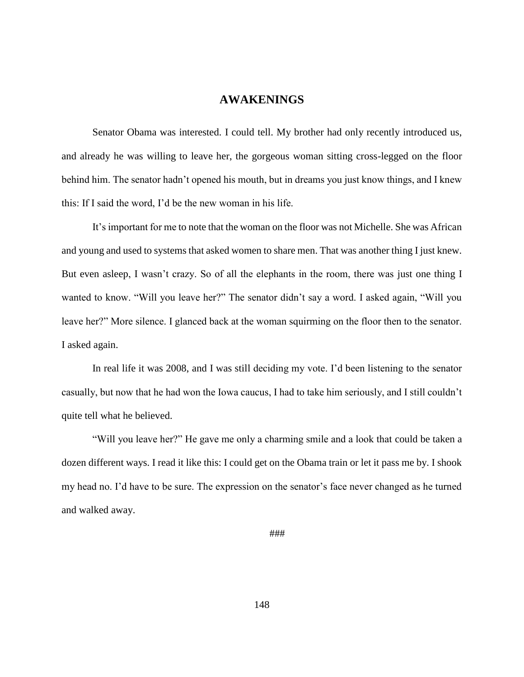# **AWAKENINGS**

Senator Obama was interested. I could tell. My brother had only recently introduced us, and already he was willing to leave her, the gorgeous woman sitting cross-legged on the floor behind him. The senator hadn't opened his mouth, but in dreams you just know things, and I knew this: If I said the word, I'd be the new woman in his life.

It's important for me to note that the woman on the floor was not Michelle. She was African and young and used to systems that asked women to share men. That was another thing I just knew. But even asleep, I wasn't crazy. So of all the elephants in the room, there was just one thing I wanted to know. "Will you leave her?" The senator didn't say a word. I asked again, "Will you leave her?" More silence. I glanced back at the woman squirming on the floor then to the senator. I asked again.

In real life it was 2008, and I was still deciding my vote. I'd been listening to the senator casually, but now that he had won the Iowa caucus, I had to take him seriously, and I still couldn't quite tell what he believed.

"Will you leave her?" He gave me only a charming smile and a look that could be taken a dozen different ways. I read it like this: I could get on the Obama train or let it pass me by. I shook my head no. I'd have to be sure. The expression on the senator's face never changed as he turned and walked away.

###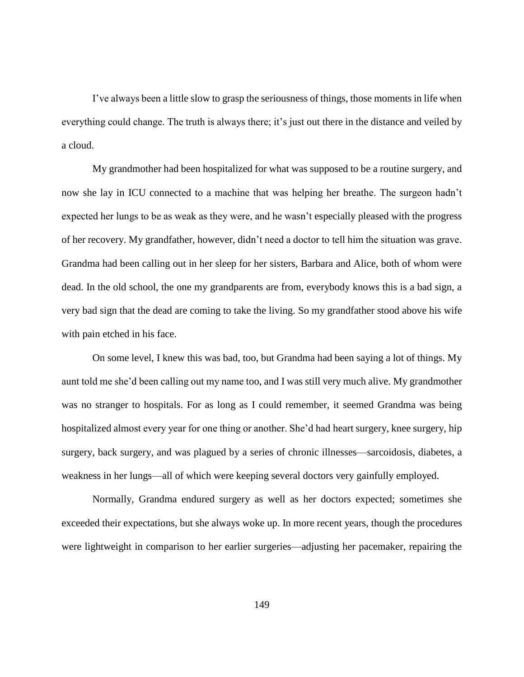I've always been a little slow to grasp the seriousness of things, those moments in life when everything could change. The truth is always there; it's just out there in the distance and veiled by a cloud.

My grandmother had been hospitalized for what was supposed to be a routine surgery, and now she lay in ICU connected to a machine that was helping her breathe. The surgeon hadn't expected her lungs to be as weak as they were, and he wasn't especially pleased with the progress of her recovery. My grandfather, however, didn't need a doctor to tell him the situation was grave. Grandma had been calling out in her sleep for her sisters, Barbara and Alice, both of whom were dead. In the old school, the one my grandparents are from, everybody knows this is a bad sign, a very bad sign that the dead are coming to take the living. So my grandfather stood above his wife with pain etched in his face.

On some level, I knew this was bad, too, but Grandma had been saying a lot of things. My aunt told me she'd been calling out my name too, and I was still very much alive. My grandmother was no stranger to hospitals. For as long as I could remember, it seemed Grandma was being hospitalized almost every year for one thing or another. She'd had heart surgery, knee surgery, hip surgery, back surgery, and was plagued by a series of chronic illnesses—sarcoidosis, diabetes, a weakness in her lungs—all of which were keeping several doctors very gainfully employed.

Normally, Grandma endured surgery as well as her doctors expected; sometimes she exceeded their expectations, but she always woke up. In more recent years, though the procedures were lightweight in comparison to her earlier surgeries—adjusting her pacemaker, repairing the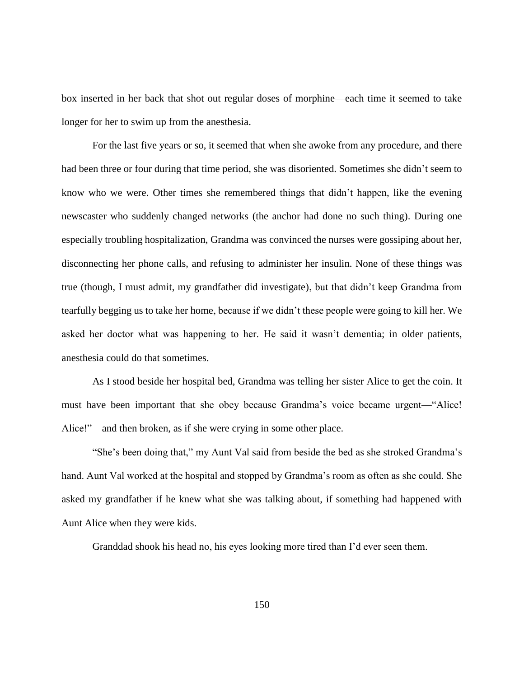box inserted in her back that shot out regular doses of morphine—each time it seemed to take longer for her to swim up from the anesthesia.

For the last five years or so, it seemed that when she awoke from any procedure, and there had been three or four during that time period, she was disoriented. Sometimes she didn't seem to know who we were. Other times she remembered things that didn't happen, like the evening newscaster who suddenly changed networks (the anchor had done no such thing). During one especially troubling hospitalization, Grandma was convinced the nurses were gossiping about her, disconnecting her phone calls, and refusing to administer her insulin. None of these things was true (though, I must admit, my grandfather did investigate), but that didn't keep Grandma from tearfully begging us to take her home, because if we didn't these people were going to kill her. We asked her doctor what was happening to her. He said it wasn't dementia; in older patients, anesthesia could do that sometimes.

As I stood beside her hospital bed, Grandma was telling her sister Alice to get the coin. It must have been important that she obey because Grandma's voice became urgent—"Alice! Alice!"—and then broken, as if she were crying in some other place.

"She's been doing that," my Aunt Val said from beside the bed as she stroked Grandma's hand. Aunt Val worked at the hospital and stopped by Grandma's room as often as she could. She asked my grandfather if he knew what she was talking about, if something had happened with Aunt Alice when they were kids.

Granddad shook his head no, his eyes looking more tired than I'd ever seen them.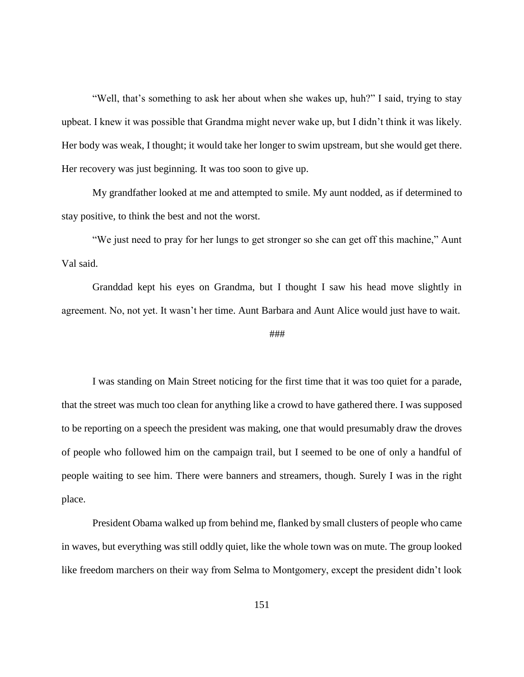"Well, that's something to ask her about when she wakes up, huh?" I said, trying to stay upbeat. I knew it was possible that Grandma might never wake up, but I didn't think it was likely. Her body was weak, I thought; it would take her longer to swim upstream, but she would get there. Her recovery was just beginning. It was too soon to give up.

My grandfather looked at me and attempted to smile. My aunt nodded, as if determined to stay positive, to think the best and not the worst.

"We just need to pray for her lungs to get stronger so she can get off this machine," Aunt Val said.

Granddad kept his eyes on Grandma, but I thought I saw his head move slightly in agreement. No, not yet. It wasn't her time. Aunt Barbara and Aunt Alice would just have to wait.

#### ###

I was standing on Main Street noticing for the first time that it was too quiet for a parade, that the street was much too clean for anything like a crowd to have gathered there. I was supposed to be reporting on a speech the president was making, one that would presumably draw the droves of people who followed him on the campaign trail, but I seemed to be one of only a handful of people waiting to see him. There were banners and streamers, though. Surely I was in the right place.

President Obama walked up from behind me, flanked by small clusters of people who came in waves, but everything was still oddly quiet, like the whole town was on mute. The group looked like freedom marchers on their way from Selma to Montgomery, except the president didn't look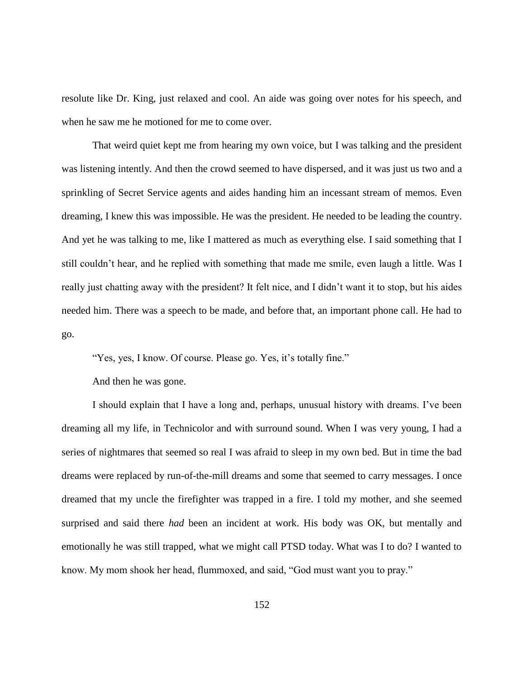resolute like Dr. King, just relaxed and cool. An aide was going over notes for his speech, and when he saw me he motioned for me to come over.

That weird quiet kept me from hearing my own voice, but I was talking and the president was listening intently. And then the crowd seemed to have dispersed, and it was just us two and a sprinkling of Secret Service agents and aides handing him an incessant stream of memos. Even dreaming, I knew this was impossible. He was the president. He needed to be leading the country. And yet he was talking to me, like I mattered as much as everything else. I said something that I still couldn't hear, and he replied with something that made me smile, even laugh a little. Was I really just chatting away with the president? It felt nice, and I didn't want it to stop, but his aides needed him. There was a speech to be made, and before that, an important phone call. He had to go.

"Yes, yes, I know. Of course. Please go. Yes, it's totally fine."

And then he was gone.

I should explain that I have a long and, perhaps, unusual history with dreams. I've been dreaming all my life, in Technicolor and with surround sound. When I was very young, I had a series of nightmares that seemed so real I was afraid to sleep in my own bed. But in time the bad dreams were replaced by run-of-the-mill dreams and some that seemed to carry messages. I once dreamed that my uncle the firefighter was trapped in a fire. I told my mother, and she seemed surprised and said there *had* been an incident at work. His body was OK, but mentally and emotionally he was still trapped, what we might call PTSD today. What was I to do? I wanted to know. My mom shook her head, flummoxed, and said, "God must want you to pray."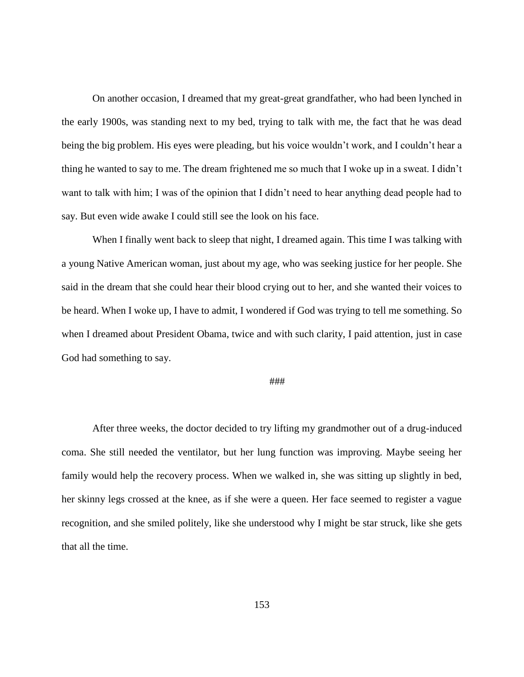On another occasion, I dreamed that my great-great grandfather, who had been lynched in the early 1900s, was standing next to my bed, trying to talk with me, the fact that he was dead being the big problem. His eyes were pleading, but his voice wouldn't work, and I couldn't hear a thing he wanted to say to me. The dream frightened me so much that I woke up in a sweat. I didn't want to talk with him; I was of the opinion that I didn't need to hear anything dead people had to say. But even wide awake I could still see the look on his face.

When I finally went back to sleep that night, I dreamed again. This time I was talking with a young Native American woman, just about my age, who was seeking justice for her people. She said in the dream that she could hear their blood crying out to her, and she wanted their voices to be heard. When I woke up, I have to admit, I wondered if God was trying to tell me something. So when I dreamed about President Obama, twice and with such clarity, I paid attention, just in case God had something to say.

### ###

After three weeks, the doctor decided to try lifting my grandmother out of a drug-induced coma. She still needed the ventilator, but her lung function was improving. Maybe seeing her family would help the recovery process. When we walked in, she was sitting up slightly in bed, her skinny legs crossed at the knee, as if she were a queen. Her face seemed to register a vague recognition, and she smiled politely, like she understood why I might be star struck, like she gets that all the time.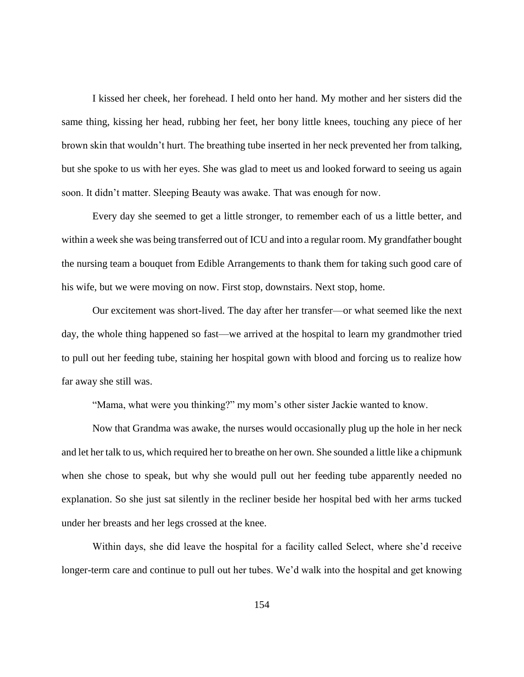I kissed her cheek, her forehead. I held onto her hand. My mother and her sisters did the same thing, kissing her head, rubbing her feet, her bony little knees, touching any piece of her brown skin that wouldn't hurt. The breathing tube inserted in her neck prevented her from talking, but she spoke to us with her eyes. She was glad to meet us and looked forward to seeing us again soon. It didn't matter. Sleeping Beauty was awake. That was enough for now.

Every day she seemed to get a little stronger, to remember each of us a little better, and within a week she was being transferred out of ICU and into a regular room. My grandfather bought the nursing team a bouquet from Edible Arrangements to thank them for taking such good care of his wife, but we were moving on now. First stop, downstairs. Next stop, home.

Our excitement was short-lived. The day after her transfer—or what seemed like the next day, the whole thing happened so fast—we arrived at the hospital to learn my grandmother tried to pull out her feeding tube, staining her hospital gown with blood and forcing us to realize how far away she still was.

"Mama, what were you thinking?" my mom's other sister Jackie wanted to know.

Now that Grandma was awake, the nurses would occasionally plug up the hole in her neck and let her talk to us, which required her to breathe on her own. She sounded a little like a chipmunk when she chose to speak, but why she would pull out her feeding tube apparently needed no explanation. So she just sat silently in the recliner beside her hospital bed with her arms tucked under her breasts and her legs crossed at the knee.

Within days, she did leave the hospital for a facility called Select, where she'd receive longer-term care and continue to pull out her tubes. We'd walk into the hospital and get knowing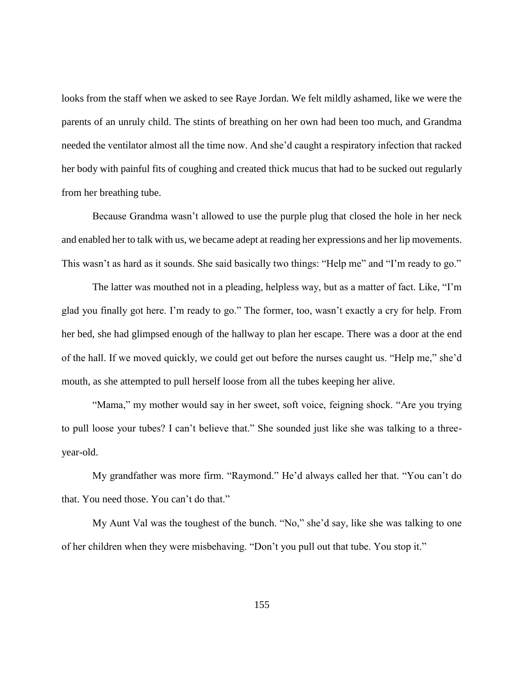looks from the staff when we asked to see Raye Jordan. We felt mildly ashamed, like we were the parents of an unruly child. The stints of breathing on her own had been too much, and Grandma needed the ventilator almost all the time now. And she'd caught a respiratory infection that racked her body with painful fits of coughing and created thick mucus that had to be sucked out regularly from her breathing tube.

Because Grandma wasn't allowed to use the purple plug that closed the hole in her neck and enabled her to talk with us, we became adept at reading her expressions and her lip movements. This wasn't as hard as it sounds. She said basically two things: "Help me" and "I'm ready to go."

The latter was mouthed not in a pleading, helpless way, but as a matter of fact. Like, "I'm glad you finally got here. I'm ready to go." The former, too, wasn't exactly a cry for help. From her bed, she had glimpsed enough of the hallway to plan her escape. There was a door at the end of the hall. If we moved quickly, we could get out before the nurses caught us. "Help me," she'd mouth, as she attempted to pull herself loose from all the tubes keeping her alive.

"Mama," my mother would say in her sweet, soft voice, feigning shock. "Are you trying to pull loose your tubes? I can't believe that." She sounded just like she was talking to a threeyear-old.

My grandfather was more firm. "Raymond." He'd always called her that. "You can't do that. You need those. You can't do that."

My Aunt Val was the toughest of the bunch. "No," she'd say, like she was talking to one of her children when they were misbehaving. "Don't you pull out that tube. You stop it."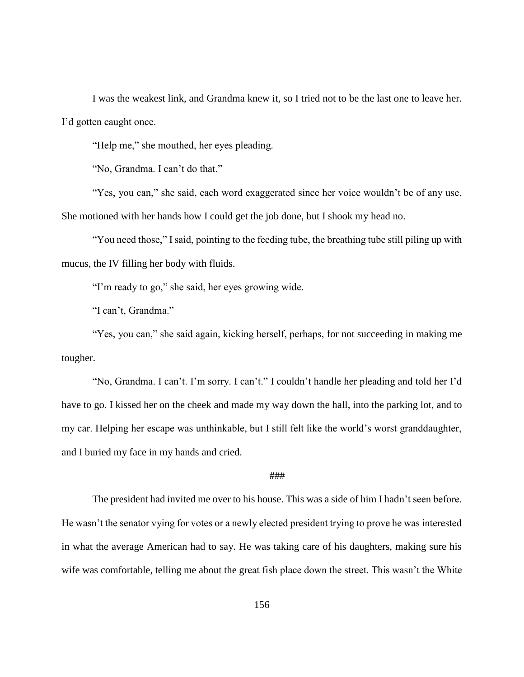I was the weakest link, and Grandma knew it, so I tried not to be the last one to leave her. I'd gotten caught once.

"Help me," she mouthed, her eyes pleading.

"No, Grandma. I can't do that."

"Yes, you can," she said, each word exaggerated since her voice wouldn't be of any use. She motioned with her hands how I could get the job done, but I shook my head no.

"You need those," I said, pointing to the feeding tube, the breathing tube still piling up with mucus, the IV filling her body with fluids.

"I'm ready to go," she said, her eyes growing wide.

"I can't, Grandma."

"Yes, you can," she said again, kicking herself, perhaps, for not succeeding in making me tougher.

"No, Grandma. I can't. I'm sorry. I can't." I couldn't handle her pleading and told her I'd have to go. I kissed her on the cheek and made my way down the hall, into the parking lot, and to my car. Helping her escape was unthinkable, but I still felt like the world's worst granddaughter, and I buried my face in my hands and cried.

# ###

The president had invited me over to his house. This was a side of him I hadn't seen before. He wasn't the senator vying for votes or a newly elected president trying to prove he was interested in what the average American had to say. He was taking care of his daughters, making sure his wife was comfortable, telling me about the great fish place down the street. This wasn't the White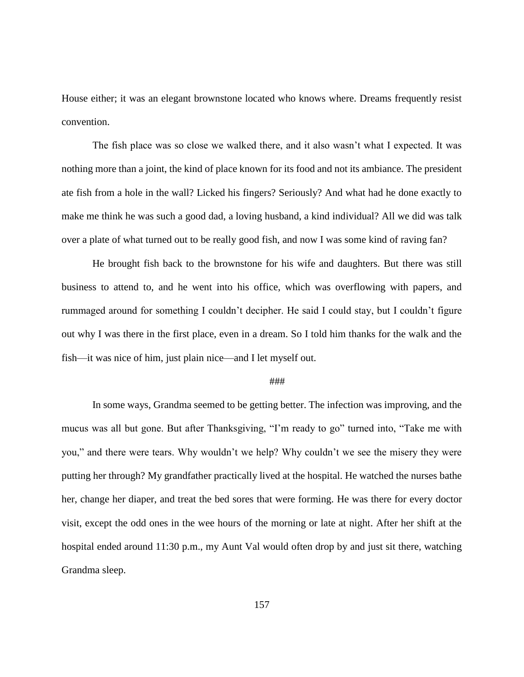House either; it was an elegant brownstone located who knows where. Dreams frequently resist convention.

The fish place was so close we walked there, and it also wasn't what I expected. It was nothing more than a joint, the kind of place known for its food and not its ambiance. The president ate fish from a hole in the wall? Licked his fingers? Seriously? And what had he done exactly to make me think he was such a good dad, a loving husband, a kind individual? All we did was talk over a plate of what turned out to be really good fish, and now I was some kind of raving fan?

He brought fish back to the brownstone for his wife and daughters. But there was still business to attend to, and he went into his office, which was overflowing with papers, and rummaged around for something I couldn't decipher. He said I could stay, but I couldn't figure out why I was there in the first place, even in a dream. So I told him thanks for the walk and the fish—it was nice of him, just plain nice—and I let myself out.

#### ###

In some ways, Grandma seemed to be getting better. The infection was improving, and the mucus was all but gone. But after Thanksgiving, "I'm ready to go" turned into, "Take me with you," and there were tears. Why wouldn't we help? Why couldn't we see the misery they were putting her through? My grandfather practically lived at the hospital. He watched the nurses bathe her, change her diaper, and treat the bed sores that were forming. He was there for every doctor visit, except the odd ones in the wee hours of the morning or late at night. After her shift at the hospital ended around 11:30 p.m., my Aunt Val would often drop by and just sit there, watching Grandma sleep.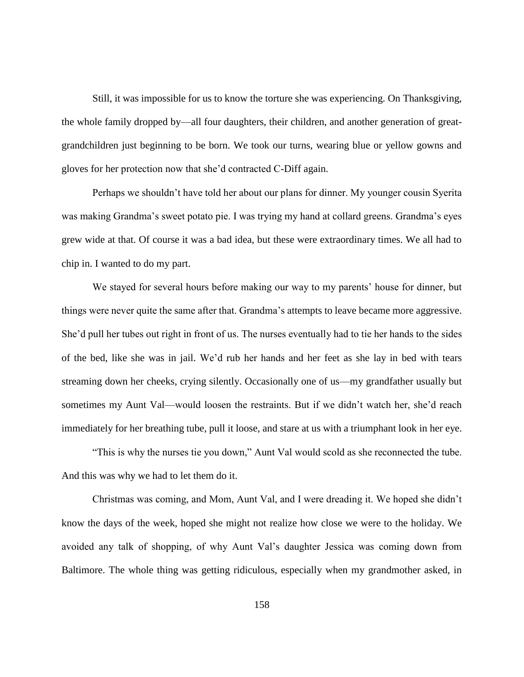Still, it was impossible for us to know the torture she was experiencing. On Thanksgiving, the whole family dropped by—all four daughters, their children, and another generation of greatgrandchildren just beginning to be born. We took our turns, wearing blue or yellow gowns and gloves for her protection now that she'd contracted C-Diff again.

Perhaps we shouldn't have told her about our plans for dinner. My younger cousin Syerita was making Grandma's sweet potato pie. I was trying my hand at collard greens. Grandma's eyes grew wide at that. Of course it was a bad idea, but these were extraordinary times. We all had to chip in. I wanted to do my part.

We stayed for several hours before making our way to my parents' house for dinner, but things were never quite the same after that. Grandma's attempts to leave became more aggressive. She'd pull her tubes out right in front of us. The nurses eventually had to tie her hands to the sides of the bed, like she was in jail. We'd rub her hands and her feet as she lay in bed with tears streaming down her cheeks, crying silently. Occasionally one of us—my grandfather usually but sometimes my Aunt Val—would loosen the restraints. But if we didn't watch her, she'd reach immediately for her breathing tube, pull it loose, and stare at us with a triumphant look in her eye.

"This is why the nurses tie you down," Aunt Val would scold as she reconnected the tube. And this was why we had to let them do it.

Christmas was coming, and Mom, Aunt Val, and I were dreading it. We hoped she didn't know the days of the week, hoped she might not realize how close we were to the holiday. We avoided any talk of shopping, of why Aunt Val's daughter Jessica was coming down from Baltimore. The whole thing was getting ridiculous, especially when my grandmother asked, in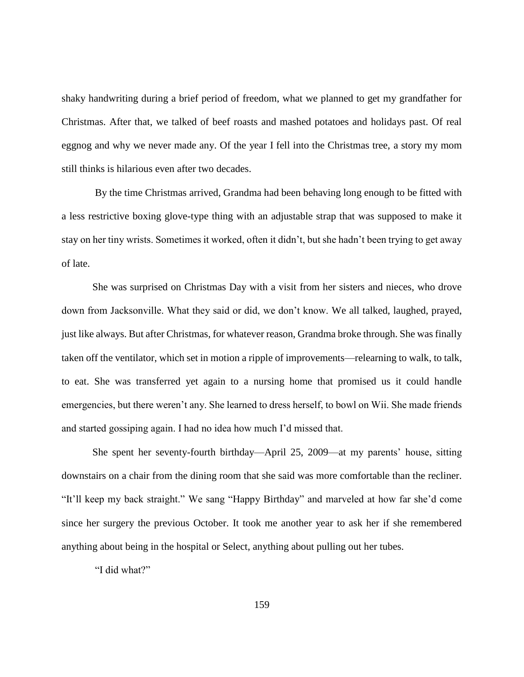shaky handwriting during a brief period of freedom, what we planned to get my grandfather for Christmas. After that, we talked of beef roasts and mashed potatoes and holidays past. Of real eggnog and why we never made any. Of the year I fell into the Christmas tree, a story my mom still thinks is hilarious even after two decades.

By the time Christmas arrived, Grandma had been behaving long enough to be fitted with a less restrictive boxing glove-type thing with an adjustable strap that was supposed to make it stay on her tiny wrists. Sometimes it worked, often it didn't, but she hadn't been trying to get away of late.

She was surprised on Christmas Day with a visit from her sisters and nieces, who drove down from Jacksonville. What they said or did, we don't know. We all talked, laughed, prayed, just like always. But after Christmas, for whatever reason, Grandma broke through. She was finally taken off the ventilator, which set in motion a ripple of improvements—relearning to walk, to talk, to eat. She was transferred yet again to a nursing home that promised us it could handle emergencies, but there weren't any. She learned to dress herself, to bowl on Wii. She made friends and started gossiping again. I had no idea how much I'd missed that.

She spent her seventy-fourth birthday—April 25, 2009—at my parents' house, sitting downstairs on a chair from the dining room that she said was more comfortable than the recliner. "It'll keep my back straight." We sang "Happy Birthday" and marveled at how far she'd come since her surgery the previous October. It took me another year to ask her if she remembered anything about being in the hospital or Select, anything about pulling out her tubes.

"I did what?"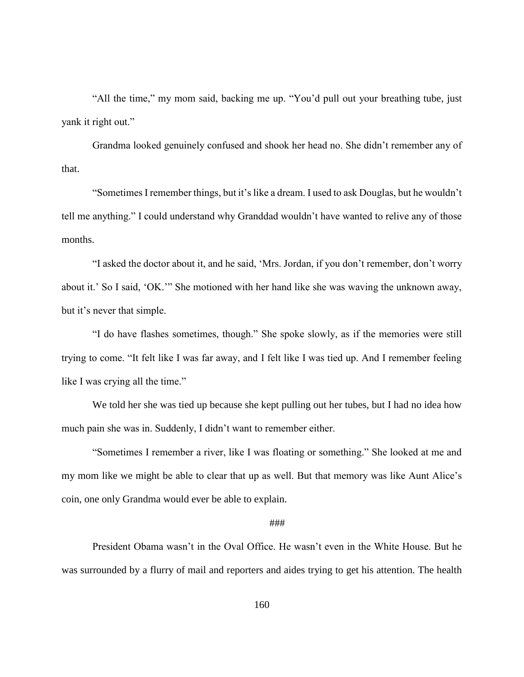"All the time," my mom said, backing me up. "You'd pull out your breathing tube, just yank it right out."

Grandma looked genuinely confused and shook her head no. She didn't remember any of that.

"Sometimes I remember things, but it's like a dream. I used to ask Douglas, but he wouldn't tell me anything." I could understand why Granddad wouldn't have wanted to relive any of those months.

"I asked the doctor about it, and he said, 'Mrs. Jordan, if you don't remember, don't worry about it.' So I said, 'OK.'" She motioned with her hand like she was waving the unknown away, but it's never that simple.

"I do have flashes sometimes, though." She spoke slowly, as if the memories were still trying to come. "It felt like I was far away, and I felt like I was tied up. And I remember feeling like I was crying all the time."

We told her she was tied up because she kept pulling out her tubes, but I had no idea how much pain she was in. Suddenly, I didn't want to remember either.

"Sometimes I remember a river, like I was floating or something." She looked at me and my mom like we might be able to clear that up as well. But that memory was like Aunt Alice's coin, one only Grandma would ever be able to explain.

## ###

President Obama wasn't in the Oval Office. He wasn't even in the White House. But he was surrounded by a flurry of mail and reporters and aides trying to get his attention. The health